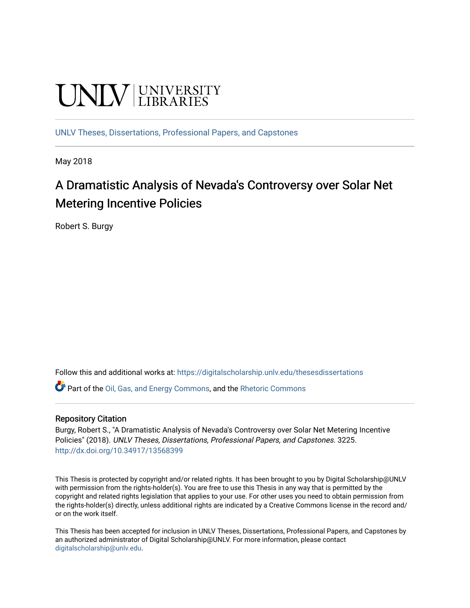# **UNIVERSITY**

[UNLV Theses, Dissertations, Professional Papers, and Capstones](https://digitalscholarship.unlv.edu/thesesdissertations)

May 2018

## A Dramatistic Analysis of Nevada's Controversy over Solar Net Metering Incentive Policies

Robert S. Burgy

Follow this and additional works at: [https://digitalscholarship.unlv.edu/thesesdissertations](https://digitalscholarship.unlv.edu/thesesdissertations?utm_source=digitalscholarship.unlv.edu%2Fthesesdissertations%2F3225&utm_medium=PDF&utm_campaign=PDFCoverPages)

Part of the [Oil, Gas, and Energy Commons](http://network.bepress.com/hgg/discipline/171?utm_source=digitalscholarship.unlv.edu%2Fthesesdissertations%2F3225&utm_medium=PDF&utm_campaign=PDFCoverPages), and the [Rhetoric Commons](http://network.bepress.com/hgg/discipline/575?utm_source=digitalscholarship.unlv.edu%2Fthesesdissertations%2F3225&utm_medium=PDF&utm_campaign=PDFCoverPages) 

#### Repository Citation

Burgy, Robert S., "A Dramatistic Analysis of Nevada's Controversy over Solar Net Metering Incentive Policies" (2018). UNLV Theses, Dissertations, Professional Papers, and Capstones. 3225. <http://dx.doi.org/10.34917/13568399>

This Thesis is protected by copyright and/or related rights. It has been brought to you by Digital Scholarship@UNLV with permission from the rights-holder(s). You are free to use this Thesis in any way that is permitted by the copyright and related rights legislation that applies to your use. For other uses you need to obtain permission from the rights-holder(s) directly, unless additional rights are indicated by a Creative Commons license in the record and/ or on the work itself.

This Thesis has been accepted for inclusion in UNLV Theses, Dissertations, Professional Papers, and Capstones by an authorized administrator of Digital Scholarship@UNLV. For more information, please contact [digitalscholarship@unlv.edu](mailto:digitalscholarship@unlv.edu).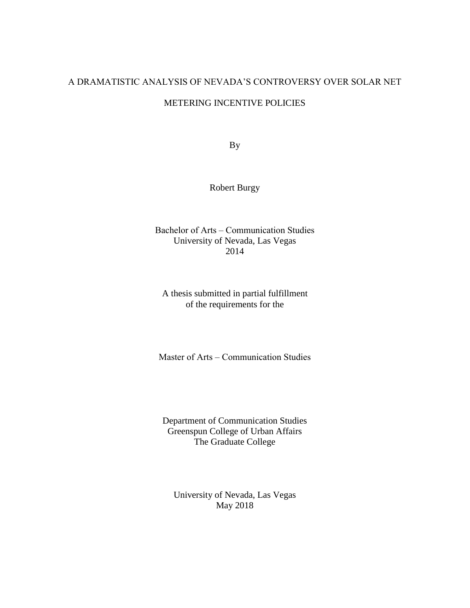#### A DRAMATISTIC ANALYSIS OF NEVADA'S CONTROVERSY OVER SOLAR NET

#### METERING INCENTIVE POLICIES

By

Robert Burgy

Bachelor of Arts – Communication Studies University of Nevada, Las Vegas 2014

A thesis submitted in partial fulfillment of the requirements for the

Master of Arts – Communication Studies

Department of Communication Studies Greenspun College of Urban Affairs The Graduate College

University of Nevada, Las Vegas May 2018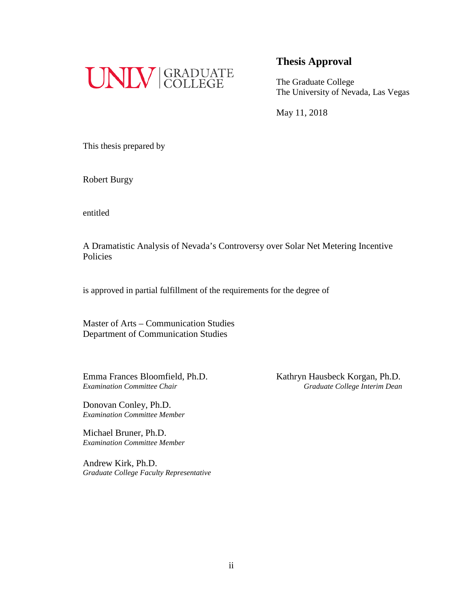

The Graduate College The University of Nevada, Las Vegas

May 11, 2018

This thesis prepared by

Robert Burgy

entitled

A Dramatistic Analysis of Nevada's Controversy over Solar Net Metering Incentive Policies

is approved in partial fulfillment of the requirements for the degree of

Master of Arts – Communication Studies Department of Communication Studies

Emma Frances Bloomfield, Ph.D.<br>
Examination Committee Chair<br>
Graduate College Interim Dean

Donovan Conley, Ph.D. *Examination Committee Member*

Michael Bruner, Ph.D. *Examination Committee Member*

Andrew Kirk, Ph.D. *Graduate College Faculty Representative* *Examination Committee Chair Graduate College Interim Dean*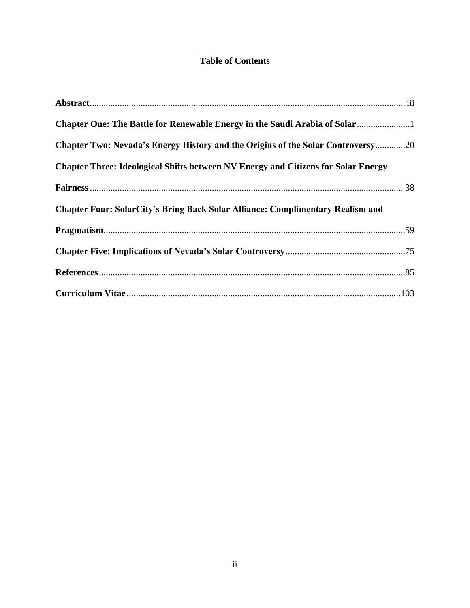### **Table of Contents**

| Chapter Two: Nevada's Energy History and the Origins of the Solar Controversy20          |  |
|------------------------------------------------------------------------------------------|--|
| <b>Chapter Three: Ideological Shifts between NV Energy and Citizens for Solar Energy</b> |  |
|                                                                                          |  |
| <b>Chapter Four: SolarCity's Bring Back Solar Alliance: Complimentary Realism and</b>    |  |
|                                                                                          |  |
|                                                                                          |  |
|                                                                                          |  |
|                                                                                          |  |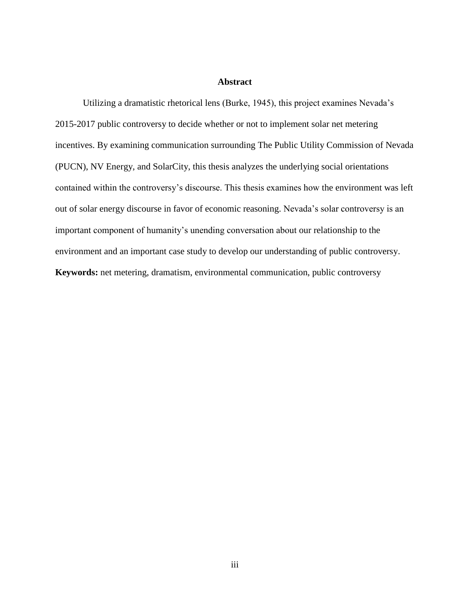#### **Abstract**

Utilizing a dramatistic rhetorical lens (Burke, 1945), this project examines Nevada's 2015-2017 public controversy to decide whether or not to implement solar net metering incentives. By examining communication surrounding The Public Utility Commission of Nevada (PUCN), NV Energy, and SolarCity, this thesis analyzes the underlying social orientations contained within the controversy's discourse. This thesis examines how the environment was left out of solar energy discourse in favor of economic reasoning. Nevada's solar controversy is an important component of humanity's unending conversation about our relationship to the environment and an important case study to develop our understanding of public controversy. **Keywords:** net metering, dramatism, environmental communication, public controversy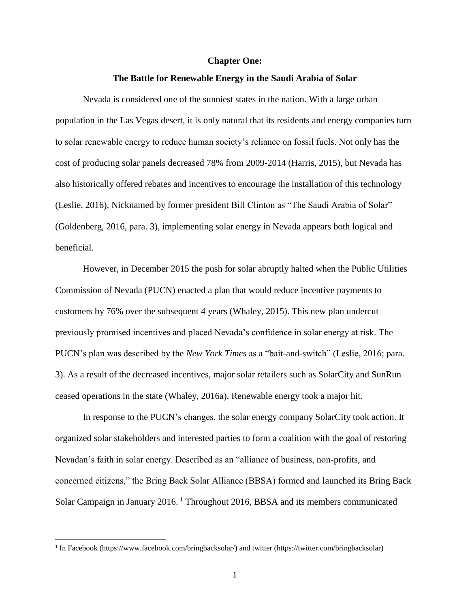#### **Chapter One:**

#### **The Battle for Renewable Energy in the Saudi Arabia of Solar**

Nevada is considered one of the sunniest states in the nation. With a large urban population in the Las Vegas desert, it is only natural that its residents and energy companies turn to solar renewable energy to reduce human society's reliance on fossil fuels. Not only has the cost of producing solar panels decreased 78% from 2009-2014 (Harris, 2015), but Nevada has also historically offered rebates and incentives to encourage the installation of this technology (Leslie, 2016). Nicknamed by former president Bill Clinton as "The Saudi Arabia of Solar" (Goldenberg, 2016, para. 3), implementing solar energy in Nevada appears both logical and beneficial.

However, in December 2015 the push for solar abruptly halted when the Public Utilities Commission of Nevada (PUCN) enacted a plan that would reduce incentive payments to customers by 76% over the subsequent 4 years (Whaley, 2015). This new plan undercut previously promised incentives and placed Nevada's confidence in solar energy at risk. The PUCN's plan was described by the *New York Times* as a "bait-and-switch" (Leslie, 2016; para. 3). As a result of the decreased incentives, major solar retailers such as SolarCity and SunRun ceased operations in the state (Whaley, 2016a). Renewable energy took a major hit.

In response to the PUCN's changes, the solar energy company SolarCity took action. It organized solar stakeholders and interested parties to form a coalition with the goal of restoring Nevadan's faith in solar energy. Described as an "alliance of business, non-profits, and concerned citizens," the Bring Back Solar Alliance (BBSA) formed and launched its Bring Back Solar Campaign in January 2016. <sup>1</sup> Throughout 2016, BBSA and its members communicated

 $\overline{\phantom{a}}$ 

<sup>1</sup> In Facebook (https://www.facebook.com/bringbacksolar/) and twitter (https://twitter.com/bringbacksolar)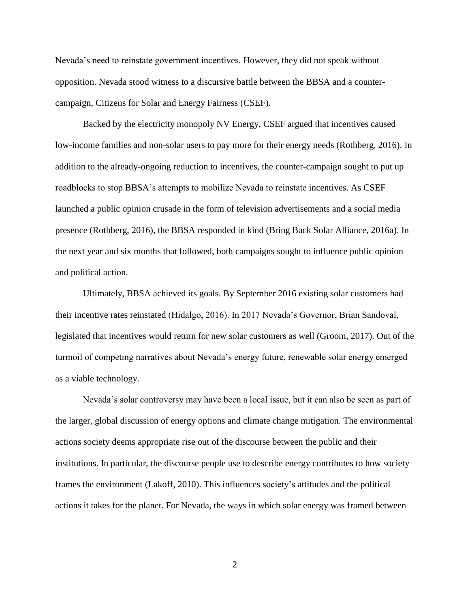Nevada's need to reinstate government incentives. However, they did not speak without opposition. Nevada stood witness to a discursive battle between the BBSA and a countercampaign, Citizens for Solar and Energy Fairness (CSEF).

Backed by the electricity monopoly NV Energy, CSEF argued that incentives caused low-income families and non-solar users to pay more for their energy needs (Rothberg, 2016). In addition to the already-ongoing reduction to incentives, the counter-campaign sought to put up roadblocks to stop BBSA's attempts to mobilize Nevada to reinstate incentives. As CSEF launched a public opinion crusade in the form of television advertisements and a social media presence (Rothberg, 2016), the BBSA responded in kind (Bring Back Solar Alliance, 2016a). In the next year and six months that followed, both campaigns sought to influence public opinion and political action.

Ultimately, BBSA achieved its goals. By September 2016 existing solar customers had their incentive rates reinstated (Hidalgo, 2016). In 2017 Nevada's Governor, Brian Sandoval, legislated that incentives would return for new solar customers as well (Groom, 2017). Out of the turmoil of competing narratives about Nevada's energy future, renewable solar energy emerged as a viable technology.

Nevada's solar controversy may have been a local issue, but it can also be seen as part of the larger, global discussion of energy options and climate change mitigation. The environmental actions society deems appropriate rise out of the discourse between the public and their institutions. In particular, the discourse people use to describe energy contributes to how society frames the environment (Lakoff, 2010). This influences society's attitudes and the political actions it takes for the planet. For Nevada, the ways in which solar energy was framed between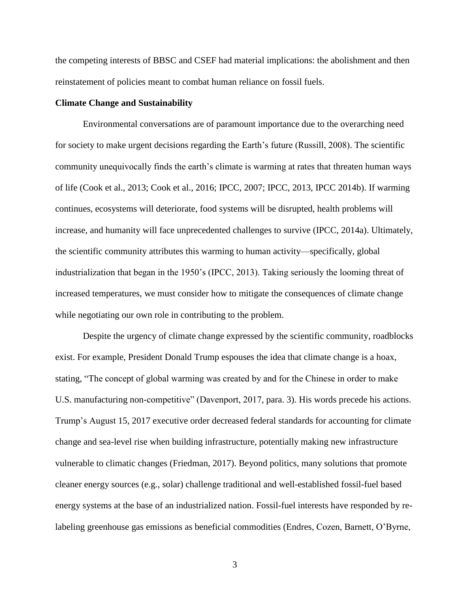the competing interests of BBSC and CSEF had material implications: the abolishment and then reinstatement of policies meant to combat human reliance on fossil fuels.

#### **Climate Change and Sustainability**

Environmental conversations are of paramount importance due to the overarching need for society to make urgent decisions regarding the Earth's future (Russill, 2008). The scientific community unequivocally finds the earth's climate is warming at rates that threaten human ways of life (Cook et al., 2013; Cook et al., 2016; IPCC, 2007; IPCC, 2013, IPCC 2014b). If warming continues, ecosystems will deteriorate, food systems will be disrupted, health problems will increase, and humanity will face unprecedented challenges to survive (IPCC, 2014a). Ultimately, the scientific community attributes this warming to human activity—specifically, global industrialization that began in the 1950's (IPCC, 2013). Taking seriously the looming threat of increased temperatures, we must consider how to mitigate the consequences of climate change while negotiating our own role in contributing to the problem.

Despite the urgency of climate change expressed by the scientific community, roadblocks exist. For example, President Donald Trump espouses the idea that climate change is a hoax, stating, "The concept of global warming was created by and for the Chinese in order to make U.S. manufacturing non-competitive" (Davenport, 2017, para. 3). His words precede his actions. Trump's August 15, 2017 executive order decreased federal standards for accounting for climate change and sea-level rise when building infrastructure, potentially making new infrastructure vulnerable to climatic changes (Friedman, 2017). Beyond politics, many solutions that promote cleaner energy sources (e.g., solar) challenge traditional and well-established fossil-fuel based energy systems at the base of an industrialized nation. Fossil-fuel interests have responded by relabeling greenhouse gas emissions as beneficial commodities (Endres, Cozen, Barnett, O'Byrne,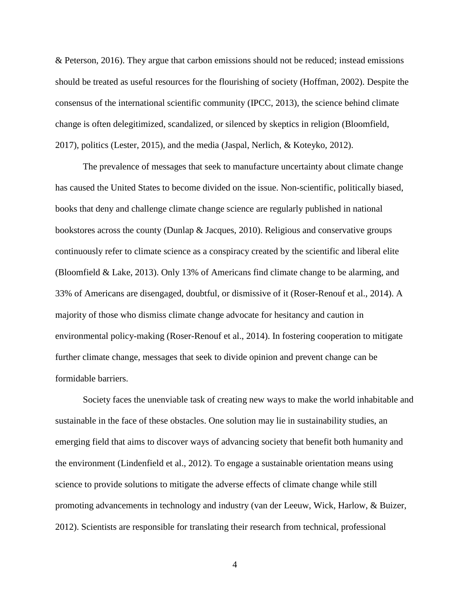& Peterson, 2016). They argue that carbon emissions should not be reduced; instead emissions should be treated as useful resources for the flourishing of society (Hoffman, 2002). Despite the consensus of the international scientific community (IPCC, 2013), the science behind climate change is often delegitimized, scandalized, or silenced by skeptics in religion (Bloomfield, 2017), politics (Lester, 2015), and the media (Jaspal, Nerlich, & Koteyko, 2012).

The prevalence of messages that seek to manufacture uncertainty about climate change has caused the United States to become divided on the issue. Non-scientific, politically biased, books that deny and challenge climate change science are regularly published in national bookstores across the county (Dunlap & Jacques, 2010). Religious and conservative groups continuously refer to climate science as a conspiracy created by the scientific and liberal elite (Bloomfield & Lake, 2013). Only 13% of Americans find climate change to be alarming, and 33% of Americans are disengaged, doubtful, or dismissive of it (Roser-Renouf et al., 2014). A majority of those who dismiss climate change advocate for hesitancy and caution in environmental policy-making (Roser-Renouf et al., 2014). In fostering cooperation to mitigate further climate change, messages that seek to divide opinion and prevent change can be formidable barriers.

Society faces the unenviable task of creating new ways to make the world inhabitable and sustainable in the face of these obstacles. One solution may lie in sustainability studies, an emerging field that aims to discover ways of advancing society that benefit both humanity and the environment (Lindenfield et al., 2012). To engage a sustainable orientation means using science to provide solutions to mitigate the adverse effects of climate change while still promoting advancements in technology and industry (van der Leeuw, Wick, Harlow, & Buizer, 2012). Scientists are responsible for translating their research from technical, professional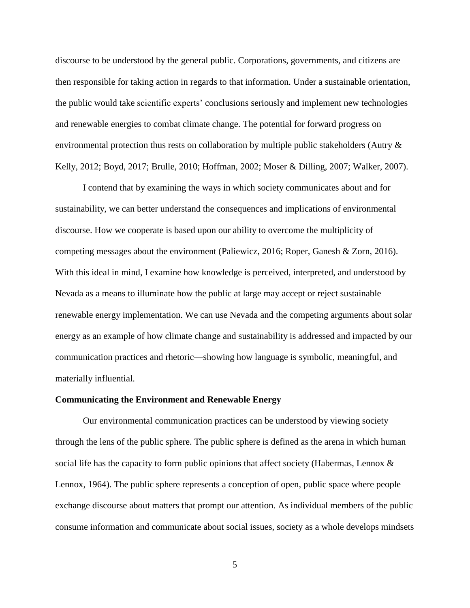discourse to be understood by the general public. Corporations, governments, and citizens are then responsible for taking action in regards to that information. Under a sustainable orientation, the public would take scientific experts' conclusions seriously and implement new technologies and renewable energies to combat climate change. The potential for forward progress on environmental protection thus rests on collaboration by multiple public stakeholders (Autry & Kelly, 2012; Boyd, 2017; Brulle, 2010; Hoffman, 2002; Moser & Dilling, 2007; Walker, 2007).

I contend that by examining the ways in which society communicates about and for sustainability, we can better understand the consequences and implications of environmental discourse. How we cooperate is based upon our ability to overcome the multiplicity of competing messages about the environment (Paliewicz, 2016; Roper, Ganesh & Zorn, 2016). With this ideal in mind, I examine how knowledge is perceived, interpreted, and understood by Nevada as a means to illuminate how the public at large may accept or reject sustainable renewable energy implementation. We can use Nevada and the competing arguments about solar energy as an example of how climate change and sustainability is addressed and impacted by our communication practices and rhetoric—showing how language is symbolic, meaningful, and materially influential.

#### **Communicating the Environment and Renewable Energy**

Our environmental communication practices can be understood by viewing society through the lens of the public sphere. The public sphere is defined as the arena in which human social life has the capacity to form public opinions that affect society (Habermas, Lennox & Lennox, 1964). The public sphere represents a conception of open, public space where people exchange discourse about matters that prompt our attention. As individual members of the public consume information and communicate about social issues, society as a whole develops mindsets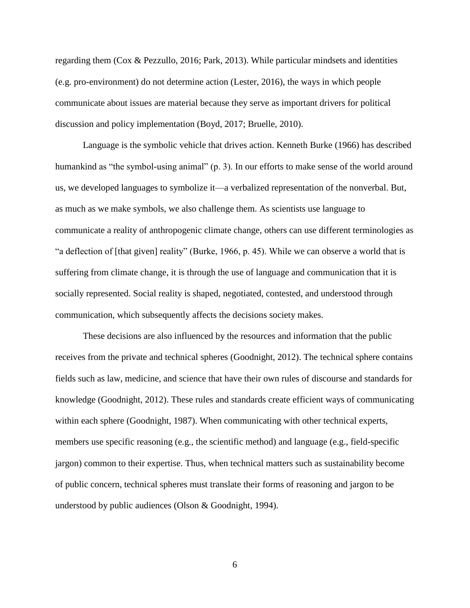regarding them (Cox & Pezzullo, 2016; Park, 2013). While particular mindsets and identities (e.g. pro-environment) do not determine action (Lester, 2016), the ways in which people communicate about issues are material because they serve as important drivers for political discussion and policy implementation (Boyd, 2017; Bruelle, 2010).

Language is the symbolic vehicle that drives action. Kenneth Burke (1966) has described humankind as "the symbol-using animal" (p. 3). In our efforts to make sense of the world around us, we developed languages to symbolize it—a verbalized representation of the nonverbal. But, as much as we make symbols, we also challenge them. As scientists use language to communicate a reality of anthropogenic climate change, others can use different terminologies as "a deflection of [that given] reality" (Burke, 1966, p. 45). While we can observe a world that is suffering from climate change, it is through the use of language and communication that it is socially represented. Social reality is shaped, negotiated, contested, and understood through communication, which subsequently affects the decisions society makes.

These decisions are also influenced by the resources and information that the public receives from the private and technical spheres (Goodnight, 2012). The technical sphere contains fields such as law, medicine, and science that have their own rules of discourse and standards for knowledge (Goodnight, 2012). These rules and standards create efficient ways of communicating within each sphere (Goodnight, 1987). When communicating with other technical experts, members use specific reasoning (e.g., the scientific method) and language (e.g., field-specific jargon) common to their expertise. Thus, when technical matters such as sustainability become of public concern, technical spheres must translate their forms of reasoning and jargon to be understood by public audiences (Olson & Goodnight, 1994).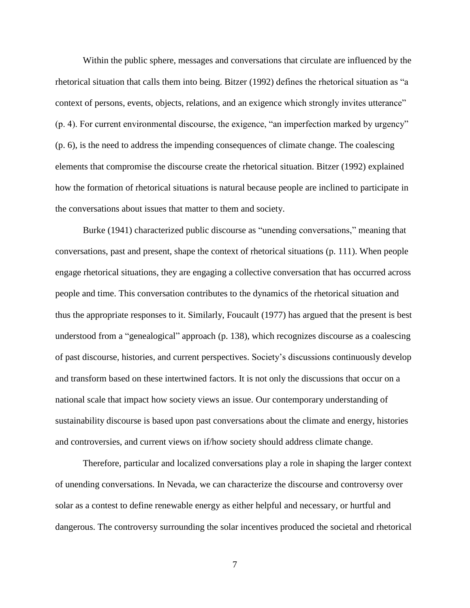Within the public sphere, messages and conversations that circulate are influenced by the rhetorical situation that calls them into being. Bitzer (1992) defines the rhetorical situation as "a context of persons, events, objects, relations, and an exigence which strongly invites utterance" (p. 4). For current environmental discourse, the exigence, "an imperfection marked by urgency" (p. 6), is the need to address the impending consequences of climate change. The coalescing elements that compromise the discourse create the rhetorical situation. Bitzer (1992) explained how the formation of rhetorical situations is natural because people are inclined to participate in the conversations about issues that matter to them and society.

Burke (1941) characterized public discourse as "unending conversations," meaning that conversations, past and present, shape the context of rhetorical situations (p. 111). When people engage rhetorical situations, they are engaging a collective conversation that has occurred across people and time. This conversation contributes to the dynamics of the rhetorical situation and thus the appropriate responses to it. Similarly, Foucault (1977) has argued that the present is best understood from a "genealogical" approach (p. 138), which recognizes discourse as a coalescing of past discourse, histories, and current perspectives. Society's discussions continuously develop and transform based on these intertwined factors. It is not only the discussions that occur on a national scale that impact how society views an issue. Our contemporary understanding of sustainability discourse is based upon past conversations about the climate and energy, histories and controversies, and current views on if/how society should address climate change.

Therefore, particular and localized conversations play a role in shaping the larger context of unending conversations. In Nevada, we can characterize the discourse and controversy over solar as a contest to define renewable energy as either helpful and necessary, or hurtful and dangerous. The controversy surrounding the solar incentives produced the societal and rhetorical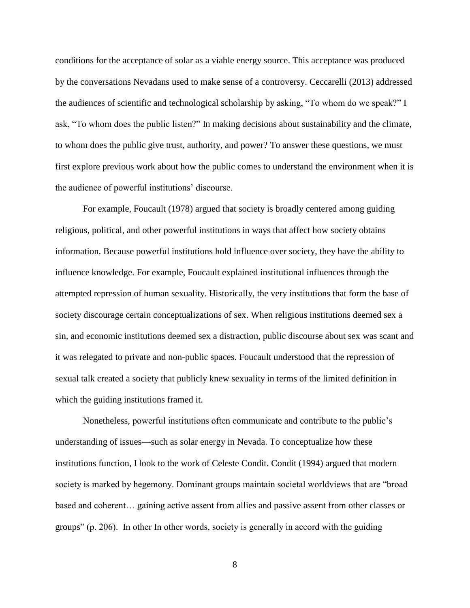conditions for the acceptance of solar as a viable energy source. This acceptance was produced by the conversations Nevadans used to make sense of a controversy. Ceccarelli (2013) addressed the audiences of scientific and technological scholarship by asking, "To whom do we speak?" I ask, "To whom does the public listen?" In making decisions about sustainability and the climate, to whom does the public give trust, authority, and power? To answer these questions, we must first explore previous work about how the public comes to understand the environment when it is the audience of powerful institutions' discourse.

For example, Foucault (1978) argued that society is broadly centered among guiding religious, political, and other powerful institutions in ways that affect how society obtains information. Because powerful institutions hold influence over society, they have the ability to influence knowledge. For example, Foucault explained institutional influences through the attempted repression of human sexuality. Historically, the very institutions that form the base of society discourage certain conceptualizations of sex. When religious institutions deemed sex a sin, and economic institutions deemed sex a distraction, public discourse about sex was scant and it was relegated to private and non-public spaces. Foucault understood that the repression of sexual talk created a society that publicly knew sexuality in terms of the limited definition in which the guiding institutions framed it.

Nonetheless, powerful institutions often communicate and contribute to the public's understanding of issues—such as solar energy in Nevada. To conceptualize how these institutions function, I look to the work of Celeste Condit. Condit (1994) argued that modern society is marked by hegemony. Dominant groups maintain societal worldviews that are "broad based and coherent… gaining active assent from allies and passive assent from other classes or groups" (p. 206). In other In other words, society is generally in accord with the guiding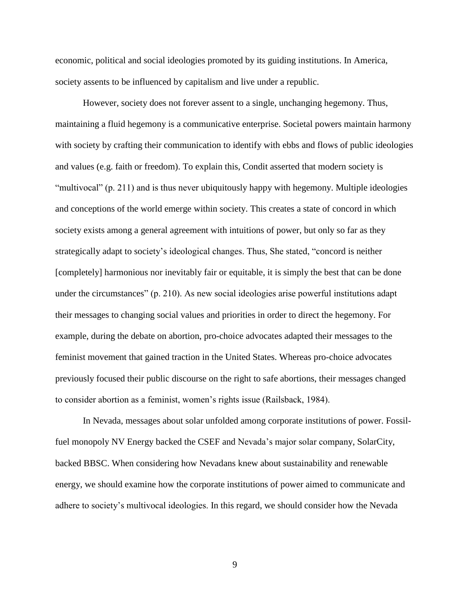economic, political and social ideologies promoted by its guiding institutions. In America, society assents to be influenced by capitalism and live under a republic.

However, society does not forever assent to a single, unchanging hegemony. Thus, maintaining a fluid hegemony is a communicative enterprise. Societal powers maintain harmony with society by crafting their communication to identify with ebbs and flows of public ideologies and values (e.g. faith or freedom). To explain this, Condit asserted that modern society is "multivocal" (p. 211) and is thus never ubiquitously happy with hegemony. Multiple ideologies and conceptions of the world emerge within society. This creates a state of concord in which society exists among a general agreement with intuitions of power, but only so far as they strategically adapt to society's ideological changes. Thus, She stated, "concord is neither [completely] harmonious nor inevitably fair or equitable, it is simply the best that can be done under the circumstances" (p. 210). As new social ideologies arise powerful institutions adapt their messages to changing social values and priorities in order to direct the hegemony. For example, during the debate on abortion, pro-choice advocates adapted their messages to the feminist movement that gained traction in the United States. Whereas pro-choice advocates previously focused their public discourse on the right to safe abortions, their messages changed to consider abortion as a feminist, women's rights issue (Railsback, 1984).

In Nevada, messages about solar unfolded among corporate institutions of power. Fossilfuel monopoly NV Energy backed the CSEF and Nevada's major solar company, SolarCity, backed BBSC. When considering how Nevadans knew about sustainability and renewable energy, we should examine how the corporate institutions of power aimed to communicate and adhere to society's multivocal ideologies. In this regard, we should consider how the Nevada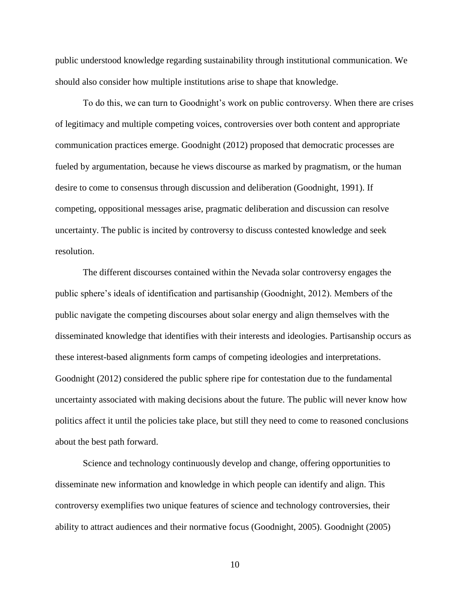public understood knowledge regarding sustainability through institutional communication. We should also consider how multiple institutions arise to shape that knowledge.

To do this, we can turn to Goodnight's work on public controversy. When there are crises of legitimacy and multiple competing voices, controversies over both content and appropriate communication practices emerge. Goodnight (2012) proposed that democratic processes are fueled by argumentation, because he views discourse as marked by pragmatism, or the human desire to come to consensus through discussion and deliberation (Goodnight, 1991). If competing, oppositional messages arise, pragmatic deliberation and discussion can resolve uncertainty. The public is incited by controversy to discuss contested knowledge and seek resolution.

The different discourses contained within the Nevada solar controversy engages the public sphere's ideals of identification and partisanship (Goodnight, 2012). Members of the public navigate the competing discourses about solar energy and align themselves with the disseminated knowledge that identifies with their interests and ideologies. Partisanship occurs as these interest-based alignments form camps of competing ideologies and interpretations. Goodnight (2012) considered the public sphere ripe for contestation due to the fundamental uncertainty associated with making decisions about the future. The public will never know how politics affect it until the policies take place, but still they need to come to reasoned conclusions about the best path forward.

Science and technology continuously develop and change, offering opportunities to disseminate new information and knowledge in which people can identify and align. This controversy exemplifies two unique features of science and technology controversies, their ability to attract audiences and their normative focus (Goodnight, 2005). Goodnight (2005)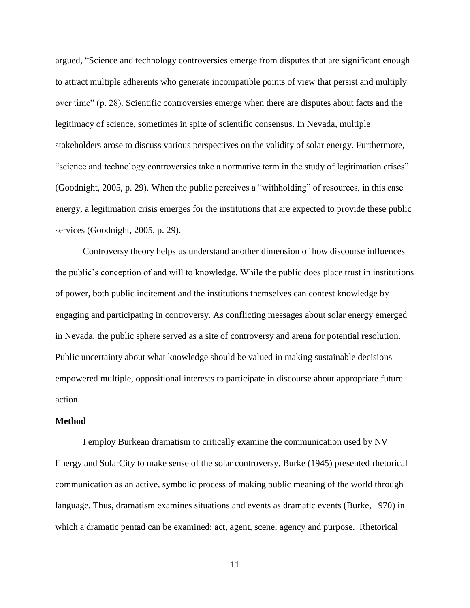argued, "Science and technology controversies emerge from disputes that are significant enough to attract multiple adherents who generate incompatible points of view that persist and multiply over time" (p. 28). Scientific controversies emerge when there are disputes about facts and the legitimacy of science, sometimes in spite of scientific consensus. In Nevada, multiple stakeholders arose to discuss various perspectives on the validity of solar energy. Furthermore, "science and technology controversies take a normative term in the study of legitimation crises" (Goodnight, 2005, p. 29). When the public perceives a "withholding" of resources, in this case energy, a legitimation crisis emerges for the institutions that are expected to provide these public services (Goodnight, 2005, p. 29).

Controversy theory helps us understand another dimension of how discourse influences the public's conception of and will to knowledge. While the public does place trust in institutions of power, both public incitement and the institutions themselves can contest knowledge by engaging and participating in controversy. As conflicting messages about solar energy emerged in Nevada, the public sphere served as a site of controversy and arena for potential resolution. Public uncertainty about what knowledge should be valued in making sustainable decisions empowered multiple, oppositional interests to participate in discourse about appropriate future action.

#### **Method**

I employ Burkean dramatism to critically examine the communication used by NV Energy and SolarCity to make sense of the solar controversy. Burke (1945) presented rhetorical communication as an active, symbolic process of making public meaning of the world through language. Thus, dramatism examines situations and events as dramatic events (Burke, 1970) in which a dramatic pentad can be examined: act, agent, scene, agency and purpose. Rhetorical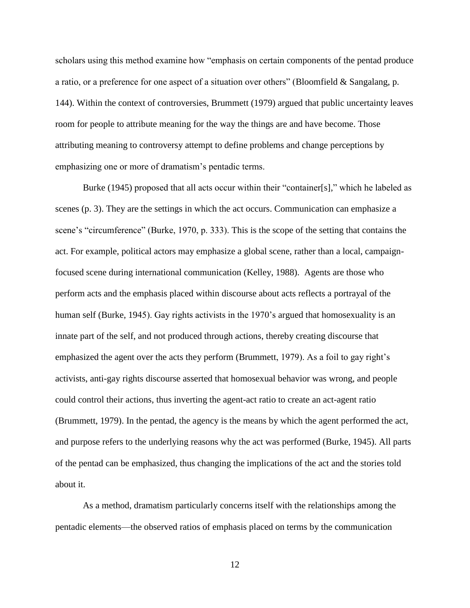scholars using this method examine how "emphasis on certain components of the pentad produce a ratio, or a preference for one aspect of a situation over others" (Bloomfield & Sangalang, p. 144). Within the context of controversies, Brummett (1979) argued that public uncertainty leaves room for people to attribute meaning for the way the things are and have become. Those attributing meaning to controversy attempt to define problems and change perceptions by emphasizing one or more of dramatism's pentadic terms.

Burke (1945) proposed that all acts occur within their "container[s]," which he labeled as scenes (p. 3). They are the settings in which the act occurs. Communication can emphasize a scene's "circumference" (Burke, 1970, p. 333). This is the scope of the setting that contains the act. For example, political actors may emphasize a global scene, rather than a local, campaignfocused scene during international communication (Kelley, 1988). Agents are those who perform acts and the emphasis placed within discourse about acts reflects a portrayal of the human self (Burke, 1945). Gay rights activists in the 1970's argued that homosexuality is an innate part of the self, and not produced through actions, thereby creating discourse that emphasized the agent over the acts they perform (Brummett, 1979). As a foil to gay right's activists, anti-gay rights discourse asserted that homosexual behavior was wrong, and people could control their actions, thus inverting the agent-act ratio to create an act-agent ratio (Brummett, 1979). In the pentad, the agency is the means by which the agent performed the act, and purpose refers to the underlying reasons why the act was performed (Burke, 1945). All parts of the pentad can be emphasized, thus changing the implications of the act and the stories told about it.

As a method, dramatism particularly concerns itself with the relationships among the pentadic elements—the observed ratios of emphasis placed on terms by the communication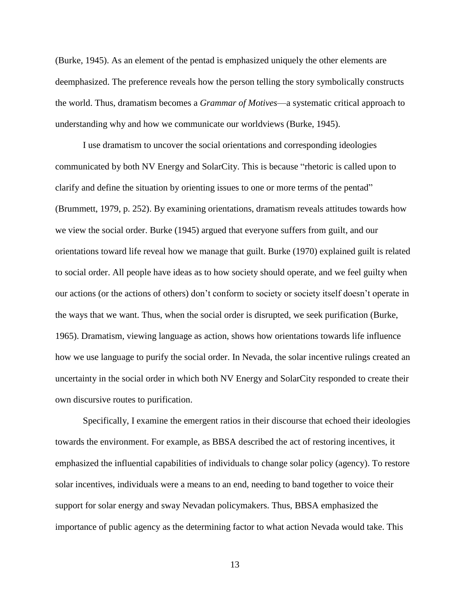(Burke, 1945). As an element of the pentad is emphasized uniquely the other elements are deemphasized. The preference reveals how the person telling the story symbolically constructs the world. Thus, dramatism becomes a *Grammar of Motives*—a systematic critical approach to understanding why and how we communicate our worldviews (Burke, 1945).

I use dramatism to uncover the social orientations and corresponding ideologies communicated by both NV Energy and SolarCity. This is because "rhetoric is called upon to clarify and define the situation by orienting issues to one or more terms of the pentad" (Brummett, 1979, p. 252). By examining orientations, dramatism reveals attitudes towards how we view the social order. Burke (1945) argued that everyone suffers from guilt, and our orientations toward life reveal how we manage that guilt. Burke (1970) explained guilt is related to social order. All people have ideas as to how society should operate, and we feel guilty when our actions (or the actions of others) don't conform to society or society itself doesn't operate in the ways that we want. Thus, when the social order is disrupted, we seek purification (Burke, 1965). Dramatism, viewing language as action, shows how orientations towards life influence how we use language to purify the social order. In Nevada, the solar incentive rulings created an uncertainty in the social order in which both NV Energy and SolarCity responded to create their own discursive routes to purification.

Specifically, I examine the emergent ratios in their discourse that echoed their ideologies towards the environment. For example, as BBSA described the act of restoring incentives, it emphasized the influential capabilities of individuals to change solar policy (agency). To restore solar incentives, individuals were a means to an end, needing to band together to voice their support for solar energy and sway Nevadan policymakers. Thus, BBSA emphasized the importance of public agency as the determining factor to what action Nevada would take. This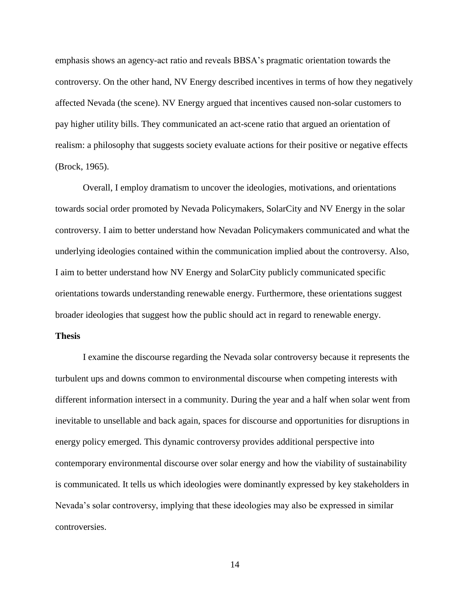emphasis shows an agency-act ratio and reveals BBSA's pragmatic orientation towards the controversy. On the other hand, NV Energy described incentives in terms of how they negatively affected Nevada (the scene). NV Energy argued that incentives caused non-solar customers to pay higher utility bills. They communicated an act-scene ratio that argued an orientation of realism: a philosophy that suggests society evaluate actions for their positive or negative effects (Brock, 1965).

Overall, I employ dramatism to uncover the ideologies, motivations, and orientations towards social order promoted by Nevada Policymakers, SolarCity and NV Energy in the solar controversy. I aim to better understand how Nevadan Policymakers communicated and what the underlying ideologies contained within the communication implied about the controversy. Also, I aim to better understand how NV Energy and SolarCity publicly communicated specific orientations towards understanding renewable energy. Furthermore, these orientations suggest broader ideologies that suggest how the public should act in regard to renewable energy.

#### **Thesis**

I examine the discourse regarding the Nevada solar controversy because it represents the turbulent ups and downs common to environmental discourse when competing interests with different information intersect in a community. During the year and a half when solar went from inevitable to unsellable and back again, spaces for discourse and opportunities for disruptions in energy policy emerged. This dynamic controversy provides additional perspective into contemporary environmental discourse over solar energy and how the viability of sustainability is communicated. It tells us which ideologies were dominantly expressed by key stakeholders in Nevada's solar controversy, implying that these ideologies may also be expressed in similar controversies.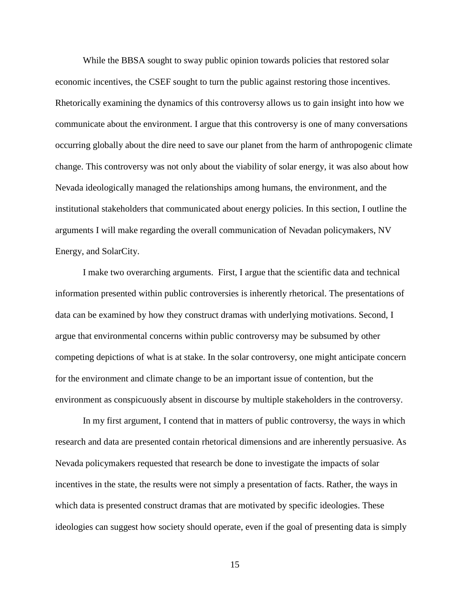While the BBSA sought to sway public opinion towards policies that restored solar economic incentives, the CSEF sought to turn the public against restoring those incentives. Rhetorically examining the dynamics of this controversy allows us to gain insight into how we communicate about the environment. I argue that this controversy is one of many conversations occurring globally about the dire need to save our planet from the harm of anthropogenic climate change. This controversy was not only about the viability of solar energy, it was also about how Nevada ideologically managed the relationships among humans, the environment, and the institutional stakeholders that communicated about energy policies. In this section, I outline the arguments I will make regarding the overall communication of Nevadan policymakers, NV Energy, and SolarCity.

I make two overarching arguments. First, I argue that the scientific data and technical information presented within public controversies is inherently rhetorical. The presentations of data can be examined by how they construct dramas with underlying motivations. Second, I argue that environmental concerns within public controversy may be subsumed by other competing depictions of what is at stake. In the solar controversy, one might anticipate concern for the environment and climate change to be an important issue of contention, but the environment as conspicuously absent in discourse by multiple stakeholders in the controversy.

In my first argument, I contend that in matters of public controversy, the ways in which research and data are presented contain rhetorical dimensions and are inherently persuasive. As Nevada policymakers requested that research be done to investigate the impacts of solar incentives in the state, the results were not simply a presentation of facts. Rather, the ways in which data is presented construct dramas that are motivated by specific ideologies. These ideologies can suggest how society should operate, even if the goal of presenting data is simply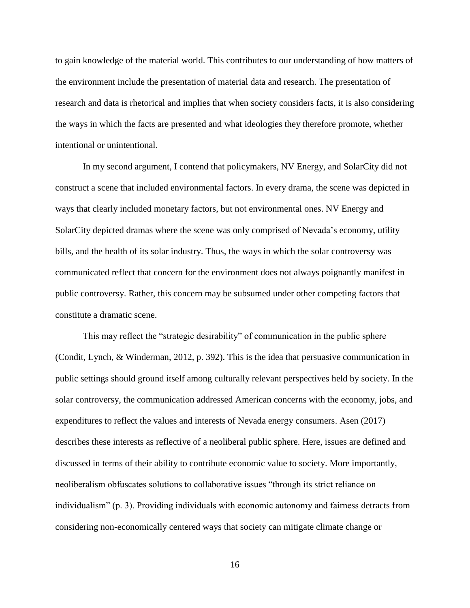to gain knowledge of the material world. This contributes to our understanding of how matters of the environment include the presentation of material data and research. The presentation of research and data is rhetorical and implies that when society considers facts, it is also considering the ways in which the facts are presented and what ideologies they therefore promote, whether intentional or unintentional.

In my second argument, I contend that policymakers, NV Energy, and SolarCity did not construct a scene that included environmental factors. In every drama, the scene was depicted in ways that clearly included monetary factors, but not environmental ones. NV Energy and SolarCity depicted dramas where the scene was only comprised of Nevada's economy, utility bills, and the health of its solar industry. Thus, the ways in which the solar controversy was communicated reflect that concern for the environment does not always poignantly manifest in public controversy. Rather, this concern may be subsumed under other competing factors that constitute a dramatic scene.

This may reflect the "strategic desirability" of communication in the public sphere (Condit, Lynch, & Winderman, 2012, p. 392). This is the idea that persuasive communication in public settings should ground itself among culturally relevant perspectives held by society. In the solar controversy, the communication addressed American concerns with the economy, jobs, and expenditures to reflect the values and interests of Nevada energy consumers. Asen (2017) describes these interests as reflective of a neoliberal public sphere. Here, issues are defined and discussed in terms of their ability to contribute economic value to society. More importantly, neoliberalism obfuscates solutions to collaborative issues "through its strict reliance on individualism" (p. 3). Providing individuals with economic autonomy and fairness detracts from considering non-economically centered ways that society can mitigate climate change or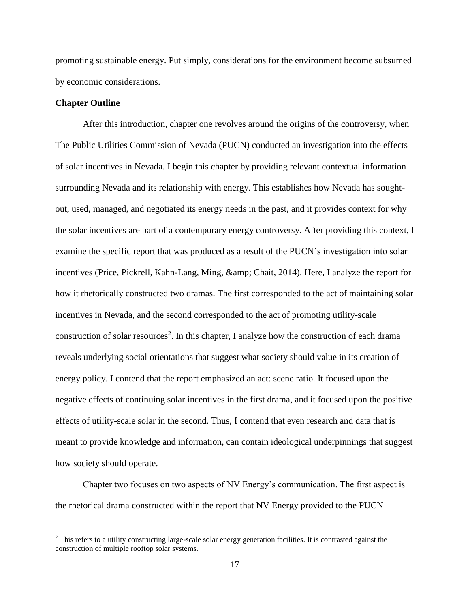promoting sustainable energy. Put simply, considerations for the environment become subsumed by economic considerations.

#### **Chapter Outline**

 $\overline{\phantom{a}}$ 

After this introduction, chapter one revolves around the origins of the controversy, when The Public Utilities Commission of Nevada (PUCN) conducted an investigation into the effects of solar incentives in Nevada. I begin this chapter by providing relevant contextual information surrounding Nevada and its relationship with energy. This establishes how Nevada has soughtout, used, managed, and negotiated its energy needs in the past, and it provides context for why the solar incentives are part of a contemporary energy controversy. After providing this context, I examine the specific report that was produced as a result of the PUCN's investigation into solar incentives (Price, Pickrell, Kahn-Lang, Ming, & amp; Chait, 2014). Here, I analyze the report for how it rhetorically constructed two dramas. The first corresponded to the act of maintaining solar incentives in Nevada, and the second corresponded to the act of promoting utility-scale construction of solar resources<sup>2</sup>. In this chapter, I analyze how the construction of each drama reveals underlying social orientations that suggest what society should value in its creation of energy policy. I contend that the report emphasized an act: scene ratio. It focused upon the negative effects of continuing solar incentives in the first drama, and it focused upon the positive effects of utility-scale solar in the second. Thus, I contend that even research and data that is meant to provide knowledge and information, can contain ideological underpinnings that suggest how society should operate.

Chapter two focuses on two aspects of NV Energy's communication. The first aspect is the rhetorical drama constructed within the report that NV Energy provided to the PUCN

 $2$  This refers to a utility constructing large-scale solar energy generation facilities. It is contrasted against the construction of multiple rooftop solar systems.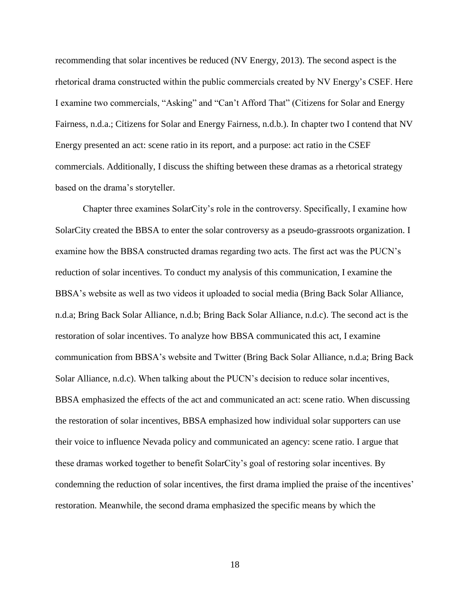recommending that solar incentives be reduced (NV Energy, 2013). The second aspect is the rhetorical drama constructed within the public commercials created by NV Energy's CSEF. Here I examine two commercials, "Asking" and "Can't Afford That" (Citizens for Solar and Energy Fairness, n.d.a.; Citizens for Solar and Energy Fairness, n.d.b.). In chapter two I contend that NV Energy presented an act: scene ratio in its report, and a purpose: act ratio in the CSEF commercials. Additionally, I discuss the shifting between these dramas as a rhetorical strategy based on the drama's storyteller.

Chapter three examines SolarCity's role in the controversy. Specifically, I examine how SolarCity created the BBSA to enter the solar controversy as a pseudo-grassroots organization. I examine how the BBSA constructed dramas regarding two acts. The first act was the PUCN's reduction of solar incentives. To conduct my analysis of this communication, I examine the BBSA's website as well as two videos it uploaded to social media (Bring Back Solar Alliance, n.d.a; Bring Back Solar Alliance, n.d.b; Bring Back Solar Alliance, n.d.c). The second act is the restoration of solar incentives. To analyze how BBSA communicated this act, I examine communication from BBSA's website and Twitter (Bring Back Solar Alliance, n.d.a; Bring Back Solar Alliance, n.d.c). When talking about the PUCN's decision to reduce solar incentives, BBSA emphasized the effects of the act and communicated an act: scene ratio. When discussing the restoration of solar incentives, BBSA emphasized how individual solar supporters can use their voice to influence Nevada policy and communicated an agency: scene ratio. I argue that these dramas worked together to benefit SolarCity's goal of restoring solar incentives. By condemning the reduction of solar incentives, the first drama implied the praise of the incentives' restoration. Meanwhile, the second drama emphasized the specific means by which the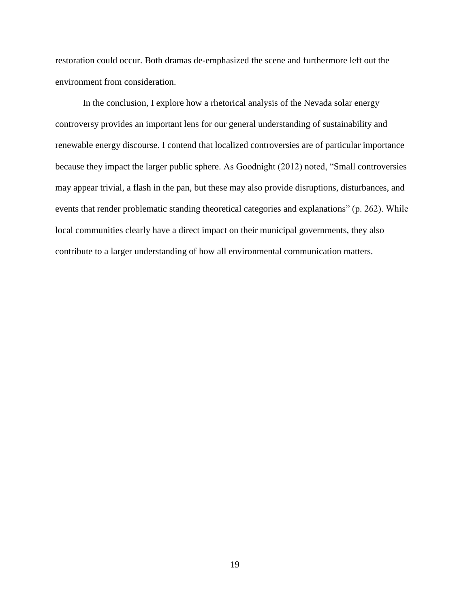restoration could occur. Both dramas de-emphasized the scene and furthermore left out the environment from consideration.

In the conclusion, I explore how a rhetorical analysis of the Nevada solar energy controversy provides an important lens for our general understanding of sustainability and renewable energy discourse. I contend that localized controversies are of particular importance because they impact the larger public sphere. As Goodnight (2012) noted, "Small controversies may appear trivial, a flash in the pan, but these may also provide disruptions, disturbances, and events that render problematic standing theoretical categories and explanations" (p. 262). While local communities clearly have a direct impact on their municipal governments, they also contribute to a larger understanding of how all environmental communication matters.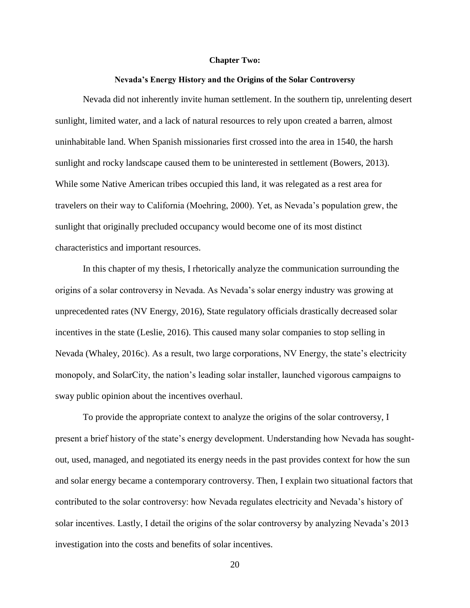#### **Chapter Two:**

#### **Nevada's Energy History and the Origins of the Solar Controversy**

Nevada did not inherently invite human settlement. In the southern tip, unrelenting desert sunlight, limited water, and a lack of natural resources to rely upon created a barren, almost uninhabitable land. When Spanish missionaries first crossed into the area in 1540, the harsh sunlight and rocky landscape caused them to be uninterested in settlement (Bowers, 2013). While some Native American tribes occupied this land, it was relegated as a rest area for travelers on their way to California (Moehring, 2000). Yet, as Nevada's population grew, the sunlight that originally precluded occupancy would become one of its most distinct characteristics and important resources.

In this chapter of my thesis, I rhetorically analyze the communication surrounding the origins of a solar controversy in Nevada. As Nevada's solar energy industry was growing at unprecedented rates (NV Energy, 2016), State regulatory officials drastically decreased solar incentives in the state (Leslie, 2016). This caused many solar companies to stop selling in Nevada (Whaley, 2016c). As a result, two large corporations, NV Energy, the state's electricity monopoly, and SolarCity, the nation's leading solar installer, launched vigorous campaigns to sway public opinion about the incentives overhaul.

To provide the appropriate context to analyze the origins of the solar controversy, I present a brief history of the state's energy development. Understanding how Nevada has soughtout, used, managed, and negotiated its energy needs in the past provides context for how the sun and solar energy became a contemporary controversy. Then, I explain two situational factors that contributed to the solar controversy: how Nevada regulates electricity and Nevada's history of solar incentives. Lastly, I detail the origins of the solar controversy by analyzing Nevada's 2013 investigation into the costs and benefits of solar incentives.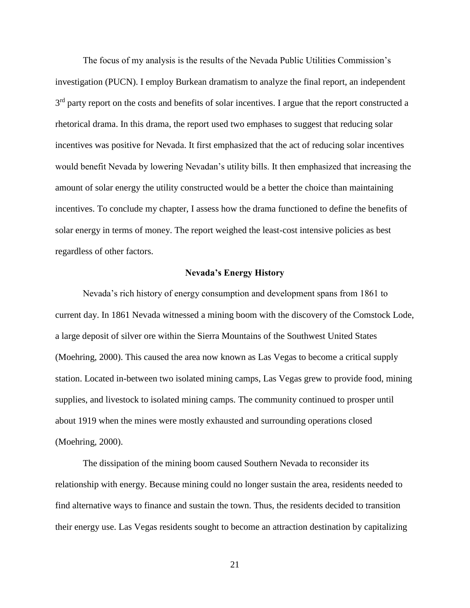The focus of my analysis is the results of the Nevada Public Utilities Commission's investigation (PUCN). I employ Burkean dramatism to analyze the final report, an independent 3<sup>rd</sup> party report on the costs and benefits of solar incentives. I argue that the report constructed a rhetorical drama. In this drama, the report used two emphases to suggest that reducing solar incentives was positive for Nevada. It first emphasized that the act of reducing solar incentives would benefit Nevada by lowering Nevadan's utility bills. It then emphasized that increasing the amount of solar energy the utility constructed would be a better the choice than maintaining incentives. To conclude my chapter, I assess how the drama functioned to define the benefits of solar energy in terms of money. The report weighed the least-cost intensive policies as best regardless of other factors.

#### **Nevada's Energy History**

Nevada's rich history of energy consumption and development spans from 1861 to current day. In 1861 Nevada witnessed a mining boom with the discovery of the Comstock Lode, a large deposit of silver ore within the Sierra Mountains of the Southwest United States (Moehring, 2000). This caused the area now known as Las Vegas to become a critical supply station. Located in-between two isolated mining camps, Las Vegas grew to provide food, mining supplies, and livestock to isolated mining camps. The community continued to prosper until about 1919 when the mines were mostly exhausted and surrounding operations closed (Moehring, 2000).

The dissipation of the mining boom caused Southern Nevada to reconsider its relationship with energy. Because mining could no longer sustain the area, residents needed to find alternative ways to finance and sustain the town. Thus, the residents decided to transition their energy use. Las Vegas residents sought to become an attraction destination by capitalizing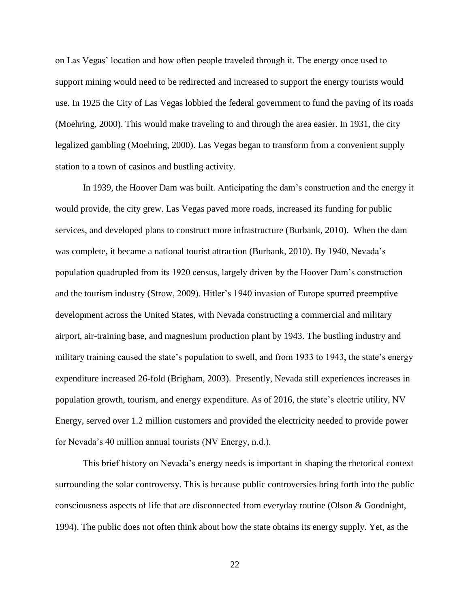on Las Vegas' location and how often people traveled through it. The energy once used to support mining would need to be redirected and increased to support the energy tourists would use. In 1925 the City of Las Vegas lobbied the federal government to fund the paving of its roads (Moehring, 2000). This would make traveling to and through the area easier. In 1931, the city legalized gambling (Moehring, 2000). Las Vegas began to transform from a convenient supply station to a town of casinos and bustling activity.

In 1939, the Hoover Dam was built. Anticipating the dam's construction and the energy it would provide, the city grew. Las Vegas paved more roads, increased its funding for public services, and developed plans to construct more infrastructure (Burbank, 2010). When the dam was complete, it became a national tourist attraction (Burbank, 2010). By 1940, Nevada's population quadrupled from its 1920 census, largely driven by the Hoover Dam's construction and the tourism industry (Strow, 2009). Hitler's 1940 invasion of Europe spurred preemptive development across the United States, with Nevada constructing a commercial and military airport, air-training base, and magnesium production plant by 1943. The bustling industry and military training caused the state's population to swell, and from 1933 to 1943, the state's energy expenditure increased 26-fold (Brigham, 2003). Presently, Nevada still experiences increases in population growth, tourism, and energy expenditure. As of 2016, the state's electric utility, NV Energy, served over 1.2 million customers and provided the electricity needed to provide power for Nevada's 40 million annual tourists (NV Energy, n.d.).

This brief history on Nevada's energy needs is important in shaping the rhetorical context surrounding the solar controversy. This is because public controversies bring forth into the public consciousness aspects of life that are disconnected from everyday routine (Olson & Goodnight, 1994). The public does not often think about how the state obtains its energy supply. Yet, as the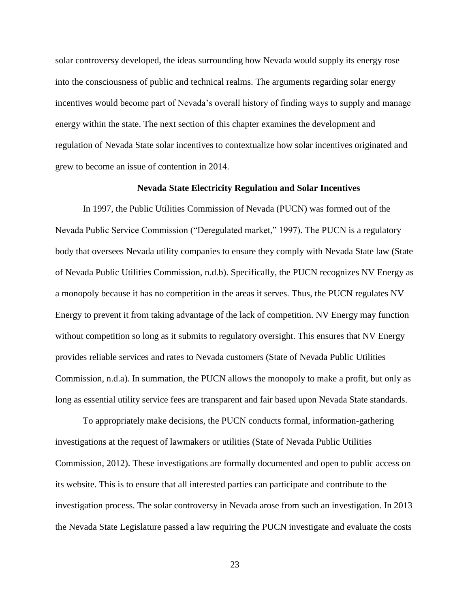solar controversy developed, the ideas surrounding how Nevada would supply its energy rose into the consciousness of public and technical realms. The arguments regarding solar energy incentives would become part of Nevada's overall history of finding ways to supply and manage energy within the state. The next section of this chapter examines the development and regulation of Nevada State solar incentives to contextualize how solar incentives originated and grew to become an issue of contention in 2014.

#### **Nevada State Electricity Regulation and Solar Incentives**

In 1997, the Public Utilities Commission of Nevada (PUCN) was formed out of the Nevada Public Service Commission ("Deregulated market," 1997). The PUCN is a regulatory body that oversees Nevada utility companies to ensure they comply with Nevada State law (State of Nevada Public Utilities Commission, n.d.b). Specifically, the PUCN recognizes NV Energy as a monopoly because it has no competition in the areas it serves. Thus, the PUCN regulates NV Energy to prevent it from taking advantage of the lack of competition. NV Energy may function without competition so long as it submits to regulatory oversight. This ensures that NV Energy provides reliable services and rates to Nevada customers (State of Nevada Public Utilities Commission, n.d.a). In summation, the PUCN allows the monopoly to make a profit, but only as long as essential utility service fees are transparent and fair based upon Nevada State standards.

To appropriately make decisions, the PUCN conducts formal, information-gathering investigations at the request of lawmakers or utilities (State of Nevada Public Utilities Commission, 2012). These investigations are formally documented and open to public access on its website. This is to ensure that all interested parties can participate and contribute to the investigation process. The solar controversy in Nevada arose from such an investigation. In 2013 the Nevada State Legislature passed a law requiring the PUCN investigate and evaluate the costs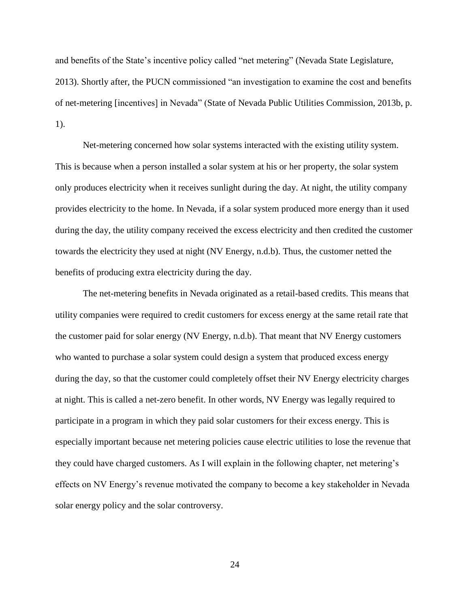and benefits of the State's incentive policy called "net metering" (Nevada State Legislature, 2013). Shortly after, the PUCN commissioned "an investigation to examine the cost and benefits of net-metering [incentives] in Nevada" (State of Nevada Public Utilities Commission, 2013b, p. 1).

Net-metering concerned how solar systems interacted with the existing utility system. This is because when a person installed a solar system at his or her property, the solar system only produces electricity when it receives sunlight during the day. At night, the utility company provides electricity to the home. In Nevada, if a solar system produced more energy than it used during the day, the utility company received the excess electricity and then credited the customer towards the electricity they used at night (NV Energy, n.d.b). Thus, the customer netted the benefits of producing extra electricity during the day.

The net-metering benefits in Nevada originated as a retail-based credits. This means that utility companies were required to credit customers for excess energy at the same retail rate that the customer paid for solar energy (NV Energy, n.d.b). That meant that NV Energy customers who wanted to purchase a solar system could design a system that produced excess energy during the day, so that the customer could completely offset their NV Energy electricity charges at night. This is called a net-zero benefit. In other words, NV Energy was legally required to participate in a program in which they paid solar customers for their excess energy. This is especially important because net metering policies cause electric utilities to lose the revenue that they could have charged customers. As I will explain in the following chapter, net metering's effects on NV Energy's revenue motivated the company to become a key stakeholder in Nevada solar energy policy and the solar controversy.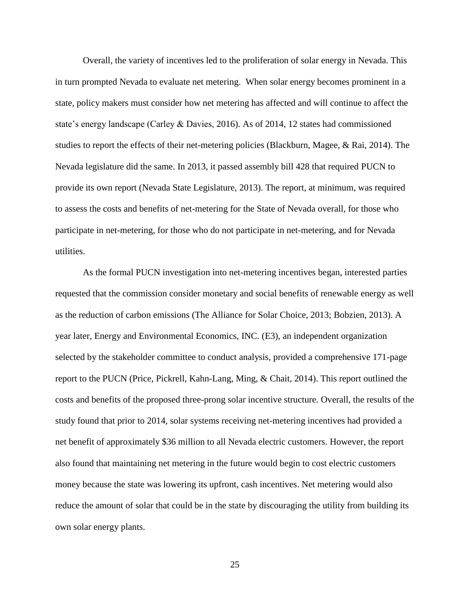Overall, the variety of incentives led to the proliferation of solar energy in Nevada. This in turn prompted Nevada to evaluate net metering. When solar energy becomes prominent in a state, policy makers must consider how net metering has affected and will continue to affect the state's energy landscape (Carley & Davies, 2016). As of 2014, 12 states had commissioned studies to report the effects of their net-metering policies (Blackburn, Magee, & Rai, 2014). The Nevada legislature did the same. In 2013, it passed assembly bill 428 that required PUCN to provide its own report (Nevada State Legislature, 2013). The report, at minimum, was required to assess the costs and benefits of net-metering for the State of Nevada overall, for those who participate in net-metering, for those who do not participate in net-metering, and for Nevada utilities.

As the formal PUCN investigation into net-metering incentives began, interested parties requested that the commission consider monetary and social benefits of renewable energy as well as the reduction of carbon emissions (The Alliance for Solar Choice, 2013; Bobzien, 2013). A year later, Energy and Environmental Economics, INC. (E3), an independent organization selected by the stakeholder committee to conduct analysis, provided a comprehensive 171-page report to the PUCN (Price, Pickrell, Kahn-Lang, Ming, & Chait, 2014). This report outlined the costs and benefits of the proposed three-prong solar incentive structure. Overall, the results of the study found that prior to 2014, solar systems receiving net-metering incentives had provided a net benefit of approximately \$36 million to all Nevada electric customers. However, the report also found that maintaining net metering in the future would begin to cost electric customers money because the state was lowering its upfront, cash incentives. Net metering would also reduce the amount of solar that could be in the state by discouraging the utility from building its own solar energy plants.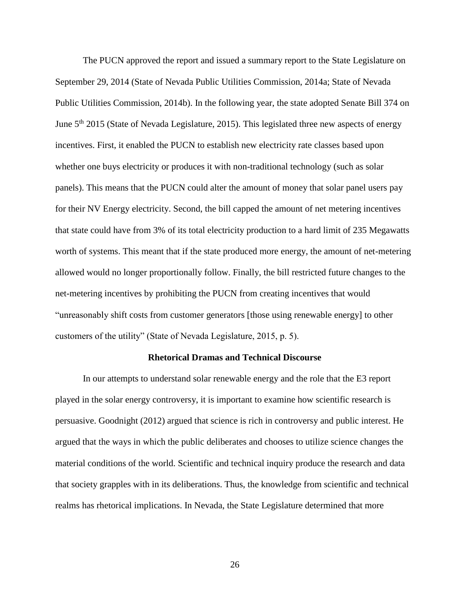The PUCN approved the report and issued a summary report to the State Legislature on September 29, 2014 (State of Nevada Public Utilities Commission, 2014a; State of Nevada Public Utilities Commission, 2014b). In the following year, the state adopted Senate Bill 374 on June 5<sup>th</sup> 2015 (State of Nevada Legislature, 2015). This legislated three new aspects of energy incentives. First, it enabled the PUCN to establish new electricity rate classes based upon whether one buys electricity or produces it with non-traditional technology (such as solar panels). This means that the PUCN could alter the amount of money that solar panel users pay for their NV Energy electricity. Second, the bill capped the amount of net metering incentives that state could have from 3% of its total electricity production to a hard limit of 235 Megawatts worth of systems. This meant that if the state produced more energy, the amount of net-metering allowed would no longer proportionally follow. Finally, the bill restricted future changes to the net-metering incentives by prohibiting the PUCN from creating incentives that would "unreasonably shift costs from customer generators [those using renewable energy] to other customers of the utility" (State of Nevada Legislature, 2015, p. 5).

#### **Rhetorical Dramas and Technical Discourse**

In our attempts to understand solar renewable energy and the role that the E3 report played in the solar energy controversy, it is important to examine how scientific research is persuasive. Goodnight (2012) argued that science is rich in controversy and public interest. He argued that the ways in which the public deliberates and chooses to utilize science changes the material conditions of the world. Scientific and technical inquiry produce the research and data that society grapples with in its deliberations. Thus, the knowledge from scientific and technical realms has rhetorical implications. In Nevada, the State Legislature determined that more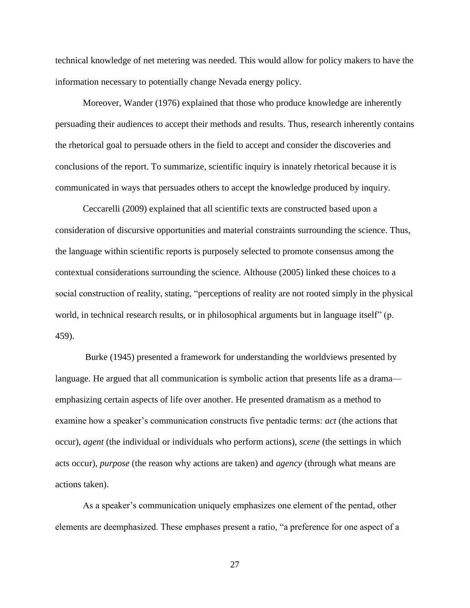technical knowledge of net metering was needed. This would allow for policy makers to have the information necessary to potentially change Nevada energy policy.

Moreover, Wander (1976) explained that those who produce knowledge are inherently persuading their audiences to accept their methods and results. Thus, research inherently contains the rhetorical goal to persuade others in the field to accept and consider the discoveries and conclusions of the report. To summarize, scientific inquiry is innately rhetorical because it is communicated in ways that persuades others to accept the knowledge produced by inquiry.

Ceccarelli (2009) explained that all scientific texts are constructed based upon a consideration of discursive opportunities and material constraints surrounding the science. Thus, the language within scientific reports is purposely selected to promote consensus among the contextual considerations surrounding the science. Althouse (2005) linked these choices to a social construction of reality, stating, "perceptions of reality are not rooted simply in the physical world, in technical research results, or in philosophical arguments but in language itself" (p. 459).

Burke (1945) presented a framework for understanding the worldviews presented by language. He argued that all communication is symbolic action that presents life as a drama emphasizing certain aspects of life over another. He presented dramatism as a method to examine how a speaker's communication constructs five pentadic terms: *act* (the actions that occur), *agent* (the individual or individuals who perform actions), *scene* (the settings in which acts occur), *purpose* (the reason why actions are taken) and *agency* (through what means are actions taken).

As a speaker's communication uniquely emphasizes one element of the pentad, other elements are deemphasized. These emphases present a ratio, "a preference for one aspect of a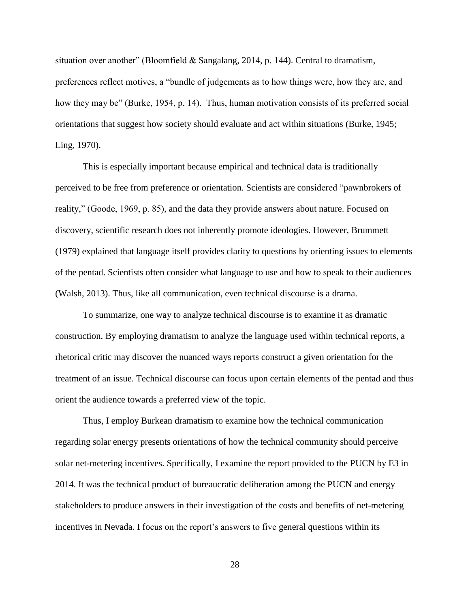situation over another" (Bloomfield & Sangalang, 2014, p. 144). Central to dramatism, preferences reflect motives, a "bundle of judgements as to how things were, how they are, and how they may be" (Burke, 1954, p. 14). Thus, human motivation consists of its preferred social orientations that suggest how society should evaluate and act within situations (Burke, 1945; Ling, 1970).

This is especially important because empirical and technical data is traditionally perceived to be free from preference or orientation. Scientists are considered "pawnbrokers of reality," (Goode, 1969, p. 85), and the data they provide answers about nature. Focused on discovery, scientific research does not inherently promote ideologies. However, Brummett (1979) explained that language itself provides clarity to questions by orienting issues to elements of the pentad. Scientists often consider what language to use and how to speak to their audiences (Walsh, 2013). Thus, like all communication, even technical discourse is a drama.

To summarize, one way to analyze technical discourse is to examine it as dramatic construction. By employing dramatism to analyze the language used within technical reports, a rhetorical critic may discover the nuanced ways reports construct a given orientation for the treatment of an issue. Technical discourse can focus upon certain elements of the pentad and thus orient the audience towards a preferred view of the topic.

Thus, I employ Burkean dramatism to examine how the technical communication regarding solar energy presents orientations of how the technical community should perceive solar net-metering incentives. Specifically, I examine the report provided to the PUCN by E3 in 2014. It was the technical product of bureaucratic deliberation among the PUCN and energy stakeholders to produce answers in their investigation of the costs and benefits of net-metering incentives in Nevada. I focus on the report's answers to five general questions within its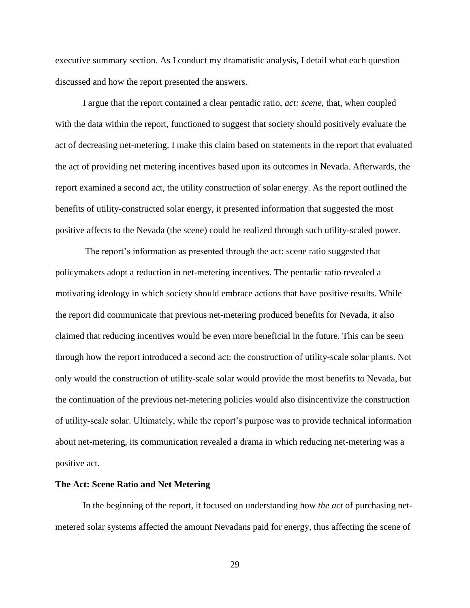executive summary section. As I conduct my dramatistic analysis, I detail what each question discussed and how the report presented the answers.

I argue that the report contained a clear pentadic ratio, *act: scene*, that, when coupled with the data within the report, functioned to suggest that society should positively evaluate the act of decreasing net-metering. I make this claim based on statements in the report that evaluated the act of providing net metering incentives based upon its outcomes in Nevada. Afterwards, the report examined a second act, the utility construction of solar energy. As the report outlined the benefits of utility-constructed solar energy, it presented information that suggested the most positive affects to the Nevada (the scene) could be realized through such utility-scaled power.

The report's information as presented through the act: scene ratio suggested that policymakers adopt a reduction in net-metering incentives. The pentadic ratio revealed a motivating ideology in which society should embrace actions that have positive results. While the report did communicate that previous net-metering produced benefits for Nevada, it also claimed that reducing incentives would be even more beneficial in the future. This can be seen through how the report introduced a second act: the construction of utility-scale solar plants. Not only would the construction of utility-scale solar would provide the most benefits to Nevada, but the continuation of the previous net-metering policies would also disincentivize the construction of utility-scale solar. Ultimately, while the report's purpose was to provide technical information about net-metering, its communication revealed a drama in which reducing net-metering was a positive act.

#### **The Act: Scene Ratio and Net Metering**

In the beginning of the report, it focused on understanding how *the act* of purchasing netmetered solar systems affected the amount Nevadans paid for energy, thus affecting the scene of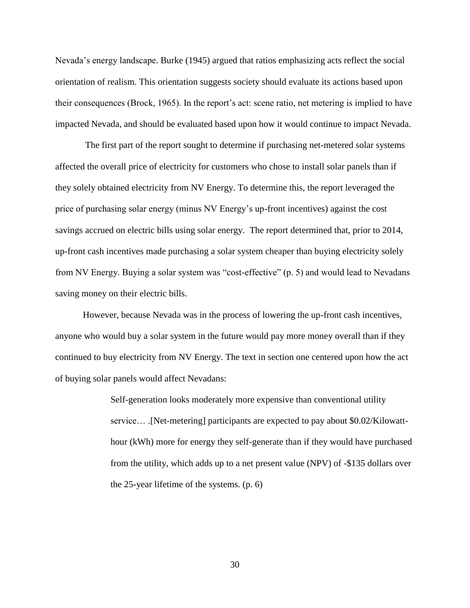Nevada's energy landscape. Burke (1945) argued that ratios emphasizing acts reflect the social orientation of realism. This orientation suggests society should evaluate its actions based upon their consequences (Brock, 1965). In the report's act: scene ratio, net metering is implied to have impacted Nevada, and should be evaluated based upon how it would continue to impact Nevada.

The first part of the report sought to determine if purchasing net-metered solar systems affected the overall price of electricity for customers who chose to install solar panels than if they solely obtained electricity from NV Energy. To determine this, the report leveraged the price of purchasing solar energy (minus NV Energy's up-front incentives) against the cost savings accrued on electric bills using solar energy. The report determined that, prior to 2014, up-front cash incentives made purchasing a solar system cheaper than buying electricity solely from NV Energy. Buying a solar system was "cost-effective" (p. 5) and would lead to Nevadans saving money on their electric bills.

However, because Nevada was in the process of lowering the up-front cash incentives, anyone who would buy a solar system in the future would pay more money overall than if they continued to buy electricity from NV Energy. The text in section one centered upon how the act of buying solar panels would affect Nevadans:

> Self-generation looks moderately more expensive than conventional utility service.... [Net-metering] participants are expected to pay about \$0.02/Kilowatthour (kWh) more for energy they self-generate than if they would have purchased from the utility, which adds up to a net present value (NPV) of -\$135 dollars over the 25-year lifetime of the systems. (p. 6)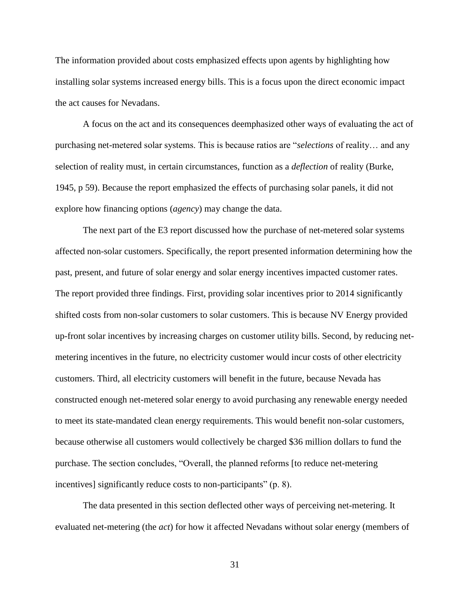The information provided about costs emphasized effects upon agents by highlighting how installing solar systems increased energy bills. This is a focus upon the direct economic impact the act causes for Nevadans.

A focus on the act and its consequences deemphasized other ways of evaluating the act of purchasing net-metered solar systems. This is because ratios are "*selections* of reality… and any selection of reality must, in certain circumstances, function as a *deflection* of reality (Burke, 1945, p 59). Because the report emphasized the effects of purchasing solar panels, it did not explore how financing options (*agency*) may change the data.

The next part of the E3 report discussed how the purchase of net-metered solar systems affected non-solar customers. Specifically, the report presented information determining how the past, present, and future of solar energy and solar energy incentives impacted customer rates. The report provided three findings. First, providing solar incentives prior to 2014 significantly shifted costs from non-solar customers to solar customers. This is because NV Energy provided up-front solar incentives by increasing charges on customer utility bills. Second, by reducing netmetering incentives in the future, no electricity customer would incur costs of other electricity customers. Third, all electricity customers will benefit in the future, because Nevada has constructed enough net-metered solar energy to avoid purchasing any renewable energy needed to meet its state-mandated clean energy requirements. This would benefit non-solar customers, because otherwise all customers would collectively be charged \$36 million dollars to fund the purchase. The section concludes, "Overall, the planned reforms [to reduce net-metering incentives] significantly reduce costs to non-participants" (p. 8).

The data presented in this section deflected other ways of perceiving net-metering. It evaluated net-metering (the *act*) for how it affected Nevadans without solar energy (members of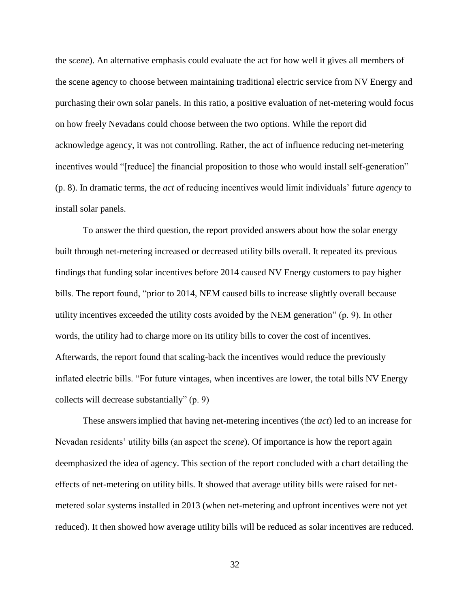the *scene*). An alternative emphasis could evaluate the act for how well it gives all members of the scene agency to choose between maintaining traditional electric service from NV Energy and purchasing their own solar panels. In this ratio, a positive evaluation of net-metering would focus on how freely Nevadans could choose between the two options. While the report did acknowledge agency, it was not controlling. Rather, the act of influence reducing net-metering incentives would "[reduce] the financial proposition to those who would install self-generation" (p. 8). In dramatic terms, the *act* of reducing incentives would limit individuals' future *agency* to install solar panels.

To answer the third question, the report provided answers about how the solar energy built through net-metering increased or decreased utility bills overall. It repeated its previous findings that funding solar incentives before 2014 caused NV Energy customers to pay higher bills. The report found, "prior to 2014, NEM caused bills to increase slightly overall because utility incentives exceeded the utility costs avoided by the NEM generation" (p. 9). In other words, the utility had to charge more on its utility bills to cover the cost of incentives. Afterwards, the report found that scaling-back the incentives would reduce the previously inflated electric bills. "For future vintages, when incentives are lower, the total bills NV Energy collects will decrease substantially" (p. 9)

These answersimplied that having net-metering incentives (the *act*) led to an increase for Nevadan residents' utility bills (an aspect the *scene*). Of importance is how the report again deemphasized the idea of agency. This section of the report concluded with a chart detailing the effects of net-metering on utility bills. It showed that average utility bills were raised for netmetered solar systems installed in 2013 (when net-metering and upfront incentives were not yet reduced). It then showed how average utility bills will be reduced as solar incentives are reduced.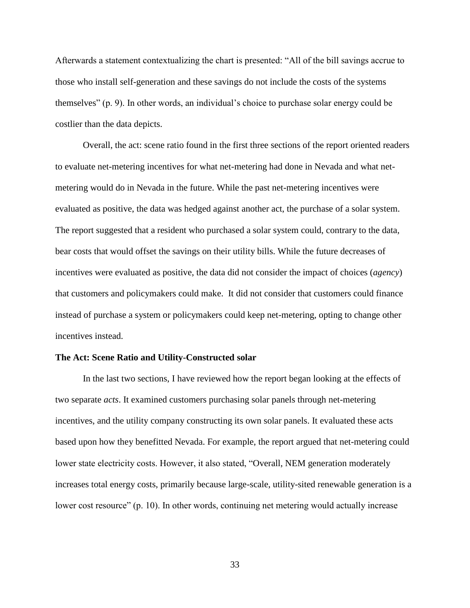Afterwards a statement contextualizing the chart is presented: "All of the bill savings accrue to those who install self-generation and these savings do not include the costs of the systems themselves" (p. 9). In other words, an individual's choice to purchase solar energy could be costlier than the data depicts.

Overall, the act: scene ratio found in the first three sections of the report oriented readers to evaluate net-metering incentives for what net-metering had done in Nevada and what netmetering would do in Nevada in the future. While the past net-metering incentives were evaluated as positive, the data was hedged against another act, the purchase of a solar system. The report suggested that a resident who purchased a solar system could, contrary to the data, bear costs that would offset the savings on their utility bills. While the future decreases of incentives were evaluated as positive, the data did not consider the impact of choices (*agency*) that customers and policymakers could make. It did not consider that customers could finance instead of purchase a system or policymakers could keep net-metering, opting to change other incentives instead.

#### **The Act: Scene Ratio and Utility-Constructed solar**

In the last two sections, I have reviewed how the report began looking at the effects of two separate *acts*. It examined customers purchasing solar panels through net-metering incentives, and the utility company constructing its own solar panels. It evaluated these acts based upon how they benefitted Nevada. For example, the report argued that net-metering could lower state electricity costs. However, it also stated, "Overall, NEM generation moderately increases total energy costs, primarily because large-scale, utility-sited renewable generation is a lower cost resource" (p. 10). In other words, continuing net metering would actually increase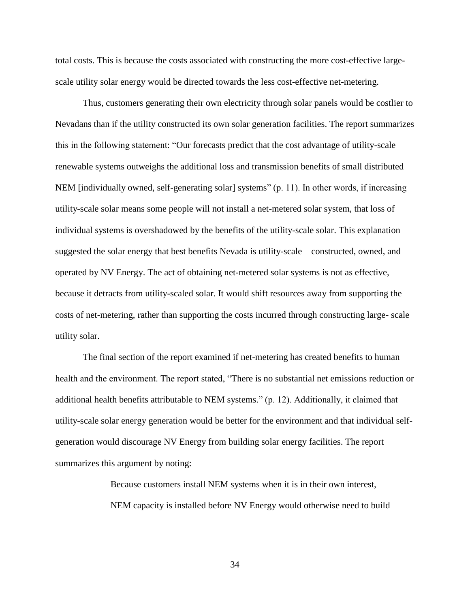total costs. This is because the costs associated with constructing the more cost-effective largescale utility solar energy would be directed towards the less cost-effective net-metering.

Thus, customers generating their own electricity through solar panels would be costlier to Nevadans than if the utility constructed its own solar generation facilities. The report summarizes this in the following statement: "Our forecasts predict that the cost advantage of utility-scale renewable systems outweighs the additional loss and transmission benefits of small distributed NEM [individually owned, self-generating solar] systems" (p. 11). In other words, if increasing utility-scale solar means some people will not install a net-metered solar system, that loss of individual systems is overshadowed by the benefits of the utility-scale solar. This explanation suggested the solar energy that best benefits Nevada is utility-scale—constructed, owned, and operated by NV Energy. The act of obtaining net-metered solar systems is not as effective, because it detracts from utility-scaled solar. It would shift resources away from supporting the costs of net-metering, rather than supporting the costs incurred through constructing large- scale utility solar.

The final section of the report examined if net-metering has created benefits to human health and the environment. The report stated, "There is no substantial net emissions reduction or additional health benefits attributable to NEM systems." (p. 12). Additionally, it claimed that utility-scale solar energy generation would be better for the environment and that individual selfgeneration would discourage NV Energy from building solar energy facilities. The report summarizes this argument by noting:

> Because customers install NEM systems when it is in their own interest, NEM capacity is installed before NV Energy would otherwise need to build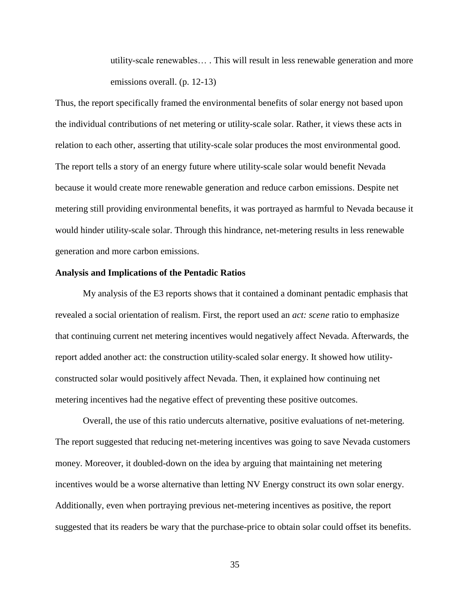utility-scale renewables… . This will result in less renewable generation and more emissions overall. (p. 12-13)

Thus, the report specifically framed the environmental benefits of solar energy not based upon the individual contributions of net metering or utility-scale solar. Rather, it views these acts in relation to each other, asserting that utility-scale solar produces the most environmental good. The report tells a story of an energy future where utility-scale solar would benefit Nevada because it would create more renewable generation and reduce carbon emissions. Despite net metering still providing environmental benefits, it was portrayed as harmful to Nevada because it would hinder utility-scale solar. Through this hindrance, net-metering results in less renewable generation and more carbon emissions.

### **Analysis and Implications of the Pentadic Ratios**

My analysis of the E3 reports shows that it contained a dominant pentadic emphasis that revealed a social orientation of realism. First, the report used an *act: scene* ratio to emphasize that continuing current net metering incentives would negatively affect Nevada. Afterwards, the report added another act: the construction utility-scaled solar energy. It showed how utilityconstructed solar would positively affect Nevada. Then, it explained how continuing net metering incentives had the negative effect of preventing these positive outcomes.

Overall, the use of this ratio undercuts alternative, positive evaluations of net-metering. The report suggested that reducing net-metering incentives was going to save Nevada customers money. Moreover, it doubled-down on the idea by arguing that maintaining net metering incentives would be a worse alternative than letting NV Energy construct its own solar energy. Additionally, even when portraying previous net-metering incentives as positive, the report suggested that its readers be wary that the purchase-price to obtain solar could offset its benefits.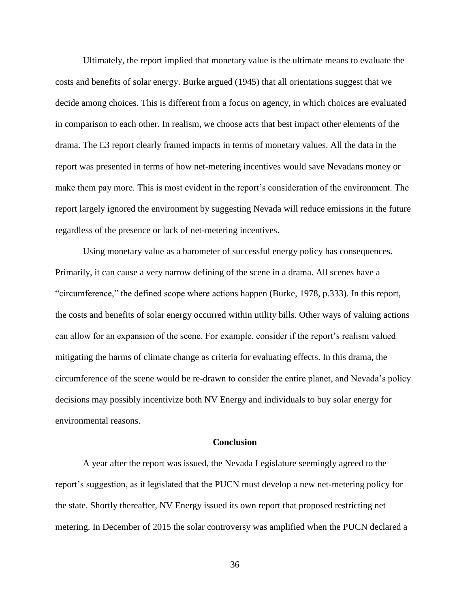Ultimately, the report implied that monetary value is the ultimate means to evaluate the costs and benefits of solar energy. Burke argued (1945) that all orientations suggest that we decide among choices. This is different from a focus on agency, in which choices are evaluated in comparison to each other. In realism, we choose acts that best impact other elements of the drama. The E3 report clearly framed impacts in terms of monetary values. All the data in the report was presented in terms of how net-metering incentives would save Nevadans money or make them pay more. This is most evident in the report's consideration of the environment. The report largely ignored the environment by suggesting Nevada will reduce emissions in the future regardless of the presence or lack of net-metering incentives.

Using monetary value as a barometer of successful energy policy has consequences. Primarily, it can cause a very narrow defining of the scene in a drama. All scenes have a "circumference," the defined scope where actions happen (Burke, 1978, p.333). In this report, the costs and benefits of solar energy occurred within utility bills. Other ways of valuing actions can allow for an expansion of the scene. For example, consider if the report's realism valued mitigating the harms of climate change as criteria for evaluating effects. In this drama, the circumference of the scene would be re-drawn to consider the entire planet, and Nevada's policy decisions may possibly incentivize both NV Energy and individuals to buy solar energy for environmental reasons.

#### **Conclusion**

A year after the report was issued, the Nevada Legislature seemingly agreed to the report's suggestion, as it legislated that the PUCN must develop a new net-metering policy for the state. Shortly thereafter, NV Energy issued its own report that proposed restricting net metering. In December of 2015 the solar controversy was amplified when the PUCN declared a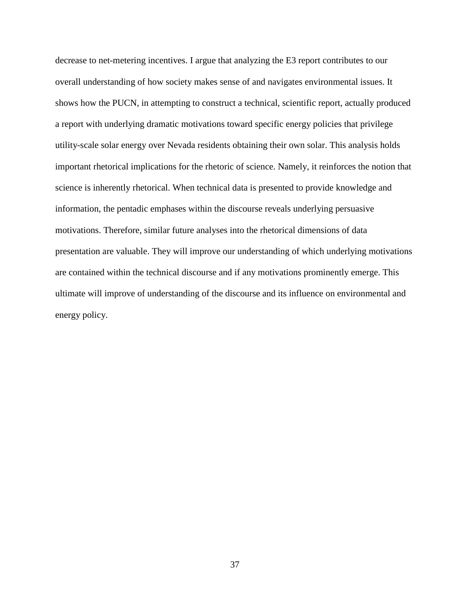decrease to net-metering incentives. I argue that analyzing the E3 report contributes to our overall understanding of how society makes sense of and navigates environmental issues. It shows how the PUCN, in attempting to construct a technical, scientific report, actually produced a report with underlying dramatic motivations toward specific energy policies that privilege utility-scale solar energy over Nevada residents obtaining their own solar. This analysis holds important rhetorical implications for the rhetoric of science. Namely, it reinforces the notion that science is inherently rhetorical. When technical data is presented to provide knowledge and information, the pentadic emphases within the discourse reveals underlying persuasive motivations. Therefore, similar future analyses into the rhetorical dimensions of data presentation are valuable. They will improve our understanding of which underlying motivations are contained within the technical discourse and if any motivations prominently emerge. This ultimate will improve of understanding of the discourse and its influence on environmental and energy policy.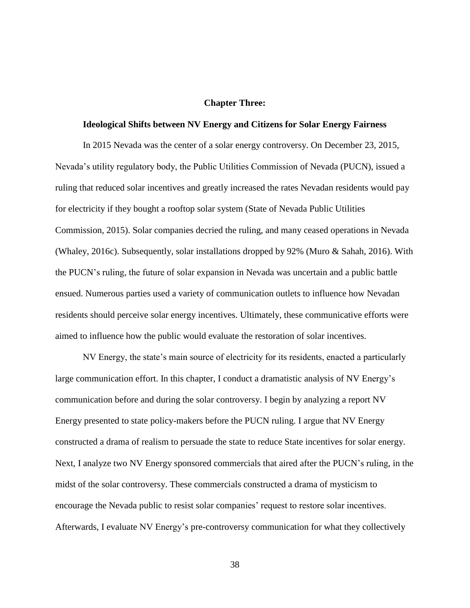#### **Chapter Three:**

#### **Ideological Shifts between NV Energy and Citizens for Solar Energy Fairness**

In 2015 Nevada was the center of a solar energy controversy. On December 23, 2015, Nevada's utility regulatory body, the Public Utilities Commission of Nevada (PUCN), issued a ruling that reduced solar incentives and greatly increased the rates Nevadan residents would pay for electricity if they bought a rooftop solar system (State of Nevada Public Utilities Commission, 2015). Solar companies decried the ruling, and many ceased operations in Nevada (Whaley, 2016c). Subsequently, solar installations dropped by 92% (Muro & Sahah, 2016). With the PUCN's ruling, the future of solar expansion in Nevada was uncertain and a public battle ensued. Numerous parties used a variety of communication outlets to influence how Nevadan residents should perceive solar energy incentives. Ultimately, these communicative efforts were aimed to influence how the public would evaluate the restoration of solar incentives.

NV Energy, the state's main source of electricity for its residents, enacted a particularly large communication effort. In this chapter, I conduct a dramatistic analysis of NV Energy's communication before and during the solar controversy. I begin by analyzing a report NV Energy presented to state policy-makers before the PUCN ruling. I argue that NV Energy constructed a drama of realism to persuade the state to reduce State incentives for solar energy. Next, I analyze two NV Energy sponsored commercials that aired after the PUCN's ruling, in the midst of the solar controversy. These commercials constructed a drama of mysticism to encourage the Nevada public to resist solar companies' request to restore solar incentives. Afterwards, I evaluate NV Energy's pre-controversy communication for what they collectively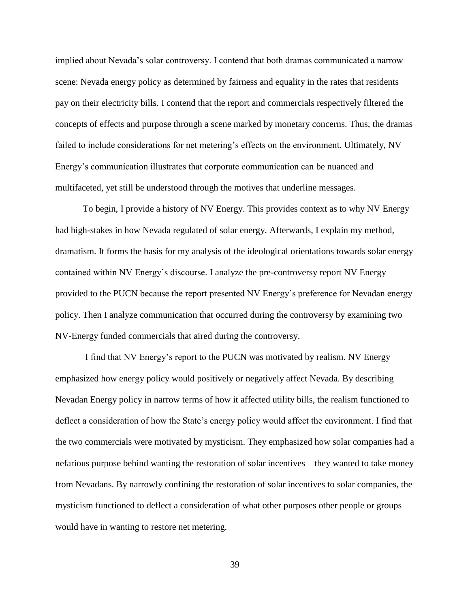implied about Nevada's solar controversy. I contend that both dramas communicated a narrow scene: Nevada energy policy as determined by fairness and equality in the rates that residents pay on their electricity bills. I contend that the report and commercials respectively filtered the concepts of effects and purpose through a scene marked by monetary concerns. Thus, the dramas failed to include considerations for net metering's effects on the environment. Ultimately, NV Energy's communication illustrates that corporate communication can be nuanced and multifaceted, yet still be understood through the motives that underline messages.

To begin, I provide a history of NV Energy. This provides context as to why NV Energy had high-stakes in how Nevada regulated of solar energy. Afterwards, I explain my method, dramatism. It forms the basis for my analysis of the ideological orientations towards solar energy contained within NV Energy's discourse. I analyze the pre-controversy report NV Energy provided to the PUCN because the report presented NV Energy's preference for Nevadan energy policy. Then I analyze communication that occurred during the controversy by examining two NV-Energy funded commercials that aired during the controversy.

I find that NV Energy's report to the PUCN was motivated by realism. NV Energy emphasized how energy policy would positively or negatively affect Nevada. By describing Nevadan Energy policy in narrow terms of how it affected utility bills, the realism functioned to deflect a consideration of how the State's energy policy would affect the environment. I find that the two commercials were motivated by mysticism. They emphasized how solar companies had a nefarious purpose behind wanting the restoration of solar incentives—they wanted to take money from Nevadans. By narrowly confining the restoration of solar incentives to solar companies, the mysticism functioned to deflect a consideration of what other purposes other people or groups would have in wanting to restore net metering.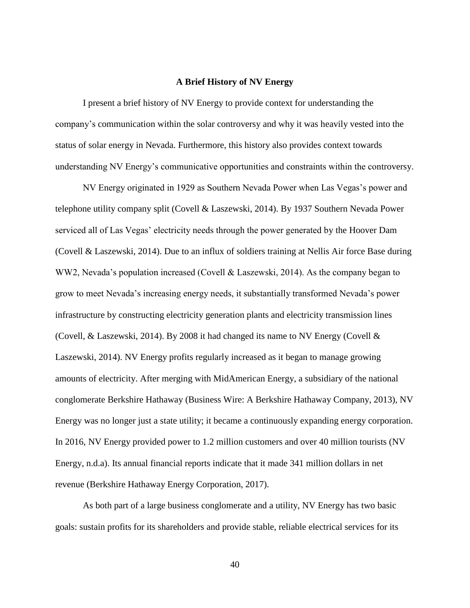### **A Brief History of NV Energy**

I present a brief history of NV Energy to provide context for understanding the company's communication within the solar controversy and why it was heavily vested into the status of solar energy in Nevada. Furthermore, this history also provides context towards understanding NV Energy's communicative opportunities and constraints within the controversy.

NV Energy originated in 1929 as Southern Nevada Power when Las Vegas's power and telephone utility company split (Covell & Laszewski, 2014). By 1937 Southern Nevada Power serviced all of Las Vegas' electricity needs through the power generated by the Hoover Dam (Covell & Laszewski, 2014). Due to an influx of soldiers training at Nellis Air force Base during WW2, Nevada's population increased (Covell & Laszewski, 2014). As the company began to grow to meet Nevada's increasing energy needs, it substantially transformed Nevada's power infrastructure by constructing electricity generation plants and electricity transmission lines (Covell, & Laszewski, 2014). By 2008 it had changed its name to NV Energy (Covell  $\&$ Laszewski, 2014). NV Energy profits regularly increased as it began to manage growing amounts of electricity. After merging with MidAmerican Energy, a subsidiary of the national conglomerate Berkshire Hathaway (Business Wire: A Berkshire Hathaway Company, 2013), NV Energy was no longer just a state utility; it became a continuously expanding energy corporation. In 2016, NV Energy provided power to 1.2 million customers and over 40 million tourists (NV Energy, n.d.a). Its annual financial reports indicate that it made 341 million dollars in net revenue (Berkshire Hathaway Energy Corporation, 2017).

As both part of a large business conglomerate and a utility, NV Energy has two basic goals: sustain profits for its shareholders and provide stable, reliable electrical services for its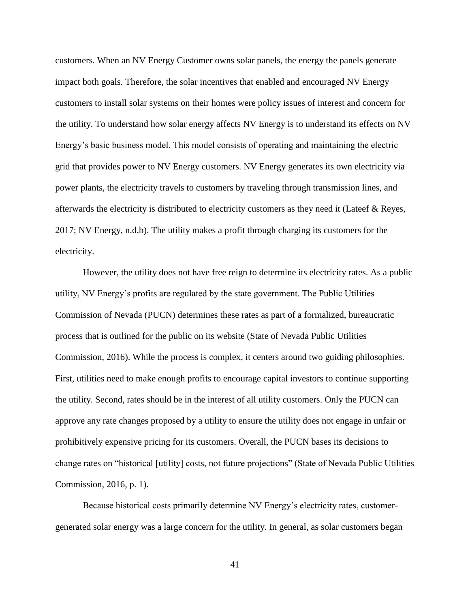customers. When an NV Energy Customer owns solar panels, the energy the panels generate impact both goals. Therefore, the solar incentives that enabled and encouraged NV Energy customers to install solar systems on their homes were policy issues of interest and concern for the utility. To understand how solar energy affects NV Energy is to understand its effects on NV Energy's basic business model. This model consists of operating and maintaining the electric grid that provides power to NV Energy customers. NV Energy generates its own electricity via power plants, the electricity travels to customers by traveling through transmission lines, and afterwards the electricity is distributed to electricity customers as they need it (Lateef & Reyes, 2017; NV Energy, n.d.b). The utility makes a profit through charging its customers for the electricity.

However, the utility does not have free reign to determine its electricity rates. As a public utility, NV Energy's profits are regulated by the state government. The Public Utilities Commission of Nevada (PUCN) determines these rates as part of a formalized, bureaucratic process that is outlined for the public on its website (State of Nevada Public Utilities Commission, 2016). While the process is complex, it centers around two guiding philosophies. First, utilities need to make enough profits to encourage capital investors to continue supporting the utility. Second, rates should be in the interest of all utility customers. Only the PUCN can approve any rate changes proposed by a utility to ensure the utility does not engage in unfair or prohibitively expensive pricing for its customers. Overall, the PUCN bases its decisions to change rates on "historical [utility] costs, not future projections" (State of Nevada Public Utilities Commission, 2016, p. 1).

Because historical costs primarily determine NV Energy's electricity rates, customergenerated solar energy was a large concern for the utility. In general, as solar customers began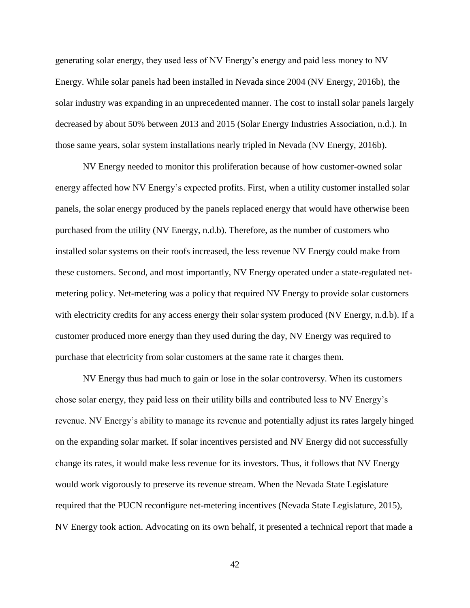generating solar energy, they used less of NV Energy's energy and paid less money to NV Energy. While solar panels had been installed in Nevada since 2004 (NV Energy, 2016b), the solar industry was expanding in an unprecedented manner. The cost to install solar panels largely decreased by about 50% between 2013 and 2015 (Solar Energy Industries Association, n.d.). In those same years, solar system installations nearly tripled in Nevada (NV Energy, 2016b).

NV Energy needed to monitor this proliferation because of how customer-owned solar energy affected how NV Energy's expected profits. First, when a utility customer installed solar panels, the solar energy produced by the panels replaced energy that would have otherwise been purchased from the utility (NV Energy, n.d.b). Therefore, as the number of customers who installed solar systems on their roofs increased, the less revenue NV Energy could make from these customers. Second, and most importantly, NV Energy operated under a state-regulated netmetering policy. Net-metering was a policy that required NV Energy to provide solar customers with electricity credits for any access energy their solar system produced (NV Energy, n.d.b). If a customer produced more energy than they used during the day, NV Energy was required to purchase that electricity from solar customers at the same rate it charges them.

NV Energy thus had much to gain or lose in the solar controversy. When its customers chose solar energy, they paid less on their utility bills and contributed less to NV Energy's revenue. NV Energy's ability to manage its revenue and potentially adjust its rates largely hinged on the expanding solar market. If solar incentives persisted and NV Energy did not successfully change its rates, it would make less revenue for its investors. Thus, it follows that NV Energy would work vigorously to preserve its revenue stream. When the Nevada State Legislature required that the PUCN reconfigure net-metering incentives (Nevada State Legislature, 2015), NV Energy took action. Advocating on its own behalf, it presented a technical report that made a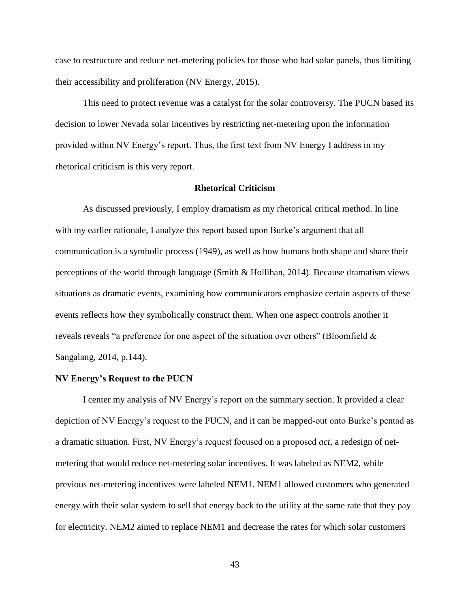case to restructure and reduce net-metering policies for those who had solar panels, thus limiting their accessibility and proliferation (NV Energy, 2015).

This need to protect revenue was a catalyst for the solar controversy. The PUCN based its decision to lower Nevada solar incentives by restricting net-metering upon the information provided within NV Energy's report. Thus, the first text from NV Energy I address in my rhetorical criticism is this very report.

# **Rhetorical Criticism**

As discussed previously, I employ dramatism as my rhetorical critical method. In line with my earlier rationale, I analyze this report based upon Burke's argument that all communication is a symbolic process (1949), as well as how humans both shape and share their perceptions of the world through language (Smith & Hollihan, 2014). Because dramatism views situations as dramatic events, examining how communicators emphasize certain aspects of these events reflects how they symbolically construct them. When one aspect controls another it reveals reveals "a preference for one aspect of the situation over others" (Bloomfield & Sangalang, 2014, p.144).

### **NV Energy's Request to the PUCN**

I center my analysis of NV Energy's report on the summary section. It provided a clear depiction of NV Energy's request to the PUCN, and it can be mapped-out onto Burke's pentad as a dramatic situation. First, NV Energy's request focused on a proposed *act*, a redesign of netmetering that would reduce net-metering solar incentives. It was labeled as NEM2, while previous net-metering incentives were labeled NEM1. NEM1 allowed customers who generated energy with their solar system to sell that energy back to the utility at the same rate that they pay for electricity. NEM2 aimed to replace NEM1 and decrease the rates for which solar customers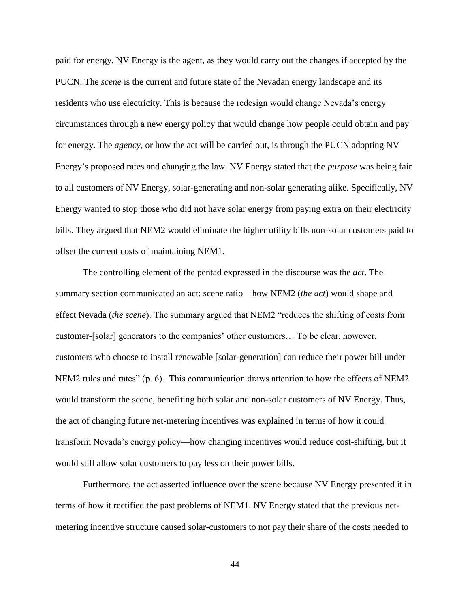paid for energy. NV Energy is the agent, as they would carry out the changes if accepted by the PUCN. The *scene* is the current and future state of the Nevadan energy landscape and its residents who use electricity. This is because the redesign would change Nevada's energy circumstances through a new energy policy that would change how people could obtain and pay for energy. The *agency*, or how the act will be carried out, is through the PUCN adopting NV Energy's proposed rates and changing the law. NV Energy stated that the *purpose* was being fair to all customers of NV Energy, solar-generating and non-solar generating alike. Specifically, NV Energy wanted to stop those who did not have solar energy from paying extra on their electricity bills. They argued that NEM2 would eliminate the higher utility bills non-solar customers paid to offset the current costs of maintaining NEM1.

The controlling element of the pentad expressed in the discourse was the *act*. The summary section communicated an act: scene ratio—how NEM2 (*the act*) would shape and effect Nevada (*the scene*). The summary argued that NEM2 "reduces the shifting of costs from customer-[solar] generators to the companies' other customers… To be clear, however, customers who choose to install renewable [solar-generation] can reduce their power bill under NEM2 rules and rates" (p. 6). This communication draws attention to how the effects of NEM2 would transform the scene, benefiting both solar and non-solar customers of NV Energy. Thus, the act of changing future net-metering incentives was explained in terms of how it could transform Nevada's energy policy—how changing incentives would reduce cost-shifting, but it would still allow solar customers to pay less on their power bills.

Furthermore, the act asserted influence over the scene because NV Energy presented it in terms of how it rectified the past problems of NEM1. NV Energy stated that the previous netmetering incentive structure caused solar-customers to not pay their share of the costs needed to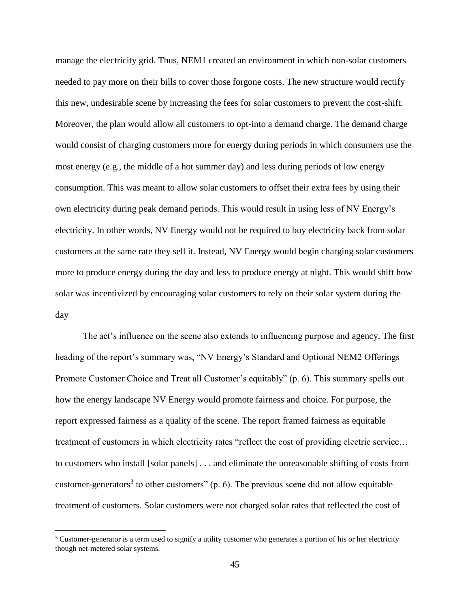manage the electricity grid. Thus, NEM1 created an environment in which non-solar customers needed to pay more on their bills to cover those forgone costs. The new structure would rectify this new, undesirable scene by increasing the fees for solar customers to prevent the cost-shift. Moreover, the plan would allow all customers to opt-into a demand charge. The demand charge would consist of charging customers more for energy during periods in which consumers use the most energy (e.g., the middle of a hot summer day) and less during periods of low energy consumption. This was meant to allow solar customers to offset their extra fees by using their own electricity during peak demand periods. This would result in using less of NV Energy's electricity. In other words, NV Energy would not be required to buy electricity back from solar customers at the same rate they sell it. Instead, NV Energy would begin charging solar customers more to produce energy during the day and less to produce energy at night. This would shift how solar was incentivized by encouraging solar customers to rely on their solar system during the day

The act's influence on the scene also extends to influencing purpose and agency. The first heading of the report's summary was, "NV Energy's Standard and Optional NEM2 Offerings Promote Customer Choice and Treat all Customer's equitably" (p. 6). This summary spells out how the energy landscape NV Energy would promote fairness and choice. For purpose, the report expressed fairness as a quality of the scene. The report framed fairness as equitable treatment of customers in which electricity rates "reflect the cost of providing electric service… to customers who install [solar panels] . . . and eliminate the unreasonable shifting of costs from customer-generators<sup>3</sup> to other customers" (p. 6). The previous scene did not allow equitable treatment of customers. Solar customers were not charged solar rates that reflected the cost of

l

<sup>&</sup>lt;sup>3</sup> Customer-generator is a term used to signify a utility customer who generates a portion of his or her electricity though net-metered solar systems.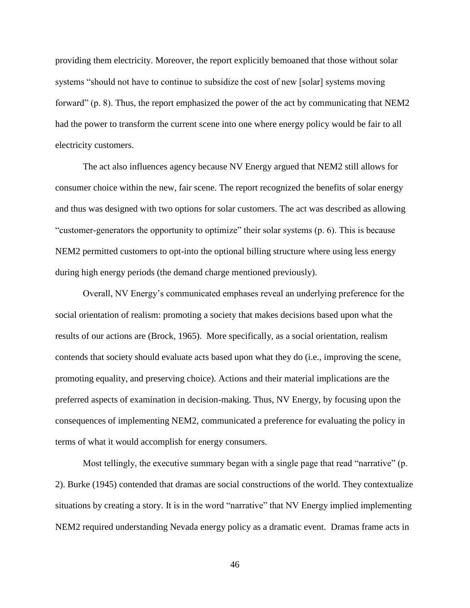providing them electricity. Moreover, the report explicitly bemoaned that those without solar systems "should not have to continue to subsidize the cost of new [solar] systems moving forward" (p. 8). Thus, the report emphasized the power of the act by communicating that NEM2 had the power to transform the current scene into one where energy policy would be fair to all electricity customers.

The act also influences agency because NV Energy argued that NEM2 still allows for consumer choice within the new, fair scene. The report recognized the benefits of solar energy and thus was designed with two options for solar customers. The act was described as allowing "customer-generators the opportunity to optimize" their solar systems (p. 6). This is because NEM2 permitted customers to opt-into the optional billing structure where using less energy during high energy periods (the demand charge mentioned previously).

Overall, NV Energy's communicated emphases reveal an underlying preference for the social orientation of realism: promoting a society that makes decisions based upon what the results of our actions are (Brock, 1965). More specifically, as a social orientation, realism contends that society should evaluate acts based upon what they do (i.e., improving the scene, promoting equality, and preserving choice). Actions and their material implications are the preferred aspects of examination in decision-making. Thus, NV Energy, by focusing upon the consequences of implementing NEM2, communicated a preference for evaluating the policy in terms of what it would accomplish for energy consumers.

Most tellingly, the executive summary began with a single page that read "narrative" (p. 2). Burke (1945) contended that dramas are social constructions of the world. They contextualize situations by creating a story. It is in the word "narrative" that NV Energy implied implementing NEM2 required understanding Nevada energy policy as a dramatic event. Dramas frame acts in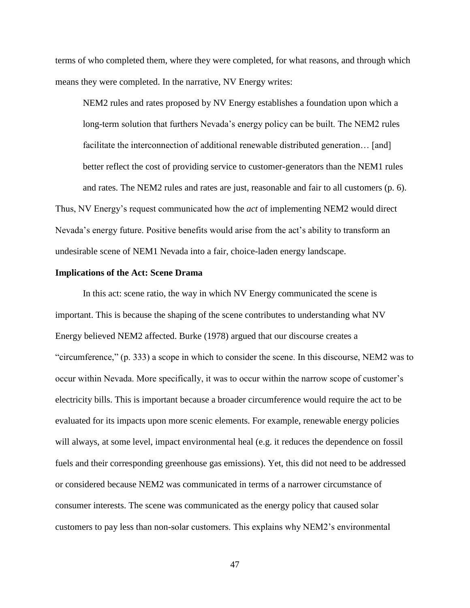terms of who completed them, where they were completed, for what reasons, and through which means they were completed. In the narrative, NV Energy writes:

NEM2 rules and rates proposed by NV Energy establishes a foundation upon which a long-term solution that furthers Nevada's energy policy can be built. The NEM2 rules facilitate the interconnection of additional renewable distributed generation… [and] better reflect the cost of providing service to customer-generators than the NEM1 rules and rates. The NEM2 rules and rates are just, reasonable and fair to all customers (p. 6). Thus, NV Energy's request communicated how the *act* of implementing NEM2 would direct Nevada's energy future. Positive benefits would arise from the act's ability to transform an undesirable scene of NEM1 Nevada into a fair, choice-laden energy landscape.

#### **Implications of the Act: Scene Drama**

In this act: scene ratio, the way in which NV Energy communicated the scene is important. This is because the shaping of the scene contributes to understanding what NV Energy believed NEM2 affected. Burke (1978) argued that our discourse creates a "circumference," (p. 333) a scope in which to consider the scene. In this discourse, NEM2 was to occur within Nevada. More specifically, it was to occur within the narrow scope of customer's electricity bills. This is important because a broader circumference would require the act to be evaluated for its impacts upon more scenic elements. For example, renewable energy policies will always, at some level, impact environmental heal (e.g. it reduces the dependence on fossil fuels and their corresponding greenhouse gas emissions). Yet, this did not need to be addressed or considered because NEM2 was communicated in terms of a narrower circumstance of consumer interests. The scene was communicated as the energy policy that caused solar customers to pay less than non-solar customers. This explains why NEM2's environmental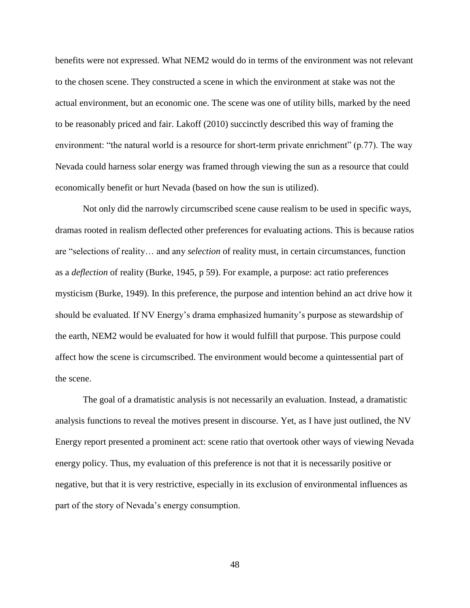benefits were not expressed. What NEM2 would do in terms of the environment was not relevant to the chosen scene. They constructed a scene in which the environment at stake was not the actual environment, but an economic one. The scene was one of utility bills, marked by the need to be reasonably priced and fair. Lakoff (2010) succinctly described this way of framing the environment: "the natural world is a resource for short-term private enrichment" (p.77). The way Nevada could harness solar energy was framed through viewing the sun as a resource that could economically benefit or hurt Nevada (based on how the sun is utilized).

Not only did the narrowly circumscribed scene cause realism to be used in specific ways, dramas rooted in realism deflected other preferences for evaluating actions. This is because ratios are "selections of reality… and any *selection* of reality must, in certain circumstances, function as a *deflection* of reality (Burke, 1945, p 59). For example, a purpose: act ratio preferences mysticism (Burke, 1949). In this preference, the purpose and intention behind an act drive how it should be evaluated. If NV Energy's drama emphasized humanity's purpose as stewardship of the earth, NEM2 would be evaluated for how it would fulfill that purpose. This purpose could affect how the scene is circumscribed. The environment would become a quintessential part of the scene.

The goal of a dramatistic analysis is not necessarily an evaluation. Instead, a dramatistic analysis functions to reveal the motives present in discourse. Yet, as I have just outlined, the NV Energy report presented a prominent act: scene ratio that overtook other ways of viewing Nevada energy policy. Thus, my evaluation of this preference is not that it is necessarily positive or negative, but that it is very restrictive, especially in its exclusion of environmental influences as part of the story of Nevada's energy consumption.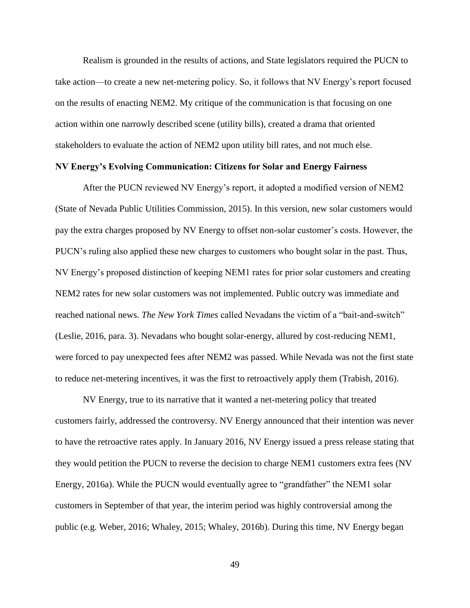Realism is grounded in the results of actions, and State legislators required the PUCN to take action—to create a new net-metering policy. So, it follows that NV Energy's report focused on the results of enacting NEM2. My critique of the communication is that focusing on one action within one narrowly described scene (utility bills), created a drama that oriented stakeholders to evaluate the action of NEM2 upon utility bill rates, and not much else.

## **NV Energy's Evolving Communication: Citizens for Solar and Energy Fairness**

After the PUCN reviewed NV Energy's report, it adopted a modified version of NEM2 (State of Nevada Public Utilities Commission, 2015). In this version, new solar customers would pay the extra charges proposed by NV Energy to offset non-solar customer's costs. However, the PUCN's ruling also applied these new charges to customers who bought solar in the past. Thus, NV Energy's proposed distinction of keeping NEM1 rates for prior solar customers and creating NEM2 rates for new solar customers was not implemented. Public outcry was immediate and reached national news. *The New York Times* called Nevadans the victim of a "bait-and-switch" (Leslie, 2016, para. 3). Nevadans who bought solar-energy, allured by cost-reducing NEM1, were forced to pay unexpected fees after NEM2 was passed. While Nevada was not the first state to reduce net-metering incentives, it was the first to retroactively apply them (Trabish, 2016).

NV Energy, true to its narrative that it wanted a net-metering policy that treated customers fairly, addressed the controversy. NV Energy announced that their intention was never to have the retroactive rates apply. In January 2016, NV Energy issued a press release stating that they would petition the PUCN to reverse the decision to charge NEM1 customers extra fees (NV Energy, 2016a). While the PUCN would eventually agree to "grandfather" the NEM1 solar customers in September of that year, the interim period was highly controversial among the public (e.g. Weber, 2016; Whaley, 2015; Whaley, 2016b). During this time, NV Energy began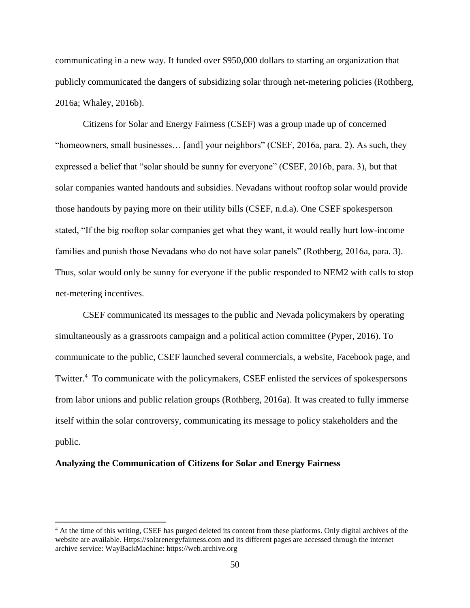communicating in a new way. It funded over \$950,000 dollars to starting an organization that publicly communicated the dangers of subsidizing solar through net-metering policies (Rothberg, 2016a; Whaley, 2016b).

Citizens for Solar and Energy Fairness (CSEF) was a group made up of concerned "homeowners, small businesses… [and] your neighbors" (CSEF, 2016a, para. 2). As such, they expressed a belief that "solar should be sunny for everyone" (CSEF, 2016b, para. 3), but that solar companies wanted handouts and subsidies. Nevadans without rooftop solar would provide those handouts by paying more on their utility bills (CSEF, n.d.a). One CSEF spokesperson stated, "If the big rooftop solar companies get what they want, it would really hurt low-income families and punish those Nevadans who do not have solar panels" (Rothberg, 2016a, para. 3). Thus, solar would only be sunny for everyone if the public responded to NEM2 with calls to stop net-metering incentives.

CSEF communicated its messages to the public and Nevada policymakers by operating simultaneously as a grassroots campaign and a political action committee (Pyper, 2016). To communicate to the public, CSEF launched several commercials, a website, Facebook page, and Twitter.<sup>4</sup> To communicate with the policymakers, CSEF enlisted the services of spokespersons from labor unions and public relation groups (Rothberg, 2016a). It was created to fully immerse itself within the solar controversy, communicating its message to policy stakeholders and the public.

### **Analyzing the Communication of Citizens for Solar and Energy Fairness**

 $\overline{\phantom{a}}$ 

<sup>&</sup>lt;sup>4</sup> At the time of this writing, CSEF has purged deleted its content from these platforms. Only digital archives of the website are available. Https://solarenergyfairness.com and its different pages are accessed through the internet archive service: WayBackMachine: https://web.archive.org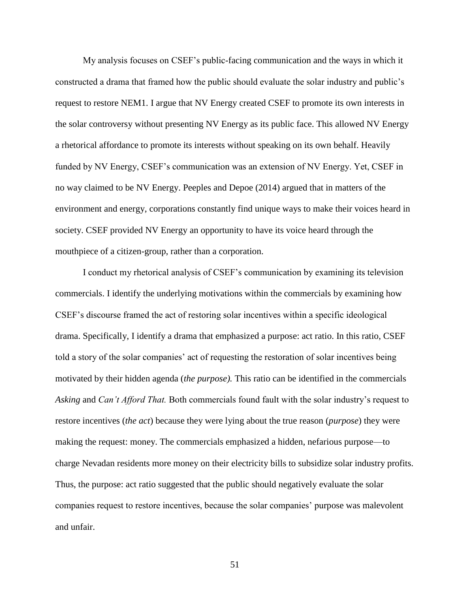My analysis focuses on CSEF's public-facing communication and the ways in which it constructed a drama that framed how the public should evaluate the solar industry and public's request to restore NEM1. I argue that NV Energy created CSEF to promote its own interests in the solar controversy without presenting NV Energy as its public face. This allowed NV Energy a rhetorical affordance to promote its interests without speaking on its own behalf. Heavily funded by NV Energy, CSEF's communication was an extension of NV Energy. Yet, CSEF in no way claimed to be NV Energy. Peeples and Depoe (2014) argued that in matters of the environment and energy, corporations constantly find unique ways to make their voices heard in society. CSEF provided NV Energy an opportunity to have its voice heard through the mouthpiece of a citizen-group, rather than a corporation.

I conduct my rhetorical analysis of CSEF's communication by examining its television commercials. I identify the underlying motivations within the commercials by examining how CSEF's discourse framed the act of restoring solar incentives within a specific ideological drama. Specifically, I identify a drama that emphasized a purpose: act ratio. In this ratio, CSEF told a story of the solar companies' act of requesting the restoration of solar incentives being motivated by their hidden agenda (*the purpose).* This ratio can be identified in the commercials *Asking* and *Can't Afford That.* Both commercials found fault with the solar industry's request to restore incentives (*the act*) because they were lying about the true reason (*purpose*) they were making the request: money. The commercials emphasized a hidden, nefarious purpose—to charge Nevadan residents more money on their electricity bills to subsidize solar industry profits. Thus, the purpose: act ratio suggested that the public should negatively evaluate the solar companies request to restore incentives, because the solar companies' purpose was malevolent and unfair.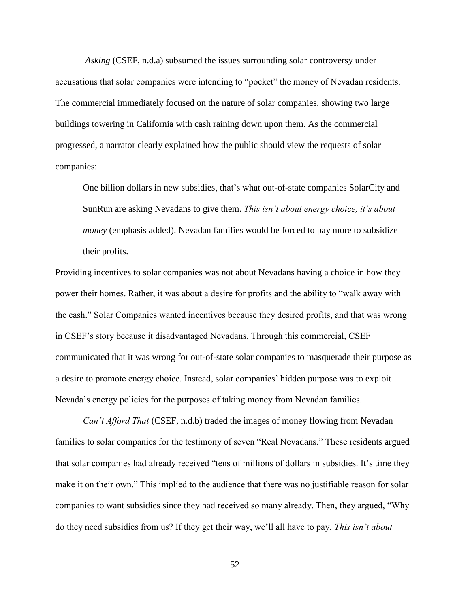*Asking* (CSEF, n.d.a) subsumed the issues surrounding solar controversy under accusations that solar companies were intending to "pocket" the money of Nevadan residents. The commercial immediately focused on the nature of solar companies, showing two large buildings towering in California with cash raining down upon them. As the commercial progressed, a narrator clearly explained how the public should view the requests of solar companies:

One billion dollars in new subsidies, that's what out-of-state companies SolarCity and SunRun are asking Nevadans to give them. *This isn't about energy choice, it's about money* (emphasis added). Nevadan families would be forced to pay more to subsidize their profits.

Providing incentives to solar companies was not about Nevadans having a choice in how they power their homes. Rather, it was about a desire for profits and the ability to "walk away with the cash." Solar Companies wanted incentives because they desired profits, and that was wrong in CSEF's story because it disadvantaged Nevadans. Through this commercial, CSEF communicated that it was wrong for out-of-state solar companies to masquerade their purpose as a desire to promote energy choice. Instead, solar companies' hidden purpose was to exploit Nevada's energy policies for the purposes of taking money from Nevadan families.

*Can't Afford That* (CSEF, n.d.b) traded the images of money flowing from Nevadan families to solar companies for the testimony of seven "Real Nevadans." These residents argued that solar companies had already received "tens of millions of dollars in subsidies. It's time they make it on their own." This implied to the audience that there was no justifiable reason for solar companies to want subsidies since they had received so many already. Then, they argued, "Why do they need subsidies from us? If they get their way, we'll all have to pay. *This isn't about*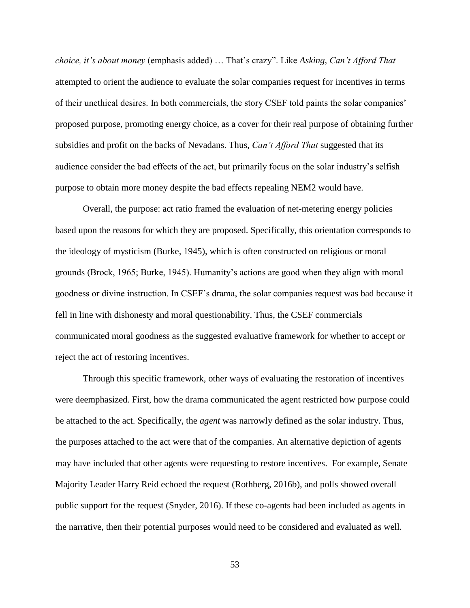*choice, it's about money* (emphasis added) … That's crazy". Like *Asking*, *Can't Afford That*  attempted to orient the audience to evaluate the solar companies request for incentives in terms of their unethical desires. In both commercials, the story CSEF told paints the solar companies' proposed purpose, promoting energy choice, as a cover for their real purpose of obtaining further subsidies and profit on the backs of Nevadans. Thus, *Can't Afford That* suggested that its audience consider the bad effects of the act, but primarily focus on the solar industry's selfish purpose to obtain more money despite the bad effects repealing NEM2 would have.

Overall, the purpose: act ratio framed the evaluation of net-metering energy policies based upon the reasons for which they are proposed. Specifically, this orientation corresponds to the ideology of mysticism (Burke, 1945), which is often constructed on religious or moral grounds (Brock, 1965; Burke, 1945). Humanity's actions are good when they align with moral goodness or divine instruction. In CSEF's drama, the solar companies request was bad because it fell in line with dishonesty and moral questionability. Thus, the CSEF commercials communicated moral goodness as the suggested evaluative framework for whether to accept or reject the act of restoring incentives.

Through this specific framework, other ways of evaluating the restoration of incentives were deemphasized. First, how the drama communicated the agent restricted how purpose could be attached to the act. Specifically, the *agent* was narrowly defined as the solar industry. Thus, the purposes attached to the act were that of the companies. An alternative depiction of agents may have included that other agents were requesting to restore incentives. For example, Senate Majority Leader Harry Reid echoed the request (Rothberg, 2016b), and polls showed overall public support for the request (Snyder, 2016). If these co-agents had been included as agents in the narrative, then their potential purposes would need to be considered and evaluated as well.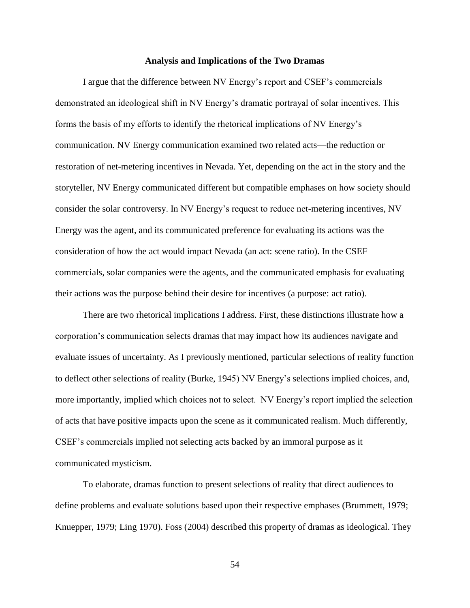### **Analysis and Implications of the Two Dramas**

I argue that the difference between NV Energy's report and CSEF's commercials demonstrated an ideological shift in NV Energy's dramatic portrayal of solar incentives. This forms the basis of my efforts to identify the rhetorical implications of NV Energy's communication. NV Energy communication examined two related acts—the reduction or restoration of net-metering incentives in Nevada. Yet, depending on the act in the story and the storyteller, NV Energy communicated different but compatible emphases on how society should consider the solar controversy. In NV Energy's request to reduce net-metering incentives, NV Energy was the agent, and its communicated preference for evaluating its actions was the consideration of how the act would impact Nevada (an act: scene ratio). In the CSEF commercials, solar companies were the agents, and the communicated emphasis for evaluating their actions was the purpose behind their desire for incentives (a purpose: act ratio).

There are two rhetorical implications I address. First, these distinctions illustrate how a corporation's communication selects dramas that may impact how its audiences navigate and evaluate issues of uncertainty. As I previously mentioned, particular selections of reality function to deflect other selections of reality (Burke, 1945) NV Energy's selections implied choices, and, more importantly, implied which choices not to select. NV Energy's report implied the selection of acts that have positive impacts upon the scene as it communicated realism. Much differently, CSEF's commercials implied not selecting acts backed by an immoral purpose as it communicated mysticism.

To elaborate, dramas function to present selections of reality that direct audiences to define problems and evaluate solutions based upon their respective emphases (Brummett, 1979; Knuepper, 1979; Ling 1970). Foss (2004) described this property of dramas as ideological. They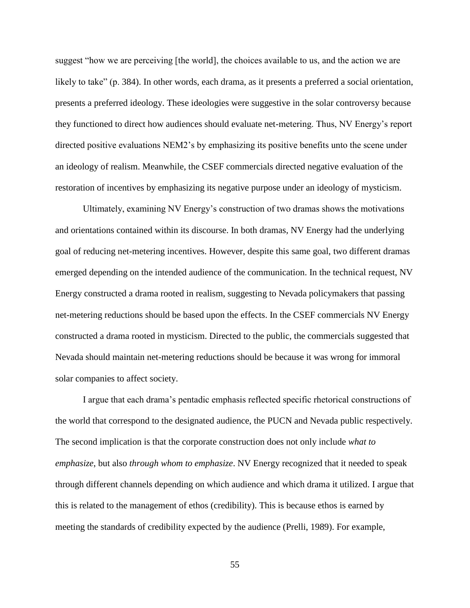suggest "how we are perceiving [the world], the choices available to us, and the action we are likely to take" (p. 384). In other words, each drama, as it presents a preferred a social orientation, presents a preferred ideology. These ideologies were suggestive in the solar controversy because they functioned to direct how audiences should evaluate net-metering. Thus, NV Energy's report directed positive evaluations NEM2's by emphasizing its positive benefits unto the scene under an ideology of realism. Meanwhile, the CSEF commercials directed negative evaluation of the restoration of incentives by emphasizing its negative purpose under an ideology of mysticism.

Ultimately, examining NV Energy's construction of two dramas shows the motivations and orientations contained within its discourse. In both dramas, NV Energy had the underlying goal of reducing net-metering incentives. However, despite this same goal, two different dramas emerged depending on the intended audience of the communication. In the technical request, NV Energy constructed a drama rooted in realism, suggesting to Nevada policymakers that passing net-metering reductions should be based upon the effects. In the CSEF commercials NV Energy constructed a drama rooted in mysticism. Directed to the public, the commercials suggested that Nevada should maintain net-metering reductions should be because it was wrong for immoral solar companies to affect society.

I argue that each drama's pentadic emphasis reflected specific rhetorical constructions of the world that correspond to the designated audience, the PUCN and Nevada public respectively. The second implication is that the corporate construction does not only include *what to emphasize*, but also *through whom to emphasize*. NV Energy recognized that it needed to speak through different channels depending on which audience and which drama it utilized. I argue that this is related to the management of ethos (credibility). This is because ethos is earned by meeting the standards of credibility expected by the audience (Prelli, 1989). For example,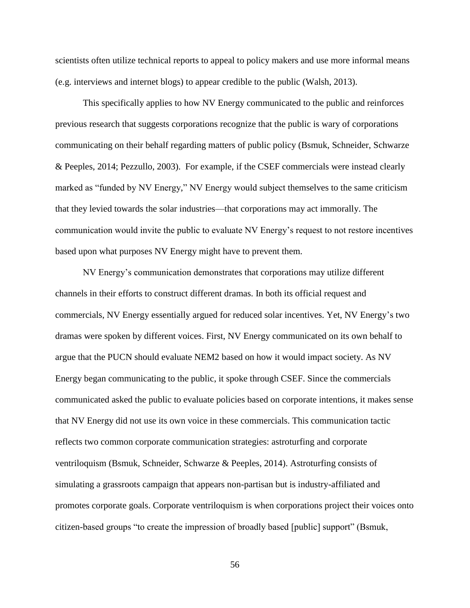scientists often utilize technical reports to appeal to policy makers and use more informal means (e.g. interviews and internet blogs) to appear credible to the public (Walsh, 2013).

This specifically applies to how NV Energy communicated to the public and reinforces previous research that suggests corporations recognize that the public is wary of corporations communicating on their behalf regarding matters of public policy (Bsmuk, Schneider, Schwarze & Peeples, 2014; Pezzullo, 2003). For example, if the CSEF commercials were instead clearly marked as "funded by NV Energy," NV Energy would subject themselves to the same criticism that they levied towards the solar industries—that corporations may act immorally. The communication would invite the public to evaluate NV Energy's request to not restore incentives based upon what purposes NV Energy might have to prevent them.

NV Energy's communication demonstrates that corporations may utilize different channels in their efforts to construct different dramas. In both its official request and commercials, NV Energy essentially argued for reduced solar incentives. Yet, NV Energy's two dramas were spoken by different voices. First, NV Energy communicated on its own behalf to argue that the PUCN should evaluate NEM2 based on how it would impact society. As NV Energy began communicating to the public, it spoke through CSEF. Since the commercials communicated asked the public to evaluate policies based on corporate intentions, it makes sense that NV Energy did not use its own voice in these commercials. This communication tactic reflects two common corporate communication strategies: astroturfing and corporate ventriloquism (Bsmuk, Schneider, Schwarze & Peeples, 2014). Astroturfing consists of simulating a grassroots campaign that appears non-partisan but is industry-affiliated and promotes corporate goals. Corporate ventriloquism is when corporations project their voices onto citizen-based groups "to create the impression of broadly based [public] support" (Bsmuk,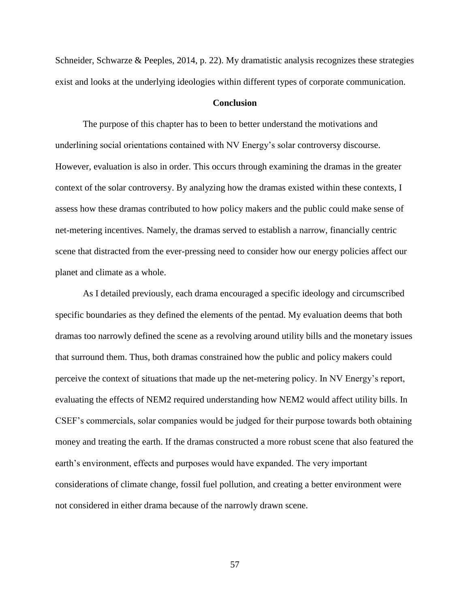Schneider, Schwarze & Peeples, 2014, p. 22). My dramatistic analysis recognizes these strategies exist and looks at the underlying ideologies within different types of corporate communication.

## **Conclusion**

The purpose of this chapter has to been to better understand the motivations and underlining social orientations contained with NV Energy's solar controversy discourse. However, evaluation is also in order. This occurs through examining the dramas in the greater context of the solar controversy. By analyzing how the dramas existed within these contexts, I assess how these dramas contributed to how policy makers and the public could make sense of net-metering incentives. Namely, the dramas served to establish a narrow, financially centric scene that distracted from the ever-pressing need to consider how our energy policies affect our planet and climate as a whole.

As I detailed previously, each drama encouraged a specific ideology and circumscribed specific boundaries as they defined the elements of the pentad. My evaluation deems that both dramas too narrowly defined the scene as a revolving around utility bills and the monetary issues that surround them. Thus, both dramas constrained how the public and policy makers could perceive the context of situations that made up the net-metering policy. In NV Energy's report, evaluating the effects of NEM2 required understanding how NEM2 would affect utility bills. In CSEF's commercials, solar companies would be judged for their purpose towards both obtaining money and treating the earth. If the dramas constructed a more robust scene that also featured the earth's environment, effects and purposes would have expanded. The very important considerations of climate change, fossil fuel pollution, and creating a better environment were not considered in either drama because of the narrowly drawn scene.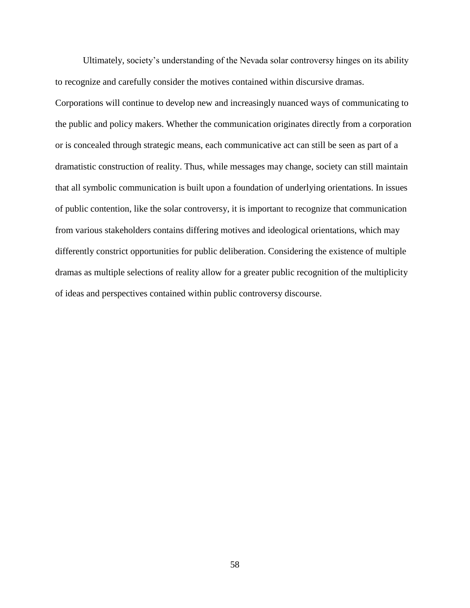Ultimately, society's understanding of the Nevada solar controversy hinges on its ability to recognize and carefully consider the motives contained within discursive dramas.

Corporations will continue to develop new and increasingly nuanced ways of communicating to the public and policy makers. Whether the communication originates directly from a corporation or is concealed through strategic means, each communicative act can still be seen as part of a dramatistic construction of reality. Thus, while messages may change, society can still maintain that all symbolic communication is built upon a foundation of underlying orientations. In issues of public contention, like the solar controversy, it is important to recognize that communication from various stakeholders contains differing motives and ideological orientations, which may differently constrict opportunities for public deliberation. Considering the existence of multiple dramas as multiple selections of reality allow for a greater public recognition of the multiplicity of ideas and perspectives contained within public controversy discourse.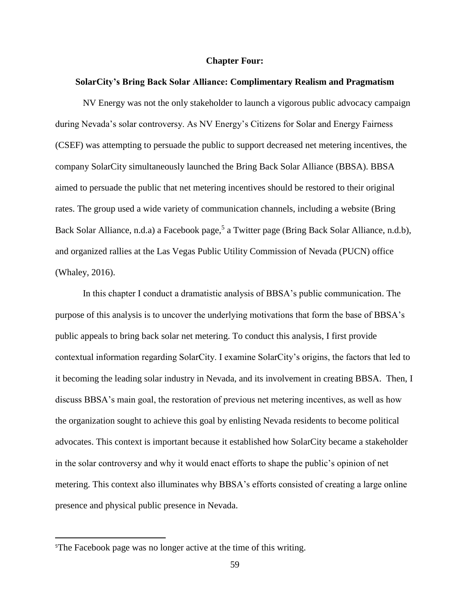### **Chapter Four:**

### **SolarCity's Bring Back Solar Alliance: Complimentary Realism and Pragmatism**

NV Energy was not the only stakeholder to launch a vigorous public advocacy campaign during Nevada's solar controversy. As NV Energy's Citizens for Solar and Energy Fairness (CSEF) was attempting to persuade the public to support decreased net metering incentives, the company SolarCity simultaneously launched the Bring Back Solar Alliance (BBSA). BBSA aimed to persuade the public that net metering incentives should be restored to their original rates. The group used a wide variety of communication channels, including a website (Bring Back Solar Alliance, n.d.a) a Facebook page,<sup>5</sup> a Twitter page (Bring Back Solar Alliance, n.d.b), and organized rallies at the Las Vegas Public Utility Commission of Nevada (PUCN) office (Whaley, 2016).

In this chapter I conduct a dramatistic analysis of BBSA's public communication. The purpose of this analysis is to uncover the underlying motivations that form the base of BBSA's public appeals to bring back solar net metering. To conduct this analysis, I first provide contextual information regarding SolarCity. I examine SolarCity's origins, the factors that led to it becoming the leading solar industry in Nevada, and its involvement in creating BBSA. Then, I discuss BBSA's main goal, the restoration of previous net metering incentives, as well as how the organization sought to achieve this goal by enlisting Nevada residents to become political advocates. This context is important because it established how SolarCity became a stakeholder in the solar controversy and why it would enact efforts to shape the public's opinion of net metering. This context also illuminates why BBSA's efforts consisted of creating a large online presence and physical public presence in Nevada.

 $\overline{a}$ 

<sup>5</sup>The Facebook page was no longer active at the time of this writing.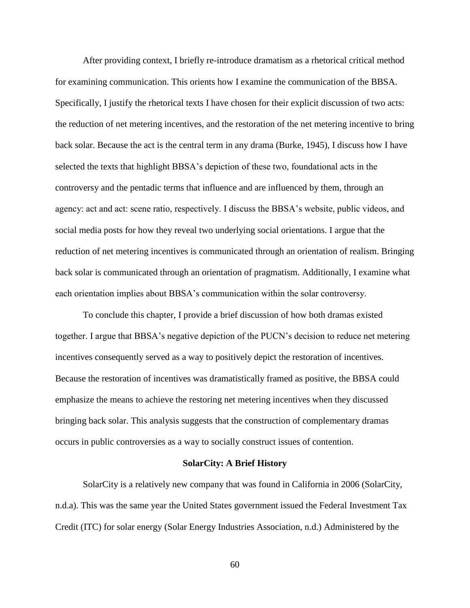After providing context, I briefly re-introduce dramatism as a rhetorical critical method for examining communication. This orients how I examine the communication of the BBSA. Specifically, I justify the rhetorical texts I have chosen for their explicit discussion of two acts: the reduction of net metering incentives, and the restoration of the net metering incentive to bring back solar. Because the act is the central term in any drama (Burke, 1945), I discuss how I have selected the texts that highlight BBSA's depiction of these two, foundational acts in the controversy and the pentadic terms that influence and are influenced by them, through an agency: act and act: scene ratio, respectively. I discuss the BBSA's website, public videos, and social media posts for how they reveal two underlying social orientations. I argue that the reduction of net metering incentives is communicated through an orientation of realism. Bringing back solar is communicated through an orientation of pragmatism. Additionally, I examine what each orientation implies about BBSA's communication within the solar controversy.

To conclude this chapter, I provide a brief discussion of how both dramas existed together. I argue that BBSA's negative depiction of the PUCN's decision to reduce net metering incentives consequently served as a way to positively depict the restoration of incentives. Because the restoration of incentives was dramatistically framed as positive, the BBSA could emphasize the means to achieve the restoring net metering incentives when they discussed bringing back solar. This analysis suggests that the construction of complementary dramas occurs in public controversies as a way to socially construct issues of contention.

### **SolarCity: A Brief History**

SolarCity is a relatively new company that was found in California in 2006 (SolarCity, n.d.a). This was the same year the United States government issued the Federal Investment Tax Credit (ITC) for solar energy (Solar Energy Industries Association, n.d.) Administered by the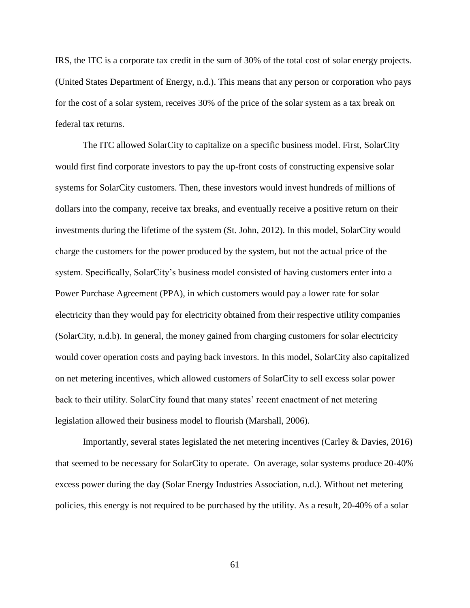IRS, the ITC is a corporate tax credit in the sum of 30% of the total cost of solar energy projects. (United States Department of Energy, n.d.). This means that any person or corporation who pays for the cost of a solar system, receives 30% of the price of the solar system as a tax break on federal tax returns.

The ITC allowed SolarCity to capitalize on a specific business model. First, SolarCity would first find corporate investors to pay the up-front costs of constructing expensive solar systems for SolarCity customers. Then, these investors would invest hundreds of millions of dollars into the company, receive tax breaks, and eventually receive a positive return on their investments during the lifetime of the system (St. John, 2012). In this model, SolarCity would charge the customers for the power produced by the system, but not the actual price of the system. Specifically, SolarCity's business model consisted of having customers enter into a Power Purchase Agreement (PPA), in which customers would pay a lower rate for solar electricity than they would pay for electricity obtained from their respective utility companies (SolarCity, n.d.b). In general, the money gained from charging customers for solar electricity would cover operation costs and paying back investors. In this model, SolarCity also capitalized on net metering incentives, which allowed customers of SolarCity to sell excess solar power back to their utility. SolarCity found that many states' recent enactment of net metering legislation allowed their business model to flourish (Marshall, 2006).

Importantly, several states legislated the net metering incentives (Carley & Davies, 2016) that seemed to be necessary for SolarCity to operate. On average, solar systems produce 20-40% excess power during the day (Solar Energy Industries Association, n.d.). Without net metering policies, this energy is not required to be purchased by the utility. As a result, 20-40% of a solar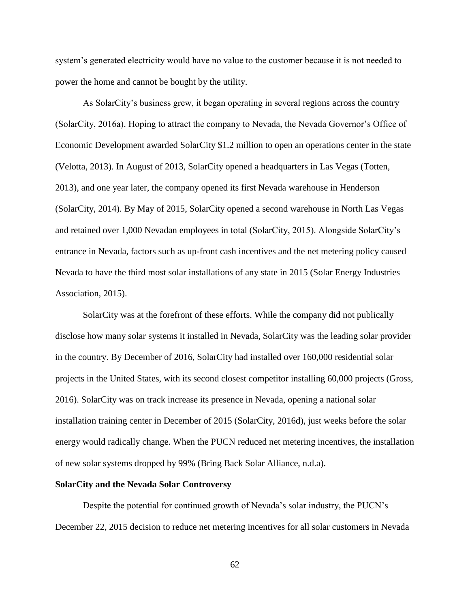system's generated electricity would have no value to the customer because it is not needed to power the home and cannot be bought by the utility.

As SolarCity's business grew, it began operating in several regions across the country (SolarCity, 2016a). Hoping to attract the company to Nevada, the Nevada Governor's Office of Economic Development awarded SolarCity \$1.2 million to open an operations center in the state (Velotta, 2013). In August of 2013, SolarCity opened a headquarters in Las Vegas (Totten, 2013), and one year later, the company opened its first Nevada warehouse in Henderson (SolarCity, 2014). By May of 2015, SolarCity opened a second warehouse in North Las Vegas and retained over 1,000 Nevadan employees in total (SolarCity, 2015). Alongside SolarCity's entrance in Nevada, factors such as up-front cash incentives and the net metering policy caused Nevada to have the third most solar installations of any state in 2015 (Solar Energy Industries Association, 2015).

SolarCity was at the forefront of these efforts. While the company did not publically disclose how many solar systems it installed in Nevada, SolarCity was the leading solar provider in the country. By December of 2016, SolarCity had installed over 160,000 residential solar projects in the United States, with its second closest competitor installing 60,000 projects (Gross, 2016). SolarCity was on track increase its presence in Nevada, opening a national solar installation training center in December of 2015 (SolarCity, 2016d), just weeks before the solar energy would radically change. When the PUCN reduced net metering incentives, the installation of new solar systems dropped by 99% (Bring Back Solar Alliance, n.d.a).

### **SolarCity and the Nevada Solar Controversy**

Despite the potential for continued growth of Nevada's solar industry, the PUCN's December 22, 2015 decision to reduce net metering incentives for all solar customers in Nevada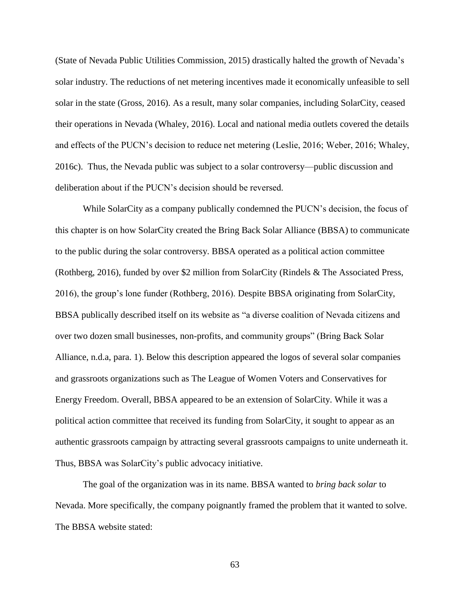(State of Nevada Public Utilities Commission, 2015) drastically halted the growth of Nevada's solar industry. The reductions of net metering incentives made it economically unfeasible to sell solar in the state (Gross, 2016). As a result, many solar companies, including SolarCity, ceased their operations in Nevada (Whaley, 2016). Local and national media outlets covered the details and effects of the PUCN's decision to reduce net metering (Leslie, 2016; Weber, 2016; Whaley, 2016c). Thus, the Nevada public was subject to a solar controversy—public discussion and deliberation about if the PUCN's decision should be reversed.

While SolarCity as a company publically condemned the PUCN's decision, the focus of this chapter is on how SolarCity created the Bring Back Solar Alliance (BBSA) to communicate to the public during the solar controversy. BBSA operated as a political action committee (Rothberg, 2016), funded by over \$2 million from SolarCity (Rindels & The Associated Press, 2016), the group's lone funder (Rothberg, 2016). Despite BBSA originating from SolarCity, BBSA publically described itself on its website as "a diverse coalition of Nevada citizens and over two dozen small businesses, non-profits, and community groups" (Bring Back Solar Alliance, n.d.a, para. 1). Below this description appeared the logos of several solar companies and grassroots organizations such as The League of Women Voters and Conservatives for Energy Freedom. Overall, BBSA appeared to be an extension of SolarCity. While it was a political action committee that received its funding from SolarCity, it sought to appear as an authentic grassroots campaign by attracting several grassroots campaigns to unite underneath it. Thus, BBSA was SolarCity's public advocacy initiative.

The goal of the organization was in its name. BBSA wanted to *bring back solar* to Nevada. More specifically, the company poignantly framed the problem that it wanted to solve. The BBSA website stated: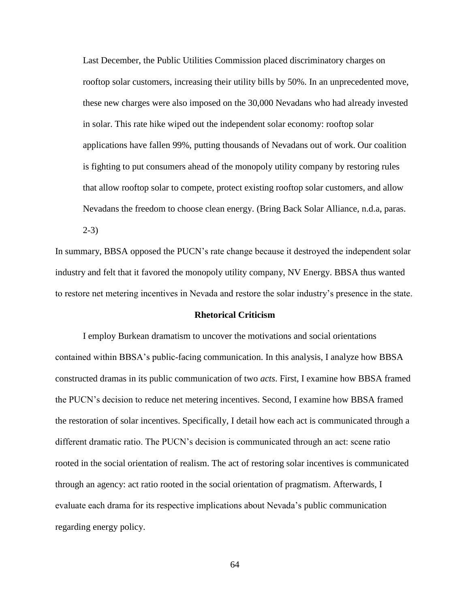Last December, the Public Utilities Commission placed discriminatory charges on rooftop solar customers, increasing their utility bills by 50%. In an unprecedented move, these new charges were also imposed on the 30,000 Nevadans who had already invested in solar. This rate hike wiped out the independent solar economy: rooftop solar applications have fallen 99%, putting thousands of Nevadans out of work. Our coalition is fighting to put consumers ahead of the monopoly utility company by restoring rules that allow rooftop solar to compete, protect existing rooftop solar customers, and allow Nevadans the freedom to choose clean energy. (Bring Back Solar Alliance, n.d.a, paras. 2-3)

In summary, BBSA opposed the PUCN's rate change because it destroyed the independent solar industry and felt that it favored the monopoly utility company, NV Energy. BBSA thus wanted to restore net metering incentives in Nevada and restore the solar industry's presence in the state.

#### **Rhetorical Criticism**

I employ Burkean dramatism to uncover the motivations and social orientations contained within BBSA's public-facing communication. In this analysis, I analyze how BBSA constructed dramas in its public communication of two *acts*. First, I examine how BBSA framed the PUCN's decision to reduce net metering incentives. Second, I examine how BBSA framed the restoration of solar incentives. Specifically, I detail how each act is communicated through a different dramatic ratio. The PUCN's decision is communicated through an act: scene ratio rooted in the social orientation of realism. The act of restoring solar incentives is communicated through an agency: act ratio rooted in the social orientation of pragmatism. Afterwards, I evaluate each drama for its respective implications about Nevada's public communication regarding energy policy.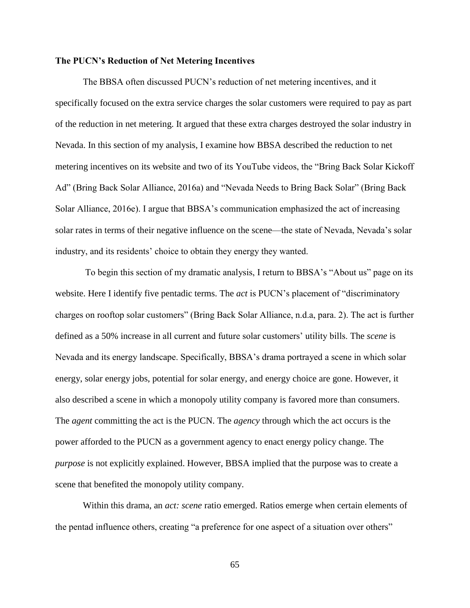### **The PUCN's Reduction of Net Metering Incentives**

The BBSA often discussed PUCN's reduction of net metering incentives, and it specifically focused on the extra service charges the solar customers were required to pay as part of the reduction in net metering. It argued that these extra charges destroyed the solar industry in Nevada. In this section of my analysis, I examine how BBSA described the reduction to net metering incentives on its website and two of its YouTube videos, the "Bring Back Solar Kickoff Ad" (Bring Back Solar Alliance, 2016a) and "Nevada Needs to Bring Back Solar" (Bring Back Solar Alliance, 2016e). I argue that BBSA's communication emphasized the act of increasing solar rates in terms of their negative influence on the scene—the state of Nevada, Nevada's solar industry, and its residents' choice to obtain they energy they wanted.

To begin this section of my dramatic analysis, I return to BBSA's "About us" page on its website. Here I identify five pentadic terms. The *act* is PUCN's placement of "discriminatory charges on rooftop solar customers" (Bring Back Solar Alliance, n.d.a, para. 2). The act is further defined as a 50% increase in all current and future solar customers' utility bills. The *scene* is Nevada and its energy landscape. Specifically, BBSA's drama portrayed a scene in which solar energy, solar energy jobs, potential for solar energy, and energy choice are gone. However, it also described a scene in which a monopoly utility company is favored more than consumers. The *agent* committing the act is the PUCN. The *agency* through which the act occurs is the power afforded to the PUCN as a government agency to enact energy policy change. The *purpose* is not explicitly explained. However, BBSA implied that the purpose was to create a scene that benefited the monopoly utility company.

Within this drama, an *act: scene* ratio emerged. Ratios emerge when certain elements of the pentad influence others, creating "a preference for one aspect of a situation over others"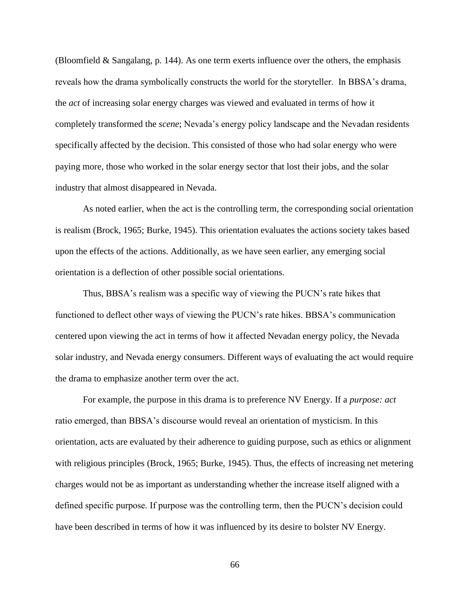(Bloomfield & Sangalang, p. 144). As one term exerts influence over the others, the emphasis reveals how the drama symbolically constructs the world for the storyteller. In BBSA's drama, the *act* of increasing solar energy charges was viewed and evaluated in terms of how it completely transformed the *scene*; Nevada's energy policy landscape and the Nevadan residents specifically affected by the decision. This consisted of those who had solar energy who were paying more, those who worked in the solar energy sector that lost their jobs, and the solar industry that almost disappeared in Nevada.

As noted earlier, when the act is the controlling term, the corresponding social orientation is realism (Brock, 1965; Burke, 1945). This orientation evaluates the actions society takes based upon the effects of the actions. Additionally, as we have seen earlier, any emerging social orientation is a deflection of other possible social orientations.

Thus, BBSA's realism was a specific way of viewing the PUCN's rate hikes that functioned to deflect other ways of viewing the PUCN's rate hikes. BBSA's communication centered upon viewing the act in terms of how it affected Nevadan energy policy, the Nevada solar industry, and Nevada energy consumers. Different ways of evaluating the act would require the drama to emphasize another term over the act.

For example, the purpose in this drama is to preference NV Energy. If a *purpose: act* ratio emerged, than BBSA's discourse would reveal an orientation of mysticism. In this orientation, acts are evaluated by their adherence to guiding purpose, such as ethics or alignment with religious principles (Brock, 1965; Burke, 1945). Thus, the effects of increasing net metering charges would not be as important as understanding whether the increase itself aligned with a defined specific purpose. If purpose was the controlling term, then the PUCN's decision could have been described in terms of how it was influenced by its desire to bolster NV Energy.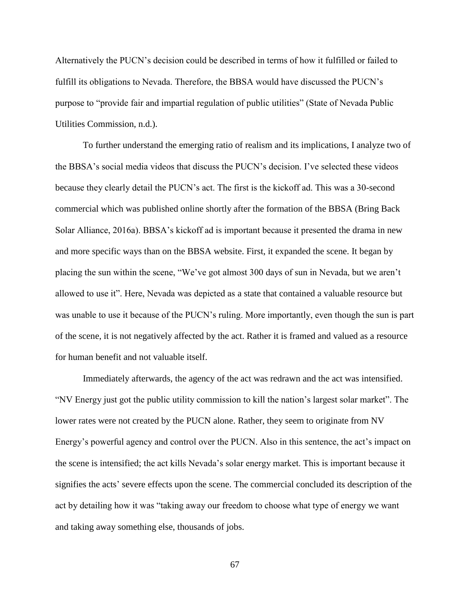Alternatively the PUCN's decision could be described in terms of how it fulfilled or failed to fulfill its obligations to Nevada. Therefore, the BBSA would have discussed the PUCN's purpose to "provide fair and impartial regulation of public utilities" (State of Nevada Public Utilities Commission, n.d.).

To further understand the emerging ratio of realism and its implications, I analyze two of the BBSA's social media videos that discuss the PUCN's decision. I've selected these videos because they clearly detail the PUCN's act. The first is the kickoff ad. This was a 30-second commercial which was published online shortly after the formation of the BBSA (Bring Back Solar Alliance, 2016a). BBSA's kickoff ad is important because it presented the drama in new and more specific ways than on the BBSA website. First, it expanded the scene. It began by placing the sun within the scene, "We've got almost 300 days of sun in Nevada, but we aren't allowed to use it". Here, Nevada was depicted as a state that contained a valuable resource but was unable to use it because of the PUCN's ruling. More importantly, even though the sun is part of the scene, it is not negatively affected by the act. Rather it is framed and valued as a resource for human benefit and not valuable itself.

Immediately afterwards, the agency of the act was redrawn and the act was intensified. "NV Energy just got the public utility commission to kill the nation's largest solar market". The lower rates were not created by the PUCN alone. Rather, they seem to originate from NV Energy's powerful agency and control over the PUCN. Also in this sentence, the act's impact on the scene is intensified; the act kills Nevada's solar energy market. This is important because it signifies the acts' severe effects upon the scene. The commercial concluded its description of the act by detailing how it was "taking away our freedom to choose what type of energy we want and taking away something else, thousands of jobs.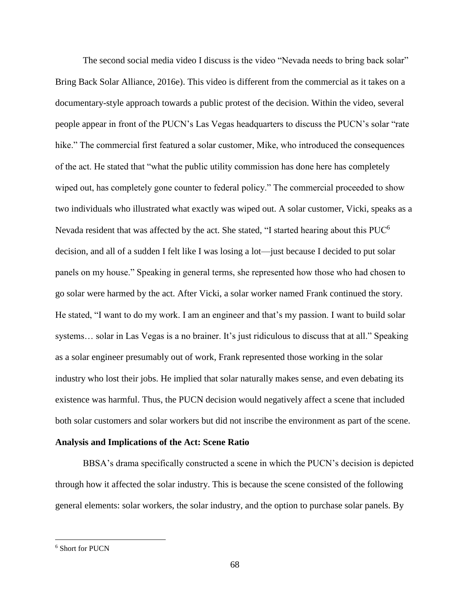The second social media video I discuss is the video "Nevada needs to bring back solar" Bring Back Solar Alliance, 2016e). This video is different from the commercial as it takes on a documentary-style approach towards a public protest of the decision. Within the video, several people appear in front of the PUCN's Las Vegas headquarters to discuss the PUCN's solar "rate hike." The commercial first featured a solar customer, Mike, who introduced the consequences of the act. He stated that "what the public utility commission has done here has completely wiped out, has completely gone counter to federal policy." The commercial proceeded to show two individuals who illustrated what exactly was wiped out. A solar customer, Vicki, speaks as a Nevada resident that was affected by the act. She stated, "I started hearing about this PUC<sup>6</sup> decision, and all of a sudden I felt like I was losing a lot—just because I decided to put solar panels on my house." Speaking in general terms, she represented how those who had chosen to go solar were harmed by the act. After Vicki, a solar worker named Frank continued the story. He stated, "I want to do my work. I am an engineer and that's my passion. I want to build solar systems… solar in Las Vegas is a no brainer. It's just ridiculous to discuss that at all." Speaking as a solar engineer presumably out of work, Frank represented those working in the solar industry who lost their jobs. He implied that solar naturally makes sense, and even debating its existence was harmful. Thus, the PUCN decision would negatively affect a scene that included both solar customers and solar workers but did not inscribe the environment as part of the scene.

#### **Analysis and Implications of the Act: Scene Ratio**

BBSA's drama specifically constructed a scene in which the PUCN's decision is depicted through how it affected the solar industry. This is because the scene consisted of the following general elements: solar workers, the solar industry, and the option to purchase solar panels. By

 $\overline{\phantom{a}}$ 

<sup>6</sup> Short for PUCN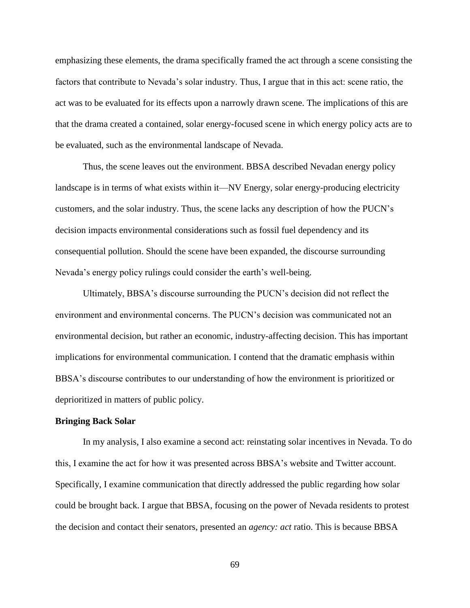emphasizing these elements, the drama specifically framed the act through a scene consisting the factors that contribute to Nevada's solar industry. Thus, I argue that in this act: scene ratio, the act was to be evaluated for its effects upon a narrowly drawn scene. The implications of this are that the drama created a contained, solar energy-focused scene in which energy policy acts are to be evaluated, such as the environmental landscape of Nevada.

Thus, the scene leaves out the environment. BBSA described Nevadan energy policy landscape is in terms of what exists within it—NV Energy, solar energy-producing electricity customers, and the solar industry. Thus, the scene lacks any description of how the PUCN's decision impacts environmental considerations such as fossil fuel dependency and its consequential pollution. Should the scene have been expanded, the discourse surrounding Nevada's energy policy rulings could consider the earth's well-being.

Ultimately, BBSA's discourse surrounding the PUCN's decision did not reflect the environment and environmental concerns. The PUCN's decision was communicated not an environmental decision, but rather an economic, industry-affecting decision. This has important implications for environmental communication. I contend that the dramatic emphasis within BBSA's discourse contributes to our understanding of how the environment is prioritized or deprioritized in matters of public policy.

## **Bringing Back Solar**

In my analysis, I also examine a second act: reinstating solar incentives in Nevada. To do this, I examine the act for how it was presented across BBSA's website and Twitter account. Specifically, I examine communication that directly addressed the public regarding how solar could be brought back. I argue that BBSA, focusing on the power of Nevada residents to protest the decision and contact their senators, presented an *agency: act* ratio. This is because BBSA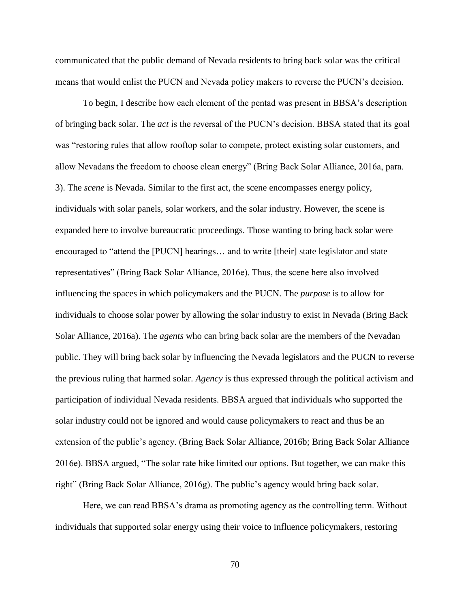communicated that the public demand of Nevada residents to bring back solar was the critical means that would enlist the PUCN and Nevada policy makers to reverse the PUCN's decision.

To begin, I describe how each element of the pentad was present in BBSA's description of bringing back solar. The *act* is the reversal of the PUCN's decision. BBSA stated that its goal was "restoring rules that allow rooftop solar to compete, protect existing solar customers, and allow Nevadans the freedom to choose clean energy" (Bring Back Solar Alliance, 2016a, para. 3). The *scene* is Nevada. Similar to the first act, the scene encompasses energy policy, individuals with solar panels, solar workers, and the solar industry. However, the scene is expanded here to involve bureaucratic proceedings. Those wanting to bring back solar were encouraged to "attend the [PUCN] hearings… and to write [their] state legislator and state representatives" (Bring Back Solar Alliance, 2016e). Thus, the scene here also involved influencing the spaces in which policymakers and the PUCN. The *purpose* is to allow for individuals to choose solar power by allowing the solar industry to exist in Nevada (Bring Back Solar Alliance, 2016a). The *agents* who can bring back solar are the members of the Nevadan public. They will bring back solar by influencing the Nevada legislators and the PUCN to reverse the previous ruling that harmed solar. *Agency* is thus expressed through the political activism and participation of individual Nevada residents. BBSA argued that individuals who supported the solar industry could not be ignored and would cause policymakers to react and thus be an extension of the public's agency. (Bring Back Solar Alliance, 2016b; Bring Back Solar Alliance 2016e). BBSA argued, "The solar rate hike limited our options. But together, we can make this right" (Bring Back Solar Alliance, 2016g). The public's agency would bring back solar.

Here, we can read BBSA's drama as promoting agency as the controlling term. Without individuals that supported solar energy using their voice to influence policymakers, restoring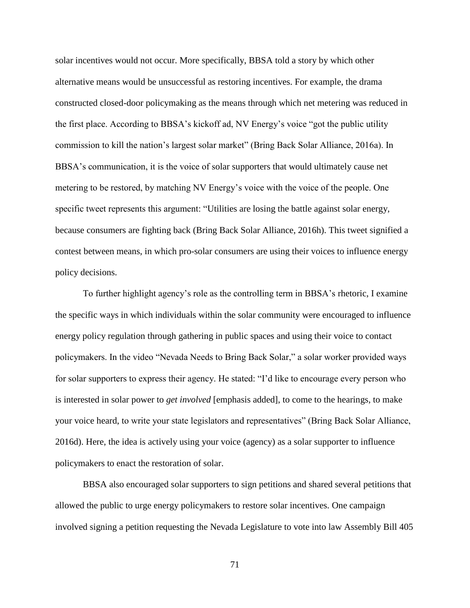solar incentives would not occur. More specifically, BBSA told a story by which other alternative means would be unsuccessful as restoring incentives. For example, the drama constructed closed-door policymaking as the means through which net metering was reduced in the first place. According to BBSA's kickoff ad, NV Energy's voice "got the public utility commission to kill the nation's largest solar market" (Bring Back Solar Alliance, 2016a). In BBSA's communication, it is the voice of solar supporters that would ultimately cause net metering to be restored, by matching NV Energy's voice with the voice of the people. One specific tweet represents this argument: "Utilities are losing the battle against solar energy, because consumers are fighting back (Bring Back Solar Alliance, 2016h). This tweet signified a contest between means, in which pro-solar consumers are using their voices to influence energy policy decisions.

To further highlight agency's role as the controlling term in BBSA's rhetoric, I examine the specific ways in which individuals within the solar community were encouraged to influence energy policy regulation through gathering in public spaces and using their voice to contact policymakers. In the video "Nevada Needs to Bring Back Solar," a solar worker provided ways for solar supporters to express their agency. He stated: "I'd like to encourage every person who is interested in solar power to *get involved* [emphasis added], to come to the hearings, to make your voice heard, to write your state legislators and representatives" (Bring Back Solar Alliance, 2016d). Here, the idea is actively using your voice (agency) as a solar supporter to influence policymakers to enact the restoration of solar.

BBSA also encouraged solar supporters to sign petitions and shared several petitions that allowed the public to urge energy policymakers to restore solar incentives. One campaign involved signing a petition requesting the Nevada Legislature to vote into law Assembly Bill 405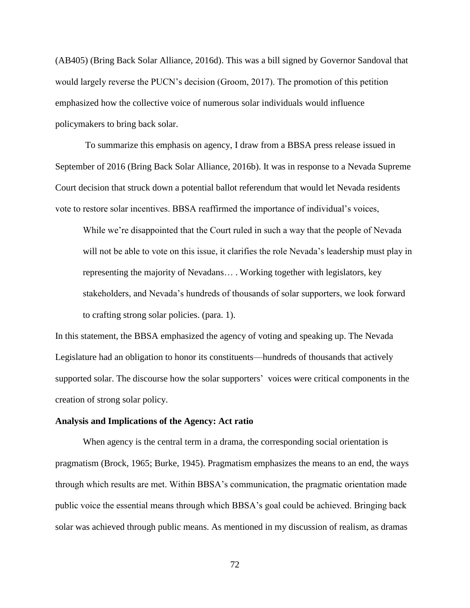(AB405) (Bring Back Solar Alliance, 2016d). This was a bill signed by Governor Sandoval that would largely reverse the PUCN's decision (Groom, 2017). The promotion of this petition emphasized how the collective voice of numerous solar individuals would influence policymakers to bring back solar.

To summarize this emphasis on agency, I draw from a BBSA press release issued in September of 2016 (Bring Back Solar Alliance, 2016b). It was in response to a Nevada Supreme Court decision that struck down a potential ballot referendum that would let Nevada residents vote to restore solar incentives. BBSA reaffirmed the importance of individual's voices,

While we're disappointed that the Court ruled in such a way that the people of Nevada will not be able to vote on this issue, it clarifies the role Nevada's leadership must play in representing the majority of Nevadans… . Working together with legislators, key stakeholders, and Nevada's hundreds of thousands of solar supporters, we look forward to crafting strong solar policies. (para. 1).

In this statement, the BBSA emphasized the agency of voting and speaking up. The Nevada Legislature had an obligation to honor its constituents—hundreds of thousands that actively supported solar. The discourse how the solar supporters' voices were critical components in the creation of strong solar policy.

#### **Analysis and Implications of the Agency: Act ratio**

When agency is the central term in a drama, the corresponding social orientation is pragmatism (Brock, 1965; Burke, 1945). Pragmatism emphasizes the means to an end, the ways through which results are met. Within BBSA's communication, the pragmatic orientation made public voice the essential means through which BBSA's goal could be achieved. Bringing back solar was achieved through public means. As mentioned in my discussion of realism, as dramas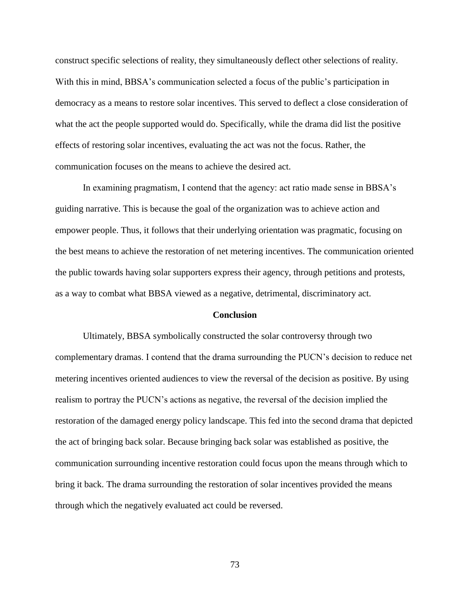construct specific selections of reality, they simultaneously deflect other selections of reality. With this in mind, BBSA's communication selected a focus of the public's participation in democracy as a means to restore solar incentives. This served to deflect a close consideration of what the act the people supported would do. Specifically, while the drama did list the positive effects of restoring solar incentives, evaluating the act was not the focus. Rather, the communication focuses on the means to achieve the desired act.

In examining pragmatism, I contend that the agency: act ratio made sense in BBSA's guiding narrative. This is because the goal of the organization was to achieve action and empower people. Thus, it follows that their underlying orientation was pragmatic, focusing on the best means to achieve the restoration of net metering incentives. The communication oriented the public towards having solar supporters express their agency, through petitions and protests, as a way to combat what BBSA viewed as a negative, detrimental, discriminatory act.

#### **Conclusion**

Ultimately, BBSA symbolically constructed the solar controversy through two complementary dramas. I contend that the drama surrounding the PUCN's decision to reduce net metering incentives oriented audiences to view the reversal of the decision as positive. By using realism to portray the PUCN's actions as negative, the reversal of the decision implied the restoration of the damaged energy policy landscape. This fed into the second drama that depicted the act of bringing back solar. Because bringing back solar was established as positive, the communication surrounding incentive restoration could focus upon the means through which to bring it back. The drama surrounding the restoration of solar incentives provided the means through which the negatively evaluated act could be reversed.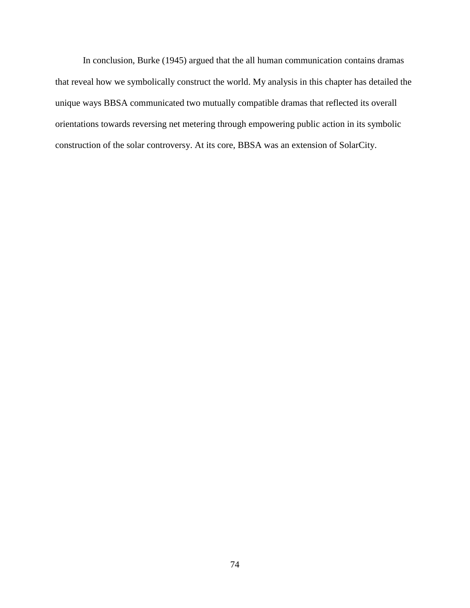In conclusion, Burke (1945) argued that the all human communication contains dramas that reveal how we symbolically construct the world. My analysis in this chapter has detailed the unique ways BBSA communicated two mutually compatible dramas that reflected its overall orientations towards reversing net metering through empowering public action in its symbolic construction of the solar controversy. At its core, BBSA was an extension of SolarCity.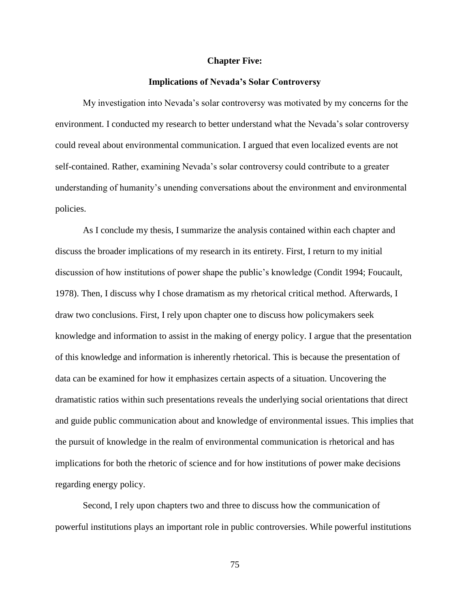#### **Chapter Five:**

#### **Implications of Nevada's Solar Controversy**

My investigation into Nevada's solar controversy was motivated by my concerns for the environment. I conducted my research to better understand what the Nevada's solar controversy could reveal about environmental communication. I argued that even localized events are not self-contained. Rather, examining Nevada's solar controversy could contribute to a greater understanding of humanity's unending conversations about the environment and environmental policies.

As I conclude my thesis, I summarize the analysis contained within each chapter and discuss the broader implications of my research in its entirety. First, I return to my initial discussion of how institutions of power shape the public's knowledge (Condit 1994; Foucault, 1978). Then, I discuss why I chose dramatism as my rhetorical critical method. Afterwards, I draw two conclusions. First, I rely upon chapter one to discuss how policymakers seek knowledge and information to assist in the making of energy policy. I argue that the presentation of this knowledge and information is inherently rhetorical. This is because the presentation of data can be examined for how it emphasizes certain aspects of a situation. Uncovering the dramatistic ratios within such presentations reveals the underlying social orientations that direct and guide public communication about and knowledge of environmental issues. This implies that the pursuit of knowledge in the realm of environmental communication is rhetorical and has implications for both the rhetoric of science and for how institutions of power make decisions regarding energy policy.

Second, I rely upon chapters two and three to discuss how the communication of powerful institutions plays an important role in public controversies. While powerful institutions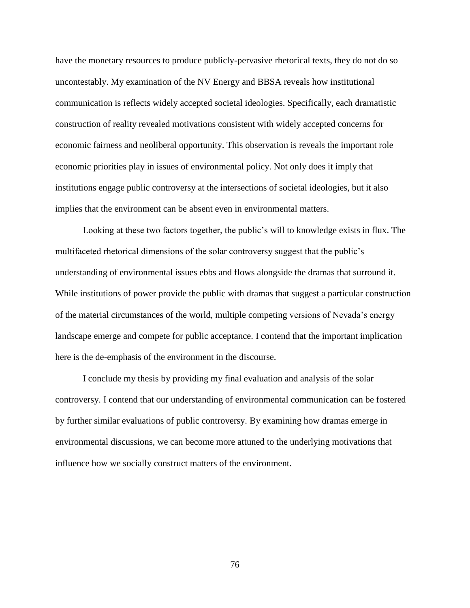have the monetary resources to produce publicly-pervasive rhetorical texts, they do not do so uncontestably. My examination of the NV Energy and BBSA reveals how institutional communication is reflects widely accepted societal ideologies. Specifically, each dramatistic construction of reality revealed motivations consistent with widely accepted concerns for economic fairness and neoliberal opportunity. This observation is reveals the important role economic priorities play in issues of environmental policy. Not only does it imply that institutions engage public controversy at the intersections of societal ideologies, but it also implies that the environment can be absent even in environmental matters.

Looking at these two factors together, the public's will to knowledge exists in flux. The multifaceted rhetorical dimensions of the solar controversy suggest that the public's understanding of environmental issues ebbs and flows alongside the dramas that surround it. While institutions of power provide the public with dramas that suggest a particular construction of the material circumstances of the world, multiple competing versions of Nevada's energy landscape emerge and compete for public acceptance. I contend that the important implication here is the de-emphasis of the environment in the discourse.

I conclude my thesis by providing my final evaluation and analysis of the solar controversy. I contend that our understanding of environmental communication can be fostered by further similar evaluations of public controversy. By examining how dramas emerge in environmental discussions, we can become more attuned to the underlying motivations that influence how we socially construct matters of the environment.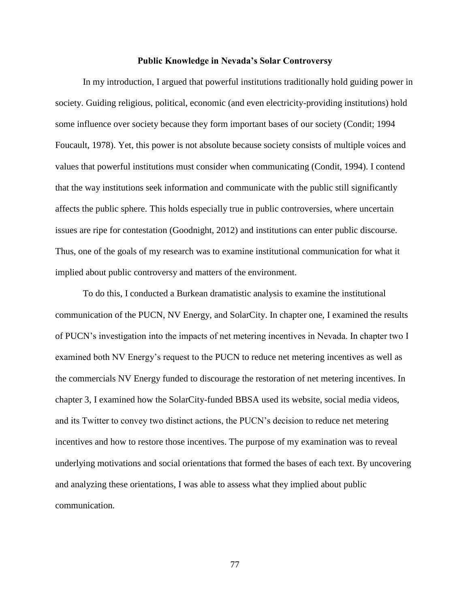## **Public Knowledge in Nevada's Solar Controversy**

In my introduction, I argued that powerful institutions traditionally hold guiding power in society. Guiding religious, political, economic (and even electricity-providing institutions) hold some influence over society because they form important bases of our society (Condit; 1994 Foucault, 1978). Yet, this power is not absolute because society consists of multiple voices and values that powerful institutions must consider when communicating (Condit, 1994). I contend that the way institutions seek information and communicate with the public still significantly affects the public sphere. This holds especially true in public controversies, where uncertain issues are ripe for contestation (Goodnight, 2012) and institutions can enter public discourse. Thus, one of the goals of my research was to examine institutional communication for what it implied about public controversy and matters of the environment.

To do this, I conducted a Burkean dramatistic analysis to examine the institutional communication of the PUCN, NV Energy, and SolarCity. In chapter one, I examined the results of PUCN's investigation into the impacts of net metering incentives in Nevada. In chapter two I examined both NV Energy's request to the PUCN to reduce net metering incentives as well as the commercials NV Energy funded to discourage the restoration of net metering incentives. In chapter 3, I examined how the SolarCity-funded BBSA used its website, social media videos, and its Twitter to convey two distinct actions, the PUCN's decision to reduce net metering incentives and how to restore those incentives. The purpose of my examination was to reveal underlying motivations and social orientations that formed the bases of each text. By uncovering and analyzing these orientations, I was able to assess what they implied about public communication.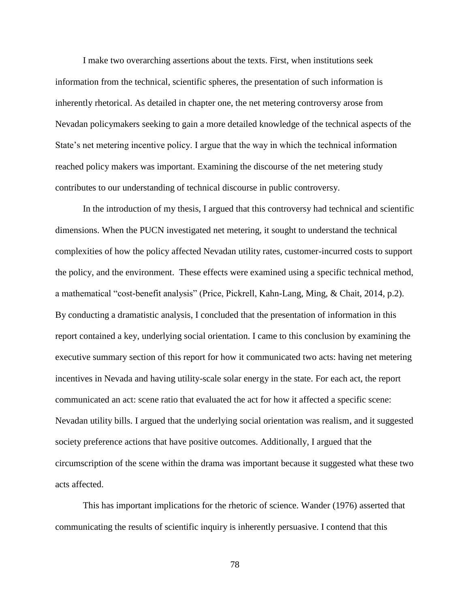I make two overarching assertions about the texts. First, when institutions seek information from the technical, scientific spheres, the presentation of such information is inherently rhetorical. As detailed in chapter one, the net metering controversy arose from Nevadan policymakers seeking to gain a more detailed knowledge of the technical aspects of the State's net metering incentive policy. I argue that the way in which the technical information reached policy makers was important. Examining the discourse of the net metering study contributes to our understanding of technical discourse in public controversy.

In the introduction of my thesis, I argued that this controversy had technical and scientific dimensions. When the PUCN investigated net metering, it sought to understand the technical complexities of how the policy affected Nevadan utility rates, customer-incurred costs to support the policy, and the environment. These effects were examined using a specific technical method, a mathematical "cost-benefit analysis" (Price, Pickrell, Kahn-Lang, Ming, & Chait, 2014, p.2). By conducting a dramatistic analysis, I concluded that the presentation of information in this report contained a key, underlying social orientation. I came to this conclusion by examining the executive summary section of this report for how it communicated two acts: having net metering incentives in Nevada and having utility-scale solar energy in the state. For each act, the report communicated an act: scene ratio that evaluated the act for how it affected a specific scene: Nevadan utility bills. I argued that the underlying social orientation was realism, and it suggested society preference actions that have positive outcomes. Additionally, I argued that the circumscription of the scene within the drama was important because it suggested what these two acts affected.

This has important implications for the rhetoric of science. Wander (1976) asserted that communicating the results of scientific inquiry is inherently persuasive. I contend that this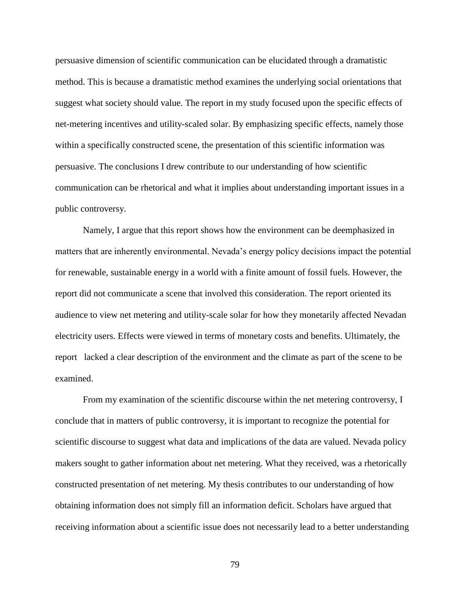persuasive dimension of scientific communication can be elucidated through a dramatistic method. This is because a dramatistic method examines the underlying social orientations that suggest what society should value. The report in my study focused upon the specific effects of net-metering incentives and utility-scaled solar. By emphasizing specific effects, namely those within a specifically constructed scene, the presentation of this scientific information was persuasive. The conclusions I drew contribute to our understanding of how scientific communication can be rhetorical and what it implies about understanding important issues in a public controversy.

Namely, I argue that this report shows how the environment can be deemphasized in matters that are inherently environmental. Nevada's energy policy decisions impact the potential for renewable, sustainable energy in a world with a finite amount of fossil fuels. However, the report did not communicate a scene that involved this consideration. The report oriented its audience to view net metering and utility-scale solar for how they monetarily affected Nevadan electricity users. Effects were viewed in terms of monetary costs and benefits. Ultimately, the report lacked a clear description of the environment and the climate as part of the scene to be examined.

From my examination of the scientific discourse within the net metering controversy, I conclude that in matters of public controversy, it is important to recognize the potential for scientific discourse to suggest what data and implications of the data are valued. Nevada policy makers sought to gather information about net metering. What they received, was a rhetorically constructed presentation of net metering. My thesis contributes to our understanding of how obtaining information does not simply fill an information deficit. Scholars have argued that receiving information about a scientific issue does not necessarily lead to a better understanding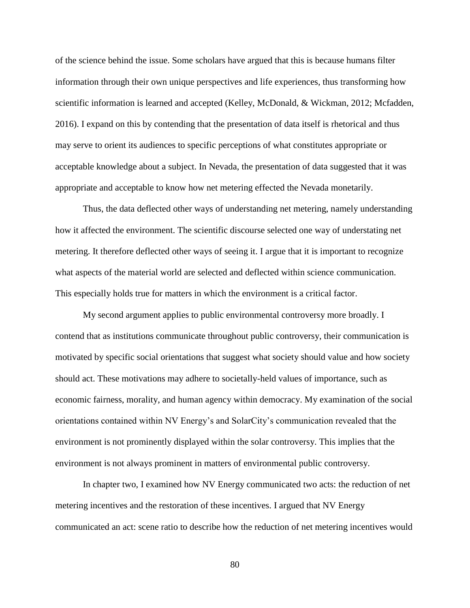of the science behind the issue. Some scholars have argued that this is because humans filter information through their own unique perspectives and life experiences, thus transforming how scientific information is learned and accepted (Kelley, McDonald, & Wickman, 2012; Mcfadden, 2016). I expand on this by contending that the presentation of data itself is rhetorical and thus may serve to orient its audiences to specific perceptions of what constitutes appropriate or acceptable knowledge about a subject. In Nevada, the presentation of data suggested that it was appropriate and acceptable to know how net metering effected the Nevada monetarily.

Thus, the data deflected other ways of understanding net metering, namely understanding how it affected the environment. The scientific discourse selected one way of understating net metering. It therefore deflected other ways of seeing it. I argue that it is important to recognize what aspects of the material world are selected and deflected within science communication. This especially holds true for matters in which the environment is a critical factor.

My second argument applies to public environmental controversy more broadly. I contend that as institutions communicate throughout public controversy, their communication is motivated by specific social orientations that suggest what society should value and how society should act. These motivations may adhere to societally-held values of importance, such as economic fairness, morality, and human agency within democracy. My examination of the social orientations contained within NV Energy's and SolarCity's communication revealed that the environment is not prominently displayed within the solar controversy. This implies that the environment is not always prominent in matters of environmental public controversy.

In chapter two, I examined how NV Energy communicated two acts: the reduction of net metering incentives and the restoration of these incentives. I argued that NV Energy communicated an act: scene ratio to describe how the reduction of net metering incentives would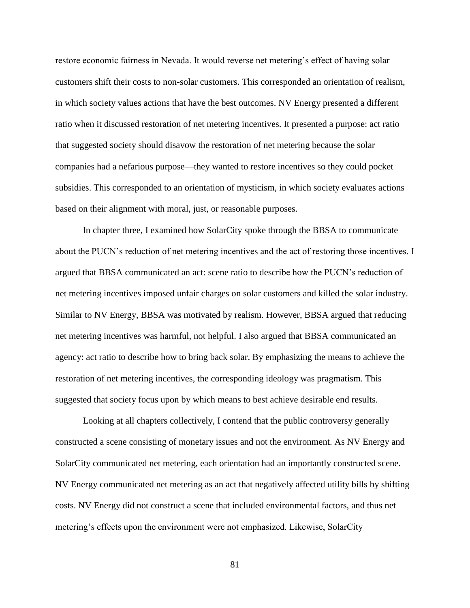restore economic fairness in Nevada. It would reverse net metering's effect of having solar customers shift their costs to non-solar customers. This corresponded an orientation of realism, in which society values actions that have the best outcomes. NV Energy presented a different ratio when it discussed restoration of net metering incentives. It presented a purpose: act ratio that suggested society should disavow the restoration of net metering because the solar companies had a nefarious purpose—they wanted to restore incentives so they could pocket subsidies. This corresponded to an orientation of mysticism, in which society evaluates actions based on their alignment with moral, just, or reasonable purposes.

In chapter three, I examined how SolarCity spoke through the BBSA to communicate about the PUCN's reduction of net metering incentives and the act of restoring those incentives. I argued that BBSA communicated an act: scene ratio to describe how the PUCN's reduction of net metering incentives imposed unfair charges on solar customers and killed the solar industry. Similar to NV Energy, BBSA was motivated by realism. However, BBSA argued that reducing net metering incentives was harmful, not helpful. I also argued that BBSA communicated an agency: act ratio to describe how to bring back solar. By emphasizing the means to achieve the restoration of net metering incentives, the corresponding ideology was pragmatism. This suggested that society focus upon by which means to best achieve desirable end results.

Looking at all chapters collectively, I contend that the public controversy generally constructed a scene consisting of monetary issues and not the environment. As NV Energy and SolarCity communicated net metering, each orientation had an importantly constructed scene. NV Energy communicated net metering as an act that negatively affected utility bills by shifting costs. NV Energy did not construct a scene that included environmental factors, and thus net metering's effects upon the environment were not emphasized. Likewise, SolarCity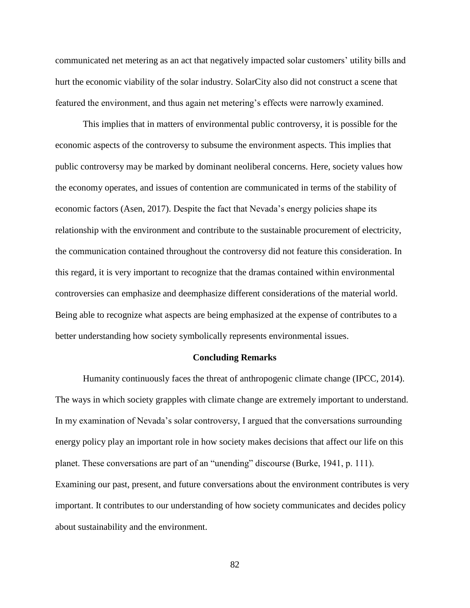communicated net metering as an act that negatively impacted solar customers' utility bills and hurt the economic viability of the solar industry. SolarCity also did not construct a scene that featured the environment, and thus again net metering's effects were narrowly examined.

This implies that in matters of environmental public controversy, it is possible for the economic aspects of the controversy to subsume the environment aspects. This implies that public controversy may be marked by dominant neoliberal concerns. Here, society values how the economy operates, and issues of contention are communicated in terms of the stability of economic factors (Asen, 2017). Despite the fact that Nevada's energy policies shape its relationship with the environment and contribute to the sustainable procurement of electricity, the communication contained throughout the controversy did not feature this consideration. In this regard, it is very important to recognize that the dramas contained within environmental controversies can emphasize and deemphasize different considerations of the material world. Being able to recognize what aspects are being emphasized at the expense of contributes to a better understanding how society symbolically represents environmental issues.

#### **Concluding Remarks**

Humanity continuously faces the threat of anthropogenic climate change (IPCC, 2014). The ways in which society grapples with climate change are extremely important to understand. In my examination of Nevada's solar controversy, I argued that the conversations surrounding energy policy play an important role in how society makes decisions that affect our life on this planet. These conversations are part of an "unending" discourse (Burke, 1941, p. 111). Examining our past, present, and future conversations about the environment contributes is very important. It contributes to our understanding of how society communicates and decides policy about sustainability and the environment.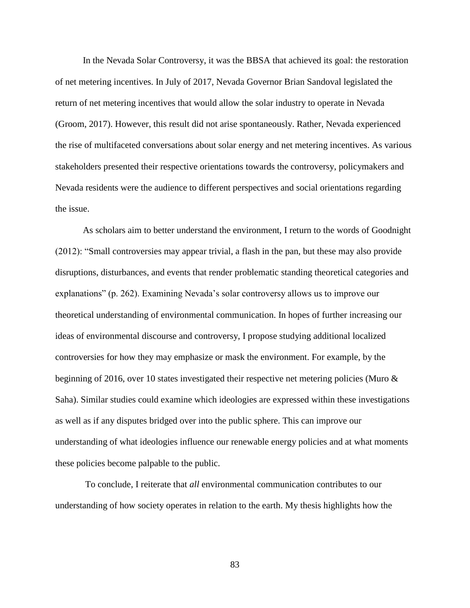In the Nevada Solar Controversy, it was the BBSA that achieved its goal: the restoration of net metering incentives. In July of 2017, Nevada Governor Brian Sandoval legislated the return of net metering incentives that would allow the solar industry to operate in Nevada (Groom, 2017). However, this result did not arise spontaneously. Rather, Nevada experienced the rise of multifaceted conversations about solar energy and net metering incentives. As various stakeholders presented their respective orientations towards the controversy, policymakers and Nevada residents were the audience to different perspectives and social orientations regarding the issue.

As scholars aim to better understand the environment, I return to the words of Goodnight (2012): "Small controversies may appear trivial, a flash in the pan, but these may also provide disruptions, disturbances, and events that render problematic standing theoretical categories and explanations" (p. 262). Examining Nevada's solar controversy allows us to improve our theoretical understanding of environmental communication. In hopes of further increasing our ideas of environmental discourse and controversy, I propose studying additional localized controversies for how they may emphasize or mask the environment. For example, by the beginning of 2016, over 10 states investigated their respective net metering policies (Muro & Saha). Similar studies could examine which ideologies are expressed within these investigations as well as if any disputes bridged over into the public sphere. This can improve our understanding of what ideologies influence our renewable energy policies and at what moments these policies become palpable to the public.

To conclude, I reiterate that *all* environmental communication contributes to our understanding of how society operates in relation to the earth. My thesis highlights how the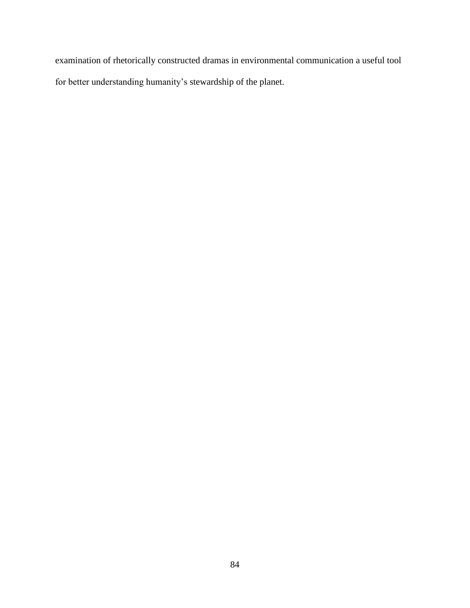examination of rhetorically constructed dramas in environmental communication a useful tool for better understanding humanity's stewardship of the planet.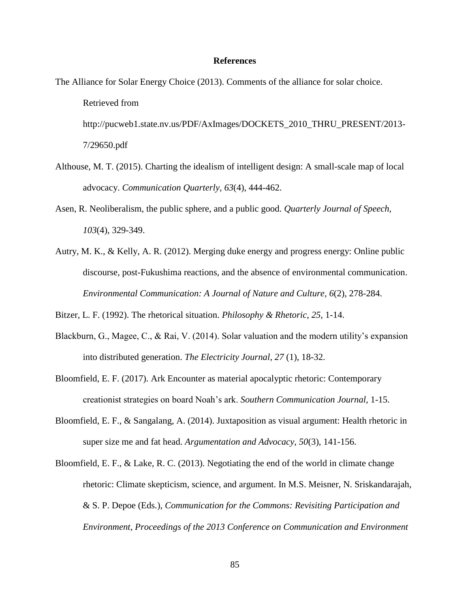## **References**

The Alliance for Solar Energy Choice (2013). Comments of the alliance for solar choice. Retrieved from

http://pucweb1.state.nv.us/PDF/AxImages/DOCKETS\_2010\_THRU\_PRESENT/2013- 7/29650.pdf

- Althouse, M. T. (2015). Charting the idealism of intelligent design: A small-scale map of local advocacy. *Communication Quarterly, 63*(4), 444-462.
- Asen, R. Neoliberalism, the public sphere, and a public good. *Quarterly Journal of Speech, 103*(4), 329-349.
- Autry, M. K., & Kelly, A. R. (2012). Merging duke energy and progress energy: Online public discourse, post-Fukushima reactions, and the absence of environmental communication. *Environmental Communication: A Journal of Nature and Culture, 6*(2), 278-284.

Bitzer, L. F. (1992). The rhetorical situation. *Philosophy & Rhetoric*, *25*, 1-14.

- Blackburn, G., Magee, C., & Rai, V. (2014). Solar valuation and the modern utility's expansion into distributed generation. *The Electricity Journal, 27* (1), 18-32.
- Bloomfield, E. F. (2017). Ark Encounter as material apocalyptic rhetoric: Contemporary creationist strategies on board Noah's ark. *Southern Communication Journal,* 1-15.
- Bloomfield, E. F., & Sangalang, A. (2014). Juxtaposition as visual argument: Health rhetoric in super size me and fat head. *Argumentation and Advocacy*, *50*(3), 141-156.
- Bloomfield, E. F., & Lake, R. C. (2013). Negotiating the end of the world in climate change rhetoric: Climate skepticism, science, and argument. In M.S. Meisner, N. Sriskandarajah, & S. P. Depoe (Eds.), *Communication for the Commons: Revisiting Participation and Environment*, *Proceedings of the 2013 Conference on Communication and Environment*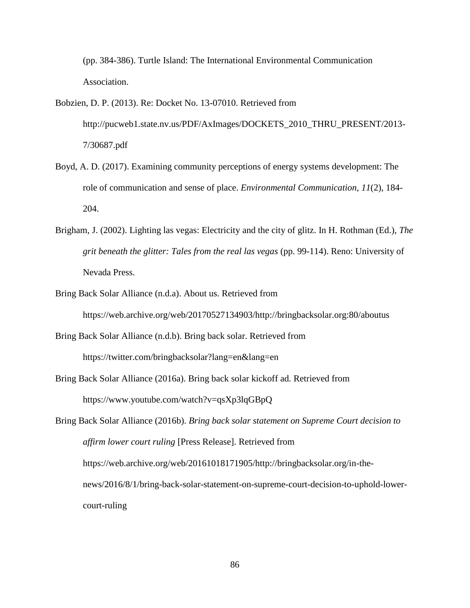(pp. 384-386). Turtle Island: The International Environmental Communication Association.

- Bobzien, D. P. (2013). Re: Docket No. 13-07010. Retrieved from http://pucweb1.state.nv.us/PDF/AxImages/DOCKETS\_2010\_THRU\_PRESENT/2013- 7/30687.pdf
- Boyd, A. D. (2017). Examining community perceptions of energy systems development: The role of communication and sense of place. *Environmental Communication, 11*(2), 184- 204.
- Brigham, J. (2002). Lighting las vegas: Electricity and the city of glitz. In H. Rothman (Ed.), *The grit beneath the glitter: Tales from the real las vegas* (pp. 99-114). Reno: University of Nevada Press.
- Bring Back Solar Alliance (n.d.a). About us. Retrieved from https://web.archive.org/web/20170527134903/http://bringbacksolar.org:80/aboutus
- Bring Back Solar Alliance (n.d.b). Bring back solar. Retrieved from https://twitter.com/bringbacksolar?lang=en&lang=en
- Bring Back Solar Alliance (2016a). Bring back solar kickoff ad*.* Retrieved from https://www.youtube.com/watch?v=qsXp3lqGBpQ

Bring Back Solar Alliance (2016b). *Bring back solar statement on Supreme Court decision to affirm lower court ruling* [Press Release]. Retrieved from https://web.archive.org/web/20161018171905/http://bringbacksolar.org/in-thenews/2016/8/1/bring-back-solar-statement-on-supreme-court-decision-to-uphold-lowercourt-ruling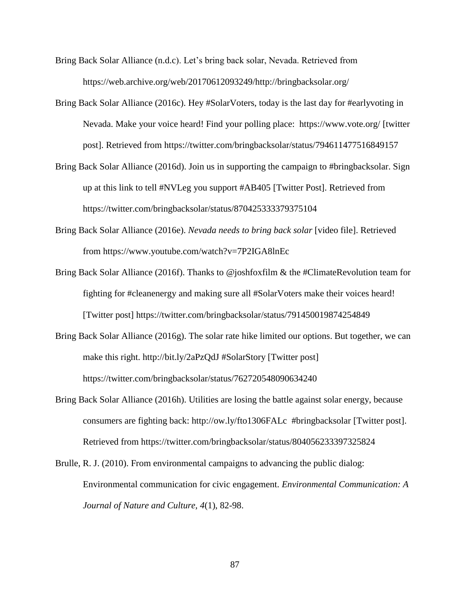- Bring Back Solar Alliance (n.d.c). Let's bring back solar, Nevada. Retrieved from https://web.archive.org/web/20170612093249/http://bringbacksolar.org/
- Bring Back Solar Alliance (2016c). Hey #SolarVoters, today is the last day for #earlyvoting in Nevada. Make your voice heard! Find your polling place: https://www.vote.org/ [twitter post]. Retrieved from https://twitter.com/bringbacksolar/status/794611477516849157
- Bring Back Solar Alliance (2016d). Join us in supporting the campaign to #bringbacksolar. Sign up at this link to tell #NVLeg you support #AB405 [Twitter Post]. Retrieved from https://twitter.com/bringbacksolar/status/870425333379375104
- Bring Back Solar Alliance (2016e). *Nevada needs to bring back solar* [video file]. Retrieved from https://www.youtube.com/watch?v=7P2IGA8lnEc
- Bring Back Solar Alliance (2016f). Thanks to @joshfoxfilm & the #ClimateRevolution team for fighting for #cleanenergy and making sure all #SolarVoters make their voices heard! [Twitter post] https://twitter.com/bringbacksolar/status/791450019874254849
- Bring Back Solar Alliance (2016g). The solar rate hike limited our options. But together, we can make this right. http://bit.ly/2aPzQdJ #SolarStory [Twitter post] https://twitter.com/bringbacksolar/status/762720548090634240
- Bring Back Solar Alliance (2016h). Utilities are losing the battle against solar energy, because consumers are fighting back: http://ow.ly/fto1306FALc #bringbacksolar [Twitter post]. Retrieved from https://twitter.com/bringbacksolar/status/804056233397325824
- Brulle, R. J. (2010). From environmental campaigns to advancing the public dialog: Environmental communication for civic engagement. *Environmental Communication: A Journal of Nature and Culture, 4*(1), 82-98.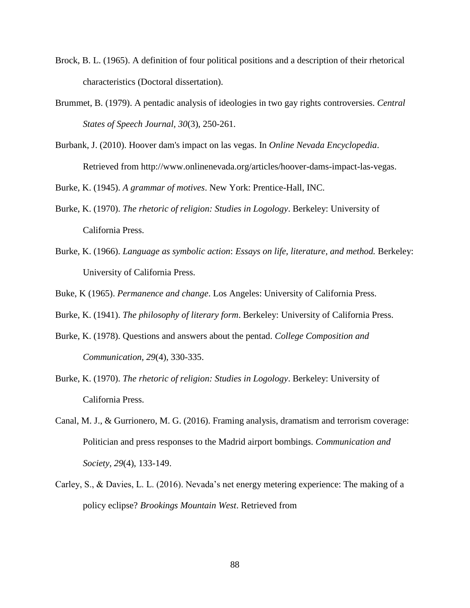- Brock, B. L. (1965). A definition of four political positions and a description of their rhetorical characteristics (Doctoral dissertation).
- Brummet, B. (1979). A pentadic analysis of ideologies in two gay rights controversies. *Central States of Speech Journal, 30*(3), 250-261.
- Burbank, J. (2010). Hoover dam's impact on las vegas. In *Online Nevada Encyclopedia*. Retrieved from http://www.onlinenevada.org/articles/hoover-dams-impact-las-vegas.

Burke, K. (1945). *A grammar of motives*. New York: Prentice-Hall, INC.

- Burke, K. (1970). *The rhetoric of religion: Studies in Logology*. Berkeley: University of California Press.
- Burke, K. (1966). *Language as symbolic action*: *Essays on life, literature, and method.* Berkeley: University of California Press.

Buke, K (1965). *Permanence and change*. Los Angeles: University of California Press.

Burke, K. (1941). *The philosophy of literary form*. Berkeley: University of California Press.

- Burke, K. (1978). Questions and answers about the pentad. *College Composition and Communication, 29*(4), 330-335.
- Burke, K. (1970). *The rhetoric of religion: Studies in Logology*. Berkeley: University of California Press.
- Canal, M. J., & Gurrionero, M. G. (2016). Framing analysis, dramatism and terrorism coverage: Politician and press responses to the Madrid airport bombings. *Communication and Society, 29*(4), 133-149.
- Carley, S., & Davies, L. L. (2016). Nevada's net energy metering experience: The making of a policy eclipse? *Brookings Mountain West*. Retrieved from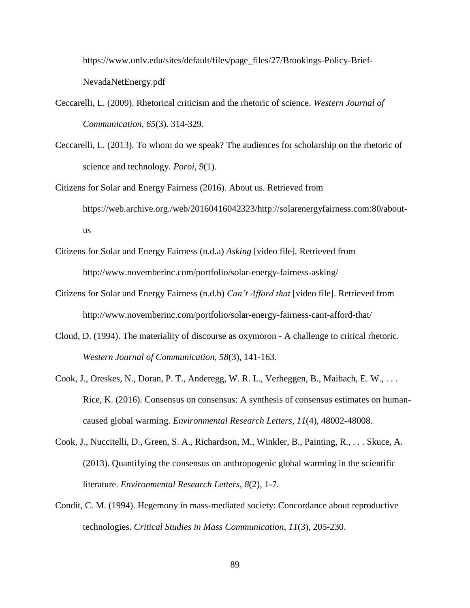https://www.unlv.edu/sites/default/files/page\_files/27/Brookings-Policy-Brief-NevadaNetEnergy.pdf

- Ceccarelli, L. (2009). Rhetorical criticism and the rhetoric of science. *Western Journal of Communication, 65*(3). 314-329.
- Ceccarelli, L. (2013). To whom do we speak? The audiences for scholarship on the rhetoric of science and technology. *Poroi, 9*(1).
- Citizens for Solar and Energy Fairness (2016). About us. Retrieved from https://web.archive.org./web/20160416042323/http://solarenergyfairness.com:80/aboutus
- Citizens for Solar and Energy Fairness (n.d.a) *Asking* [video file]*.* Retrieved from http://www.novemberinc.com/portfolio/solar-energy-fairness-asking/
- Citizens for Solar and Energy Fairness (n.d.b) *Can't Afford that* [video file]. Retrieved from http://www.novemberinc.com/portfolio/solar-energy-fairness-cant-afford-that/
- Cloud, D. (1994). The materiality of discourse as oxymoron A challenge to critical rhetoric. *Western Journal of Communication, 58*(3), 141-163.
- Cook, J., Oreskes, N., Doran, P. T., Anderegg, W. R. L., Verheggen, B., Maibach, E. W., . . . Rice, K. (2016). Consensus on consensus: A synthesis of consensus estimates on humancaused global warming. *Environmental Research Letters, 11*(4), 48002-48008.
- Cook, J., Nuccitelli, D., Green, S. A., Richardson, M., Winkler, B., Painting, R., . . . Skuce, A. (2013). Quantifying the consensus on anthropogenic global warming in the scientific literature. *Environmental Research Letters, 8*(2), 1-7.
- Condit, C. M. (1994). Hegemony in mass-mediated society: Concordance about reproductive technologies. *Critical Studies in Mass Communication*, *11*(3), 205-230.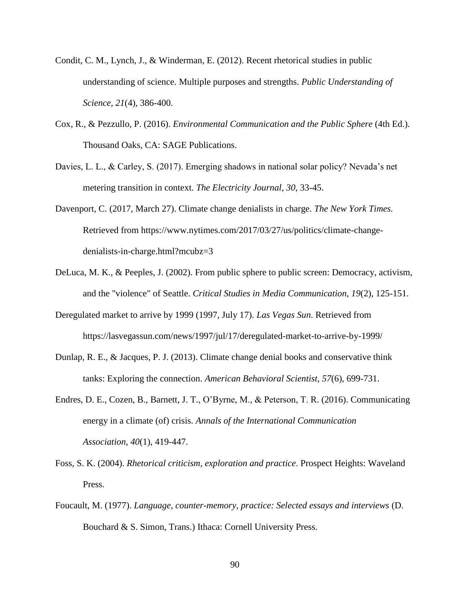- Condit, C. M., Lynch, J., & Winderman, E. (2012). Recent rhetorical studies in public understanding of science. Multiple purposes and strengths. *Public Understanding of Science, 21*(4), 386-400.
- Cox, R., & Pezzullo, P. (2016). *Environmental Communication and the Public Sphere* (4th Ed.). Thousand Oaks, CA: SAGE Publications.
- Davies, L. L., & Carley, S. (2017). Emerging shadows in national solar policy? Nevada's net metering transition in context. *The Electricity Journal*, *30*, 33-45.
- Davenport, C. (2017, March 27). Climate change denialists in charge. *The New York Times.* Retrieved from https://www.nytimes.com/2017/03/27/us/politics/climate-changedenialists-in-charge.html?mcubz=3
- DeLuca, M. K., & Peeples, J. (2002). From public sphere to public screen: Democracy, activism, and the "violence" of Seattle. *Critical Studies in Media Communication, 19*(2), 125-151.
- Deregulated market to arrive by 1999 (1997, July 17). *Las Vegas Sun*. Retrieved from https://lasvegassun.com/news/1997/jul/17/deregulated-market-to-arrive-by-1999/
- Dunlap, R. E., & Jacques, P. J. (2013). Climate change denial books and conservative think tanks: Exploring the connection. *American Behavioral Scientist, 57*(6), 699-731.
- Endres, D. E., Cozen, B., Barnett, J. T., O'Byrne, M., & Peterson, T. R. (2016). Communicating energy in a climate (of) crisis. *Annals of the International Communication Association, 40*(1), 419-447.
- Foss, S. K. (2004). *Rhetorical criticism, exploration and practice*. Prospect Heights: Waveland Press.
- Foucault, M. (1977). *Language, counter-memory, practice: Selected essays and interviews* (D. Bouchard & S. Simon, Trans.) Ithaca: Cornell University Press.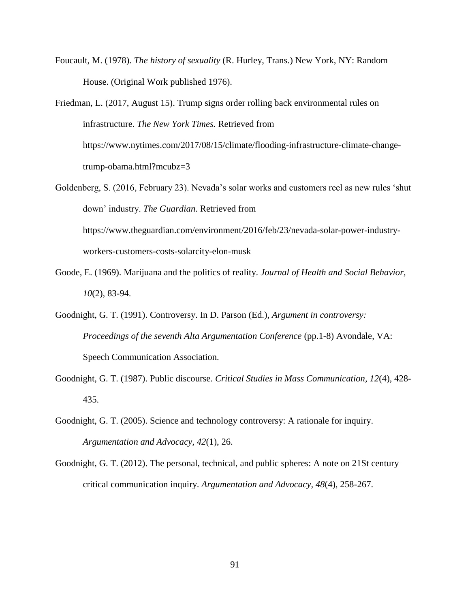- Foucault, M. (1978). *The history of sexuality* (R. Hurley, Trans.) New York, NY: Random House. (Original Work published 1976).
- Friedman, L. (2017, August 15). Trump signs order rolling back environmental rules on infrastructure. *The New York Times.* Retrieved from https://www.nytimes.com/2017/08/15/climate/flooding-infrastructure-climate-changetrump-obama.html?mcubz=3
- Goldenberg, S. (2016, February 23). Nevada's solar works and customers reel as new rules 'shut down' industry. *The Guardian*. Retrieved from https://www.theguardian.com/environment/2016/feb/23/nevada-solar-power-industryworkers-customers-costs-solarcity-elon-musk
- Goode, E. (1969). Marijuana and the politics of reality. *Journal of Health and Social Behavior, 10*(2), 83-94.
- Goodnight, G. T. (1991). Controversy. In D. Parson (Ed.), *Argument in controversy: Proceedings of the seventh Alta Argumentation Conference* (pp.1-8) Avondale, VA: Speech Communication Association.
- Goodnight, G. T. (1987). Public discourse. *Critical Studies in Mass Communication, 12*(4), 428- 435.
- Goodnight, G. T. (2005). Science and technology controversy: A rationale for inquiry. *Argumentation and Advocacy, 42*(1), 26.
- Goodnight, G. T. (2012). The personal, technical, and public spheres: A note on 21St century critical communication inquiry. *Argumentation and Advocacy, 48*(4), 258-267.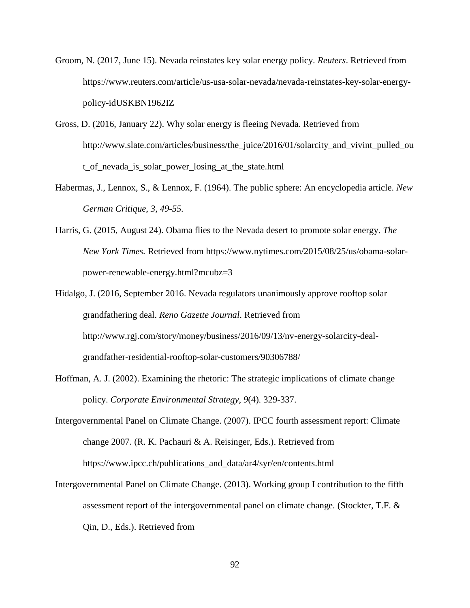- Groom, N. (2017, June 15). Nevada reinstates key solar energy policy. *Reuters*. Retrieved from https://www.reuters.com/article/us-usa-solar-nevada/nevada-reinstates-key-solar-energypolicy-idUSKBN1962IZ
- Gross, D. (2016, January 22). Why solar energy is fleeing Nevada. Retrieved from http://www.slate.com/articles/business/the\_juice/2016/01/solarcity\_and\_vivint\_pulled\_ou t\_of\_nevada\_is\_solar\_power\_losing\_at\_the\_state.html
- Habermas, J., Lennox, S., & Lennox, F. (1964). The public sphere: An encyclopedia article. *New German Critique*, *3, 49-55.*
- Harris, G. (2015, August 24). Obama flies to the Nevada desert to promote solar energy. *The New York Times.* Retrieved from https://www.nytimes.com/2015/08/25/us/obama-solarpower-renewable-energy.html?mcubz=3
- Hidalgo, J. (2016, September 2016. Nevada regulators unanimously approve rooftop solar grandfathering deal. *Reno Gazette Journal*. Retrieved from http://www.rgj.com/story/money/business/2016/09/13/nv-energy-solarcity-dealgrandfather-residential-rooftop-solar-customers/90306788/
- Hoffman, A. J. (2002). Examining the rhetoric: The strategic implications of climate change policy. *Corporate Environmental Strategy*, *9*(4). 329-337.
- Intergovernmental Panel on Climate Change. (2007). IPCC fourth assessment report: Climate change 2007. (R. K. Pachauri & A. Reisinger, Eds.). Retrieved from https://www.ipcc.ch/publications\_and\_data/ar4/syr/en/contents.html
- Intergovernmental Panel on Climate Change. (2013). Working group I contribution to the fifth assessment report of the intergovernmental panel on climate change. (Stockter, T.F. & Qin, D., Eds.). Retrieved from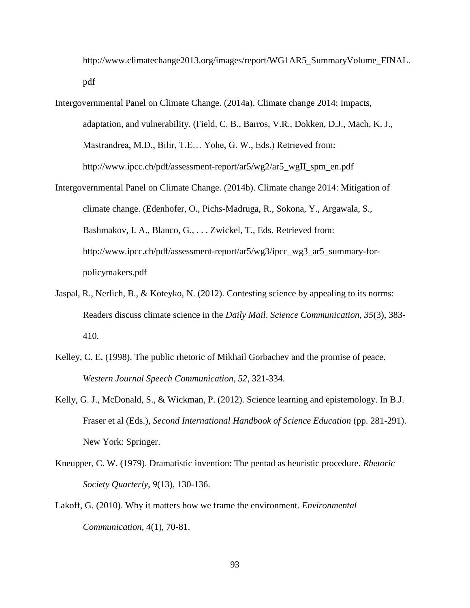http://www.climatechange2013.org/images/report/WG1AR5\_SummaryVolume\_FINAL. pdf

- Intergovernmental Panel on Climate Change. (2014a). Climate change 2014: Impacts, adaptation, and vulnerability. (Field, C. B., Barros, V.R., Dokken, D.J., Mach, K. J., Mastrandrea, M.D., Bilir, T.E… Yohe, G. W., Eds.) Retrieved from: http://www.ipcc.ch/pdf/assessment-report/ar5/wg2/ar5\_wgII\_spm\_en.pdf
- Intergovernmental Panel on Climate Change. (2014b). Climate change 2014: Mitigation of climate change. (Edenhofer, O., Pichs-Madruga, R., Sokona, Y., Argawala, S., Bashmakov, I. A., Blanco, G., . . . Zwickel, T., Eds. Retrieved from: http://www.ipcc.ch/pdf/assessment-report/ar5/wg3/ipcc\_wg3\_ar5\_summary-forpolicymakers.pdf
- Jaspal, R., Nerlich, B., & Koteyko, N. (2012). Contesting science by appealing to its norms: Readers discuss climate science in the *Daily Mail*. *Science Communication*, *35*(3), 383- 410.
- Kelley, C. E. (1998). The public rhetoric of Mikhail Gorbachev and the promise of peace. *Western Journal Speech Communication, 52*, 321-334.
- Kelly, G. J., McDonald, S., & Wickman, P. (2012). Science learning and epistemology. In B.J. Fraser et al (Eds.), *Second International Handbook of Science Education* (pp. 281-291). New York: Springer.
- Kneupper, C. W. (1979). Dramatistic invention: The pentad as heuristic procedure. *Rhetoric Society Quarterly*, *9*(13), 130-136.
- Lakoff, G. (2010). Why it matters how we frame the environment. *Environmental Communication*, *4*(1), 70-81.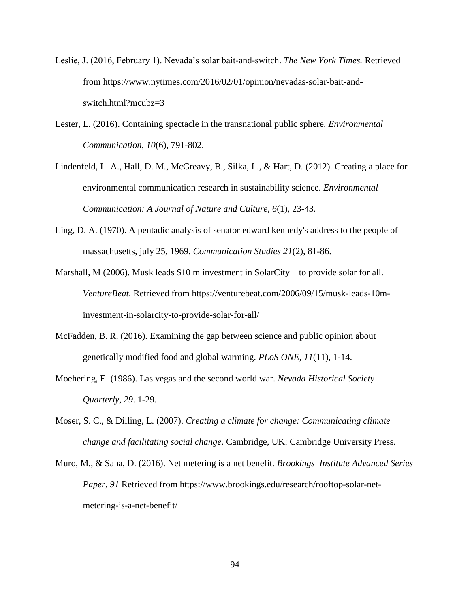- Leslie, J. (2016, February 1). Nevada's solar bait-and-switch. *The New York Times.* Retrieved from https://www.nytimes.com/2016/02/01/opinion/nevadas-solar-bait-andswitch.html?mcubz=3
- Lester, L. (2016). Containing spectacle in the transnational public sphere. *Environmental Communication, 10*(6), 791-802.
- Lindenfeld, L. A., Hall, D. M., McGreavy, B., Silka, L., & Hart, D. (2012). Creating a place for environmental communication research in sustainability science. *Environmental Communication: A Journal of Nature and Culture, 6*(1), 23-43.
- Ling, D. A. (1970). A pentadic analysis of senator edward kennedy's address to the people of massachusetts, july 25, 1969, *Communication Studies 21*(2), 81-86.
- Marshall, M (2006). Musk leads \$10 m investment in SolarCity—to provide solar for all. *VentureBeat*. Retrieved from https://venturebeat.com/2006/09/15/musk-leads-10minvestment-in-solarcity-to-provide-solar-for-all/
- McFadden, B. R. (2016). Examining the gap between science and public opinion about genetically modified food and global warming. *PLoS ONE, 11*(11), 1-14.
- Moehering, E. (1986). Las vegas and the second world war. *Nevada Historical Society Quarterly, 29*. 1-29.
- Moser, S. C., & Dilling, L. (2007). *Creating a climate for change: Communicating climate change and facilitating social change*. Cambridge, UK: Cambridge University Press.
- Muro, M., & Saha, D. (2016). Net metering is a net benefit. *Brookings Institute Advanced Series Paper*, *91* Retrieved from https://www.brookings.edu/research/rooftop-solar-netmetering-is-a-net-benefit/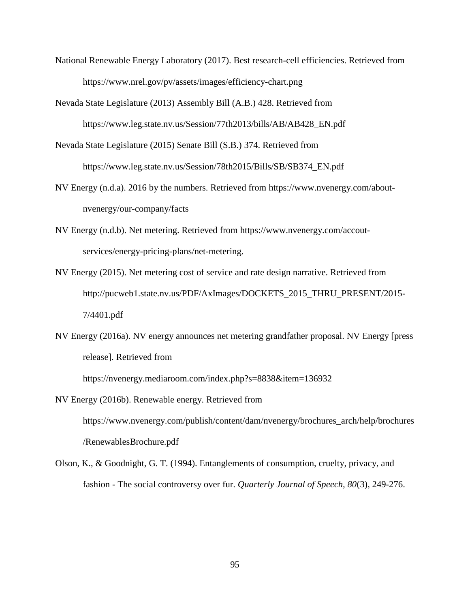- National Renewable Energy Laboratory (2017). Best research-cell efficiencies. Retrieved from https://www.nrel.gov/pv/assets/images/efficiency-chart.png
- Nevada State Legislature (2013) Assembly Bill (A.B.) 428. Retrieved from

https://www.leg.state.nv.us/Session/77th2013/bills/AB/AB428\_EN.pdf

- Nevada State Legislature (2015) Senate Bill (S.B.) 374. Retrieved from https://www.leg.state.nv.us/Session/78th2015/Bills/SB/SB374\_EN.pdf
- NV Energy (n.d.a). 2016 by the numbers. Retrieved from https://www.nvenergy.com/aboutnvenergy/our-company/facts
- NV Energy (n.d.b). Net metering. Retrieved from https://www.nvenergy.com/accoutservices/energy-pricing-plans/net-metering.
- NV Energy (2015). Net metering cost of service and rate design narrative. Retrieved from http://pucweb1.state.nv.us/PDF/AxImages/DOCKETS\_2015\_THRU\_PRESENT/2015- 7/4401.pdf
- NV Energy (2016a). NV energy announces net metering grandfather proposal. NV Energy [press release]. Retrieved from

https://nvenergy.mediaroom.com/index.php?s=8838&item=136932

- NV Energy (2016b). Renewable energy. Retrieved from https://www.nvenergy.com/publish/content/dam/nvenergy/brochures\_arch/help/brochures /RenewablesBrochure.pdf
- Olson, K., & Goodnight, G. T. (1994). Entanglements of consumption, cruelty, privacy, and fashion - The social controversy over fur. *Quarterly Journal of Speech, 80*(3), 249-276.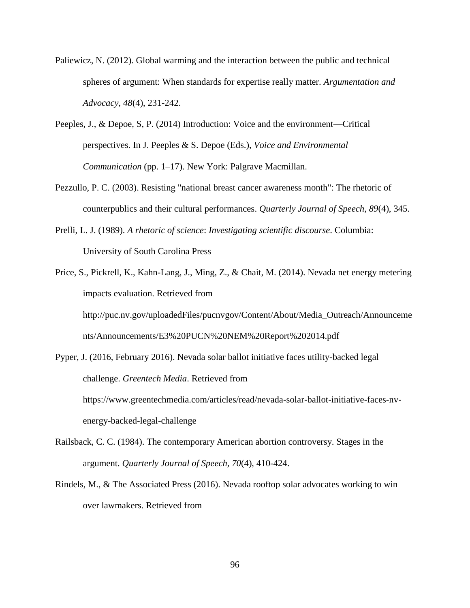- Paliewicz, N. (2012). Global warming and the interaction between the public and technical spheres of argument: When standards for expertise really matter. *Argumentation and Advocacy, 48*(4), 231-242.
- Peeples, J., & Depoe, S, P. (2014) Introduction: Voice and the environment—Critical perspectives. In J. Peeples & S. Depoe (Eds.), *Voice and Environmental Communication* (pp. 1–17). New York: Palgrave Macmillan.
- Pezzullo, P. C. (2003). Resisting "national breast cancer awareness month": The rhetoric of counterpublics and their cultural performances. *Quarterly Journal of Speech, 89*(4), 345.
- Prelli, L. J. (1989). *A rhetoric of science*: *Investigating scientific discourse*. Columbia: University of South Carolina Press
- Price, S., Pickrell, K., Kahn-Lang, J., Ming, Z., & Chait, M. (2014). Nevada net energy metering impacts evaluation. Retrieved from http://puc.nv.gov/uploadedFiles/pucnvgov/Content/About/Media\_Outreach/Announceme nts/Announcements/E3%20PUCN%20NEM%20Report%202014.pdf
- Pyper, J. (2016, February 2016). Nevada solar ballot initiative faces utility-backed legal challenge. *Greentech Media*. Retrieved from https://www.greentechmedia.com/articles/read/nevada-solar-ballot-initiative-faces-nvenergy-backed-legal-challenge
- Railsback, C. C. (1984). The contemporary American abortion controversy. Stages in the argument. *Quarterly Journal of Speech, 70*(4), 410-424.
- Rindels, M., & The Associated Press (2016). Nevada rooftop solar advocates working to win over lawmakers. Retrieved from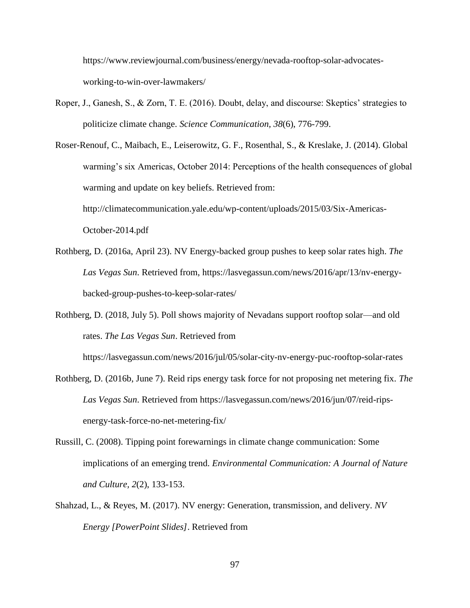https://www.reviewjournal.com/business/energy/nevada-rooftop-solar-advocatesworking-to-win-over-lawmakers/

Roper, J., Ganesh, S., & Zorn, T. E. (2016). Doubt, delay, and discourse: Skeptics' strategies to politicize climate change. *Science Communication, 38*(6), 776-799.

Roser-Renouf, C., Maibach, E., Leiserowitz, G. F., Rosenthal, S., & Kreslake, J. (2014). Global warming's six Americas, October 2014: Perceptions of the health consequences of global warming and update on key beliefs. Retrieved from: http://climatecommunication.yale.edu/wp-content/uploads/2015/03/Six-Americas-October-2014.pdf

- Rothberg, D. (2016a, April 23). NV Energy-backed group pushes to keep solar rates high. *The Las Vegas Sun*. Retrieved from, https://lasvegassun.com/news/2016/apr/13/nv-energybacked-group-pushes-to-keep-solar-rates/
- Rothberg, D. (2018, July 5). Poll shows majority of Nevadans support rooftop solar—and old rates. *The Las Vegas Sun*. Retrieved from

https://lasvegassun.com/news/2016/jul/05/solar-city-nv-energy-puc-rooftop-solar-rates

- Rothberg, D. (2016b, June 7). Reid rips energy task force for not proposing net metering fix. *The Las Vegas Sun*. Retrieved from https://lasvegassun.com/news/2016/jun/07/reid-ripsenergy-task-force-no-net-metering-fix/
- Russill, C. (2008). Tipping point forewarnings in climate change communication: Some implications of an emerging trend. *Environmental Communication: A Journal of Nature and Culture, 2*(2), 133-153.
- Shahzad, L., & Reyes, M. (2017). NV energy: Generation, transmission, and delivery. *NV Energy [PowerPoint Slides]*. Retrieved from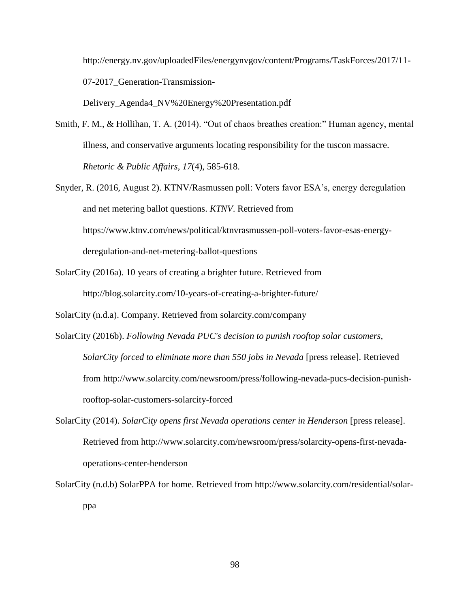http://energy.nv.gov/uploadedFiles/energynvgov/content/Programs/TaskForces/2017/11- 07-2017\_Generation-Transmission-

Delivery\_Agenda4\_NV%20Energy%20Presentation.pdf

- Smith, F. M., & Hollihan, T. A. (2014). "Out of chaos breathes creation:" Human agency, mental illness, and conservative arguments locating responsibility for the tuscon massacre. *Rhetoric & Public Affairs*, *17*(4), 585-618.
- Snyder, R. (2016, August 2). KTNV/Rasmussen poll: Voters favor ESA's, energy deregulation and net metering ballot questions. *KTNV*. Retrieved from https://www.ktnv.com/news/political/ktnvrasmussen-poll-voters-favor-esas-energyderegulation-and-net-metering-ballot-questions
- SolarCity (2016a). 10 years of creating a brighter future. Retrieved from http://blog.solarcity.com/10-years-of-creating-a-brighter-future/

SolarCity (n.d.a). Company. Retrieved from solarcity.com/company

- SolarCity (2016b). *Following Nevada PUC's decision to punish rooftop solar customers, SolarCity forced to eliminate more than 550 jobs in Nevada* [press release]. Retrieved from http://www.solarcity.com/newsroom/press/following-nevada-pucs-decision-punishrooftop-solar-customers-solarcity-forced
- SolarCity (2014). *SolarCity opens first Nevada operations center in Henderson* [press release]. Retrieved from http://www.solarcity.com/newsroom/press/solarcity-opens-first-nevadaoperations-center-henderson
- SolarCity (n.d.b) SolarPPA for home. Retrieved from http://www.solarcity.com/residential/solarppa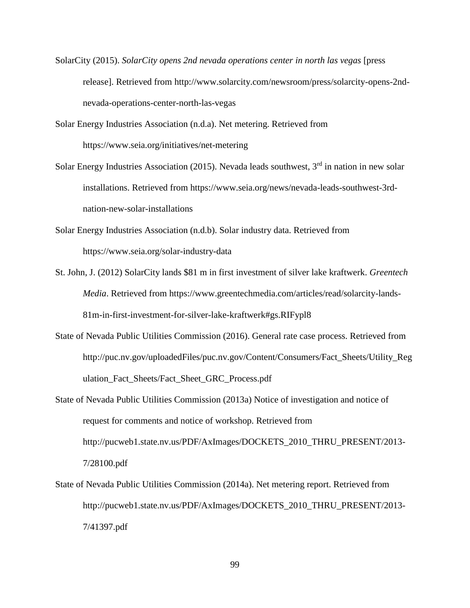- SolarCity (2015). *SolarCity opens 2nd nevada operations center in north las vegas* [press release]. Retrieved from http://www.solarcity.com/newsroom/press/solarcity-opens-2ndnevada-operations-center-north-las-vegas
- Solar Energy Industries Association (n.d.a). Net metering. Retrieved from https://www.seia.org/initiatives/net-metering
- Solar Energy Industries Association (2015). Nevada leads southwest,  $3<sup>rd</sup>$  in nation in new solar installations. Retrieved from https://www.seia.org/news/nevada-leads-southwest-3rdnation-new-solar-installations
- Solar Energy Industries Association (n.d.b). Solar industry data. Retrieved from https://www.seia.org/solar-industry-data
- St. John, J. (2012) SolarCity lands \$81 m in first investment of silver lake kraftwerk. *Greentech Media*. Retrieved from https://www.greentechmedia.com/articles/read/solarcity-lands-81m-in-first-investment-for-silver-lake-kraftwerk#gs.RIFypl8
- State of Nevada Public Utilities Commission (2016). General rate case process. Retrieved from http://puc.nv.gov/uploadedFiles/puc.nv.gov/Content/Consumers/Fact\_Sheets/Utility\_Reg ulation\_Fact\_Sheets/Fact\_Sheet\_GRC\_Process.pdf
- State of Nevada Public Utilities Commission (2013a) Notice of investigation and notice of request for comments and notice of workshop. Retrieved from http://pucweb1.state.nv.us/PDF/AxImages/DOCKETS\_2010\_THRU\_PRESENT/2013- 7/28100.pdf
- State of Nevada Public Utilities Commission (2014a). Net metering report. Retrieved from http://pucweb1.state.nv.us/PDF/AxImages/DOCKETS\_2010\_THRU\_PRESENT/2013- 7/41397.pdf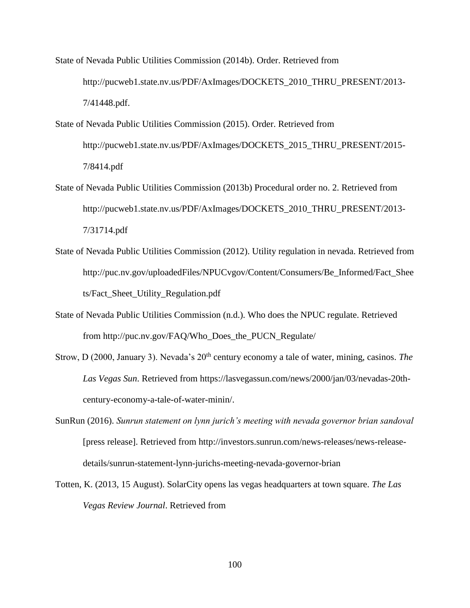State of Nevada Public Utilities Commission (2014b). Order. Retrieved from http://pucweb1.state.nv.us/PDF/AxImages/DOCKETS\_2010\_THRU\_PRESENT/2013- 7/41448.pdf.

- State of Nevada Public Utilities Commission (2015). Order. Retrieved from http://pucweb1.state.nv.us/PDF/AxImages/DOCKETS\_2015\_THRU\_PRESENT/2015- 7/8414.pdf
- State of Nevada Public Utilities Commission (2013b) Procedural order no. 2. Retrieved from http://pucweb1.state.nv.us/PDF/AxImages/DOCKETS\_2010\_THRU\_PRESENT/2013- 7/31714.pdf
- State of Nevada Public Utilities Commission (2012). Utility regulation in nevada. Retrieved from http://puc.nv.gov/uploadedFiles/NPUCvgov/Content/Consumers/Be\_Informed/Fact\_Shee ts/Fact\_Sheet\_Utility\_Regulation.pdf
- State of Nevada Public Utilities Commission (n.d.). Who does the NPUC regulate. Retrieved from http://puc.nv.gov/FAQ/Who\_Does\_the\_PUCN\_Regulate/
- Strow, D (2000, January 3). Nevada's 20<sup>th</sup> century economy a tale of water, mining, casinos. *The Las Vegas Sun*. Retrieved from https://lasvegassun.com/news/2000/jan/03/nevadas-20thcentury-economy-a-tale-of-water-minin/.
- SunRun (2016). *Sunrun statement on lynn jurich's meeting with nevada governor brian sandoval*  [press release]. Retrieved from http://investors.sunrun.com/news-releases/news-releasedetails/sunrun-statement-lynn-jurichs-meeting-nevada-governor-brian
- Totten, K. (2013, 15 August). SolarCity opens las vegas headquarters at town square. *The Las Vegas Review Journal*. Retrieved from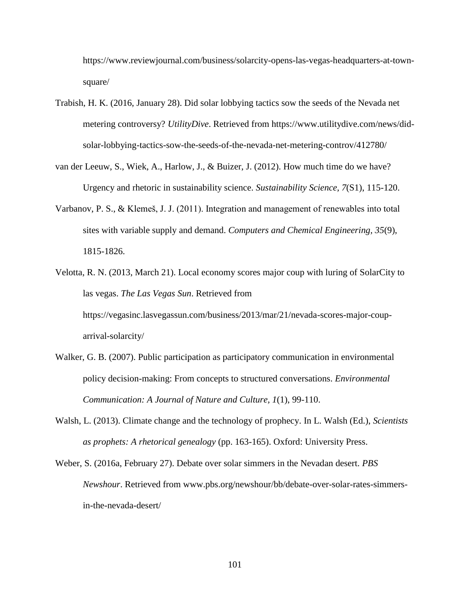https://www.reviewjournal.com/business/solarcity-opens-las-vegas-headquarters-at-townsquare/

- Trabish, H. K. (2016, January 28). Did solar lobbying tactics sow the seeds of the Nevada net metering controversy? *UtilityDive*. Retrieved from https://www.utilitydive.com/news/didsolar-lobbying-tactics-sow-the-seeds-of-the-nevada-net-metering-controv/412780/
- van der Leeuw, S., Wiek, A., Harlow, J., & Buizer, J. (2012). How much time do we have? Urgency and rhetoric in sustainability science. *Sustainability Science, 7*(S1), 115-120.
- Varbanov, P. S., & Klemeš, J. J. (2011). Integration and management of renewables into total sites with variable supply and demand. *Computers and Chemical Engineering, 35*(9), 1815-1826.
- Velotta, R. N. (2013, March 21). Local economy scores major coup with luring of SolarCity to las vegas. *The Las Vegas Sun*. Retrieved from https://vegasinc.lasvegassun.com/business/2013/mar/21/nevada-scores-major-couparrival-solarcity/
- Walker, G. B. (2007). Public participation as participatory communication in environmental policy decision-making: From concepts to structured conversations. *Environmental Communication: A Journal of Nature and Culture, 1*(1), 99-110.
- Walsh, L. (2013). Climate change and the technology of prophecy. In L. Walsh (Ed.), *Scientists as prophets: A rhetorical genealogy* (pp. 163-165). Oxford: University Press.
- Weber, S. (2016a, February 27). Debate over solar simmers in the Nevadan desert. *PBS Newshour*. Retrieved from www.pbs.org/newshour/bb/debate-over-solar-rates-simmersin-the-nevada-desert/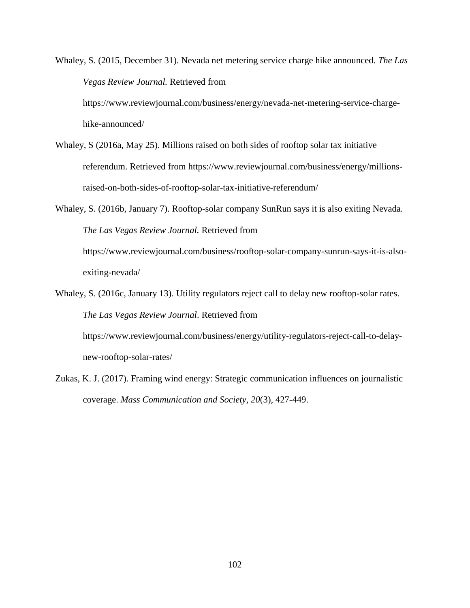Whaley, S. (2015, December 31). Nevada net metering service charge hike announced. *The Las Vegas Review Journal.* Retrieved from https://www.reviewjournal.com/business/energy/nevada-net-metering-service-charge-

hike-announced/

- Whaley, S (2016a, May 25). Millions raised on both sides of rooftop solar tax initiative referendum. Retrieved from https://www.reviewjournal.com/business/energy/millionsraised-on-both-sides-of-rooftop-solar-tax-initiative-referendum/
- Whaley, S. (2016b, January 7). Rooftop-solar company SunRun says it is also exiting Nevada. *The Las Vegas Review Journal.* Retrieved from

https://www.reviewjournal.com/business/rooftop-solar-company-sunrun-says-it-is-alsoexiting-nevada/

Whaley, S. (2016c, January 13). Utility regulators reject call to delay new rooftop-solar rates. *The Las Vegas Review Journal*. Retrieved from https://www.reviewjournal.com/business/energy/utility-regulators-reject-call-to-delay-

new-rooftop-solar-rates/

Zukas, K. J. (2017). Framing wind energy: Strategic communication influences on journalistic coverage. *Mass Communication and Society, 20*(3), 427-449.